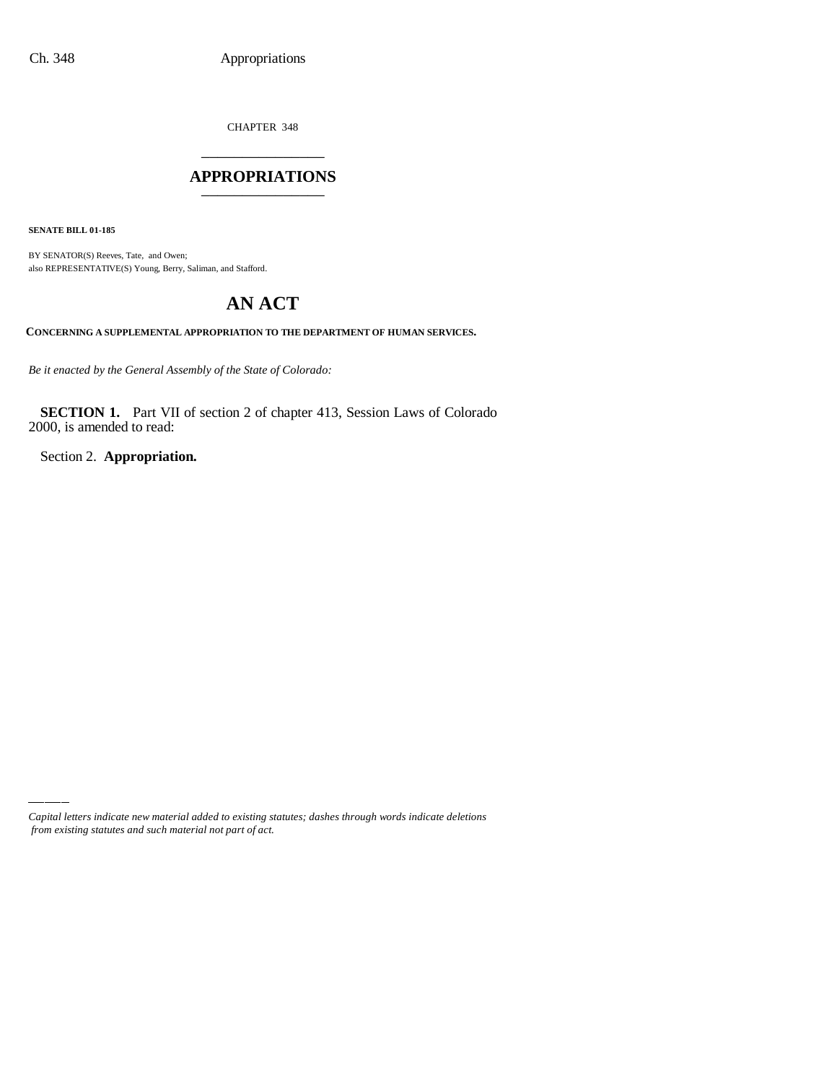CHAPTER 348 \_\_\_\_\_\_\_\_\_\_\_\_\_\_\_

## **APPROPRIATIONS** \_\_\_\_\_\_\_\_\_\_\_\_\_\_\_

**SENATE BILL 01-185**

BY SENATOR(S) Reeves, Tate, and Owen; also REPRESENTATIVE(S) Young, Berry, Saliman, and Stafford.

# **AN ACT**

**CONCERNING A SUPPLEMENTAL APPROPRIATION TO THE DEPARTMENT OF HUMAN SERVICES.**

*Be it enacted by the General Assembly of the State of Colorado:*

**SECTION 1.** Part VII of section 2 of chapter 413, Session Laws of Colorado 2000, is amended to read:

Section 2. **Appropriation.**

*Capital letters indicate new material added to existing statutes; dashes through words indicate deletions from existing statutes and such material not part of act.*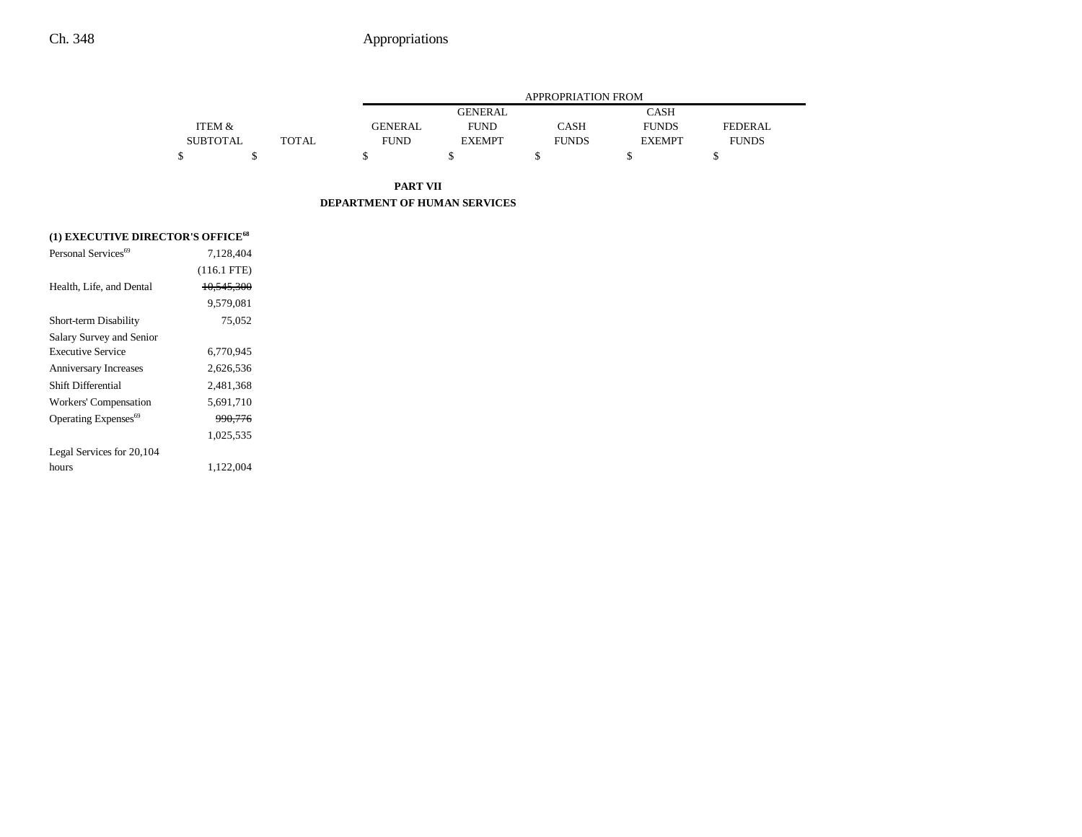|                 |       |             | <b>APPROPRIATION FROM</b> |              |               |              |  |
|-----------------|-------|-------------|---------------------------|--------------|---------------|--------------|--|
|                 |       |             | <b>GENERAL</b>            |              | <b>CASH</b>   |              |  |
| ITEM &          |       | GENERAL     | <b>FUND</b>               | <b>CASH</b>  | <b>FUNDS</b>  | FEDERAL.     |  |
| <b>SUBTOTAL</b> | TOTAL | <b>FUND</b> | <b>EXEMPT</b>             | <b>FUNDS</b> | <b>EXEMPT</b> | <b>FUNDS</b> |  |
|                 |       |             |                           |              |               |              |  |

**PART VII DEPARTMENT OF HUMAN SERVICES**

| (1) EXECUTIVE DIRECTOR'S OFFICE <sup>68</sup> |                       |
|-----------------------------------------------|-----------------------|
| Personal Services <sup>69</sup>               | 7.128.404             |
|                                               | $(116.1$ FTE)         |
| Health, Life, and Dental                      | <del>10,545,300</del> |
|                                               | 9.579.081             |
| Short-term Disability                         | 75,052                |
| Salary Survey and Senior                      |                       |
| <b>Executive Service</b>                      | 6,770,945             |
| <b>Anniversary Increases</b>                  | 2,626,536             |
| Shift Differential                            | 2,481,368             |
| Workers' Compensation                         | 5,691,710             |
| Operating Expenses <sup>69</sup>              | 990,776               |
|                                               | 1,025,535             |
| Legal Services for 20,104                     |                       |
| hours                                         | 1,122,004             |
|                                               |                       |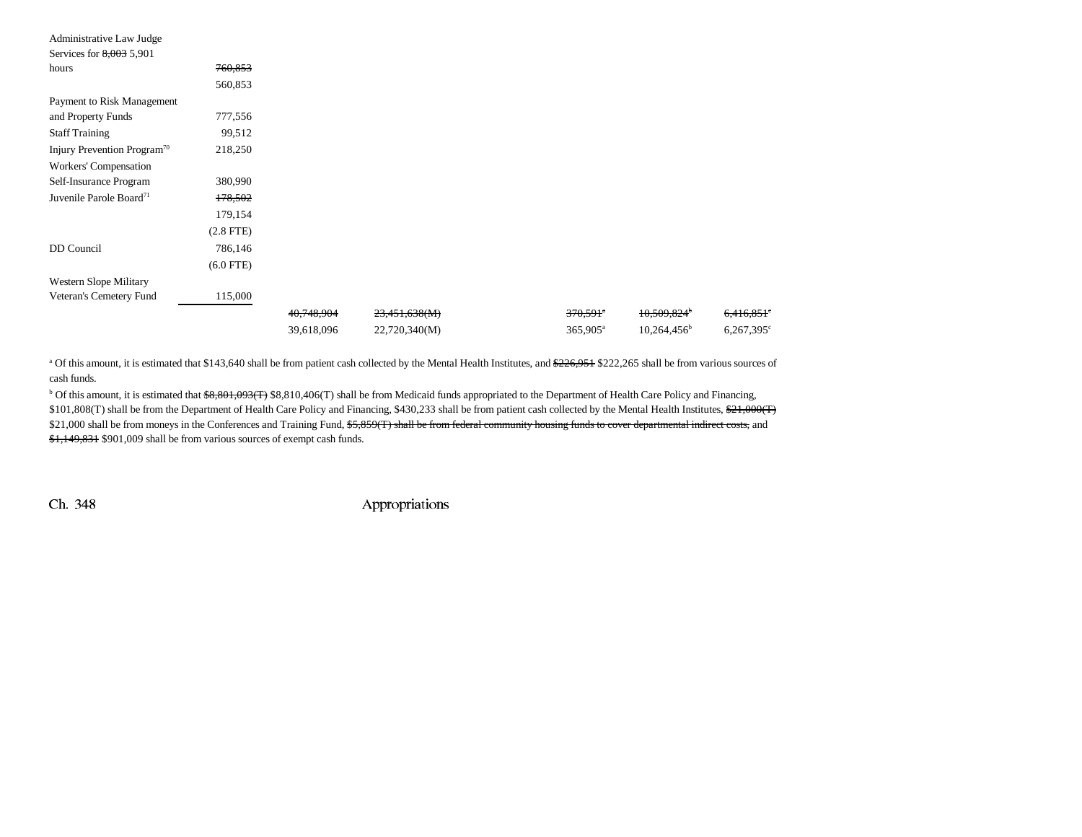| Administrative Law Judge                |                |            |               |                      |                         |                          |
|-----------------------------------------|----------------|------------|---------------|----------------------|-------------------------|--------------------------|
| Services for $8,003$ 5,901              |                |            |               |                      |                         |                          |
| hours                                   | 760,853        |            |               |                      |                         |                          |
|                                         | 560,853        |            |               |                      |                         |                          |
| Payment to Risk Management              |                |            |               |                      |                         |                          |
| and Property Funds                      | 777,556        |            |               |                      |                         |                          |
| <b>Staff Training</b>                   | 99,512         |            |               |                      |                         |                          |
| Injury Prevention Program <sup>70</sup> | 218,250        |            |               |                      |                         |                          |
| Workers' Compensation                   |                |            |               |                      |                         |                          |
| Self-Insurance Program                  | 380,990        |            |               |                      |                         |                          |
| Juvenile Parole Board <sup>71</sup>     | 178,502        |            |               |                      |                         |                          |
|                                         | 179,154        |            |               |                      |                         |                          |
|                                         | $(2.8$ FTE $)$ |            |               |                      |                         |                          |
| DD Council                              | 786,146        |            |               |                      |                         |                          |
|                                         | $(6.0$ FTE)    |            |               |                      |                         |                          |
| Western Slope Military                  |                |            |               |                      |                         |                          |
| Veteran's Cemetery Fund                 | 115,000        |            |               |                      |                         |                          |
|                                         |                | 40,748,904 | 23,451,638(M) | 370,591*             | 10,509,824 <sup>b</sup> | $6,416,851$ <sup>e</sup> |
|                                         |                | 39,618,096 | 22,720,340(M) | 365,905 <sup>a</sup> | $10,264,456^{\circ}$    | $6,267,395$ <sup>c</sup> |

<sup>a</sup> Of this amount, it is estimated that \$143,640 shall be from patient cash collected by the Mental Health Institutes, and \$226,951 \$222,265 shall be from various sources of cash funds.

 $b$  Of this amount, it is estimated that  $\frac{68,801,093(7)}{88,810,406(7)}$  shall be from Medicaid funds appropriated to the Department of Health Care Policy and Financing, \$101,808(T) shall be from the Department of Health Care Policy and Financing, \$430,233 shall be from patient cash collected by the Mental Health Institutes, \$21,000(T) \$21,000 shall be from moneys in the Conferences and Training Fund, \$5,859(T) shall be from federal community housing funds to cover departmental indirect costs, and \$1,149,831 \$901,009 shall be from various sources of exempt cash funds.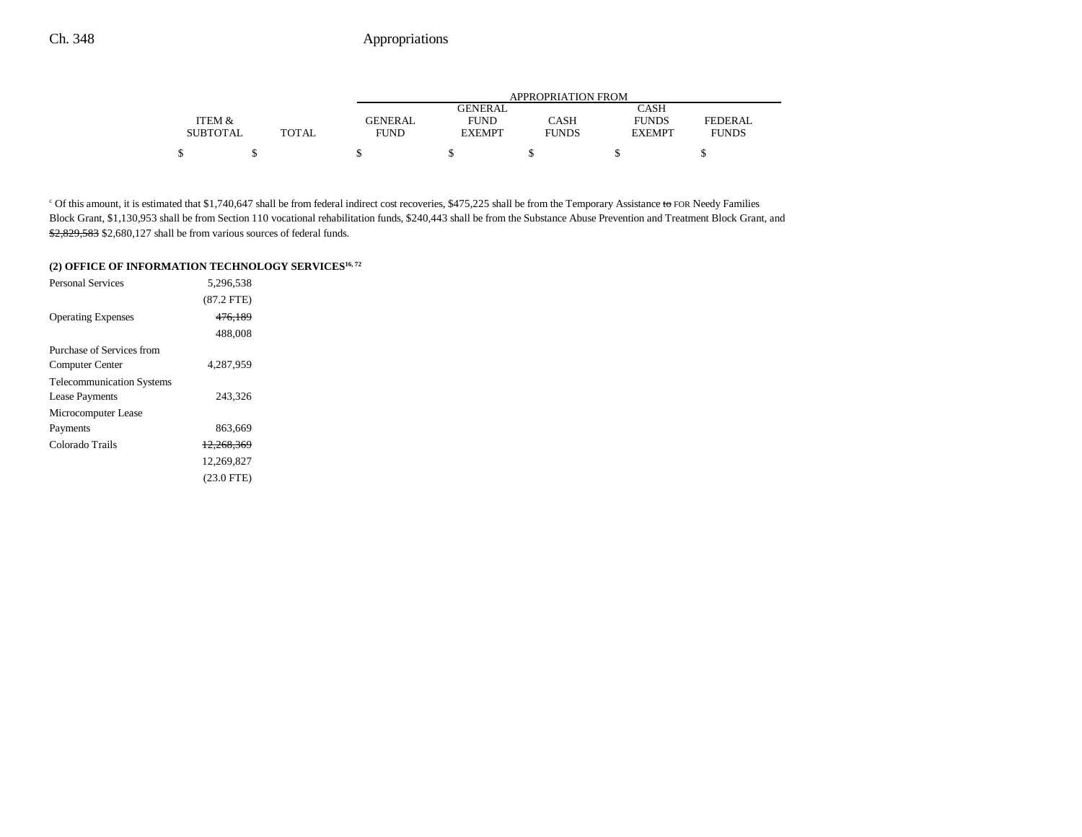|                 |              | APPROPRIATION FROM |                |              |               |                |  |
|-----------------|--------------|--------------------|----------------|--------------|---------------|----------------|--|
|                 |              |                    | <b>GENERAL</b> |              | CASH          |                |  |
| ITEM &          |              | <b>GENERAL</b>     | <b>FUND</b>    | CASH         | <b>FUNDS</b>  | <b>FEDERAL</b> |  |
| <b>SUBTOTAL</b> | <b>TOTAL</b> | FUND               | <b>EXEMPT</b>  | <b>FUNDS</b> | <b>EXEMPT</b> | <b>FUNDS</b>   |  |
| \$              |              |                    |                |              |               |                |  |

<sup>c</sup> Of this amount, it is estimated that \$1,740,647 shall be from federal indirect cost recoveries, \$475,225 shall be from the Temporary Assistance to FOR Needy Families Block Grant, \$1,130,953 shall be from Section 110 vocational rehabilitation funds, \$240,443 shall be from the Substance Abuse Prevention and Treatment Block Grant, and \$2,829,583 \$2,680,127 shall be from various sources of federal funds.

# **(2) OFFICE OF INFORMATION TECHNOLOGY SERVICES16, 72**

| <b>Personal Services</b>         | 5,296,538             |  |
|----------------------------------|-----------------------|--|
|                                  | $(87.2$ FTE)          |  |
| <b>Operating Expenses</b>        | 476.189               |  |
|                                  | 488,008               |  |
| Purchase of Services from        |                       |  |
| Computer Center                  | 4.287.959             |  |
| <b>Telecommunication Systems</b> |                       |  |
| <b>Lease Payments</b>            | 243,326               |  |
| Microcomputer Lease              |                       |  |
| Payments                         | 863,669               |  |
| Colorado Trails                  | <del>12.268.369</del> |  |
|                                  | 12.269.827            |  |
|                                  | (23.0 FTE)            |  |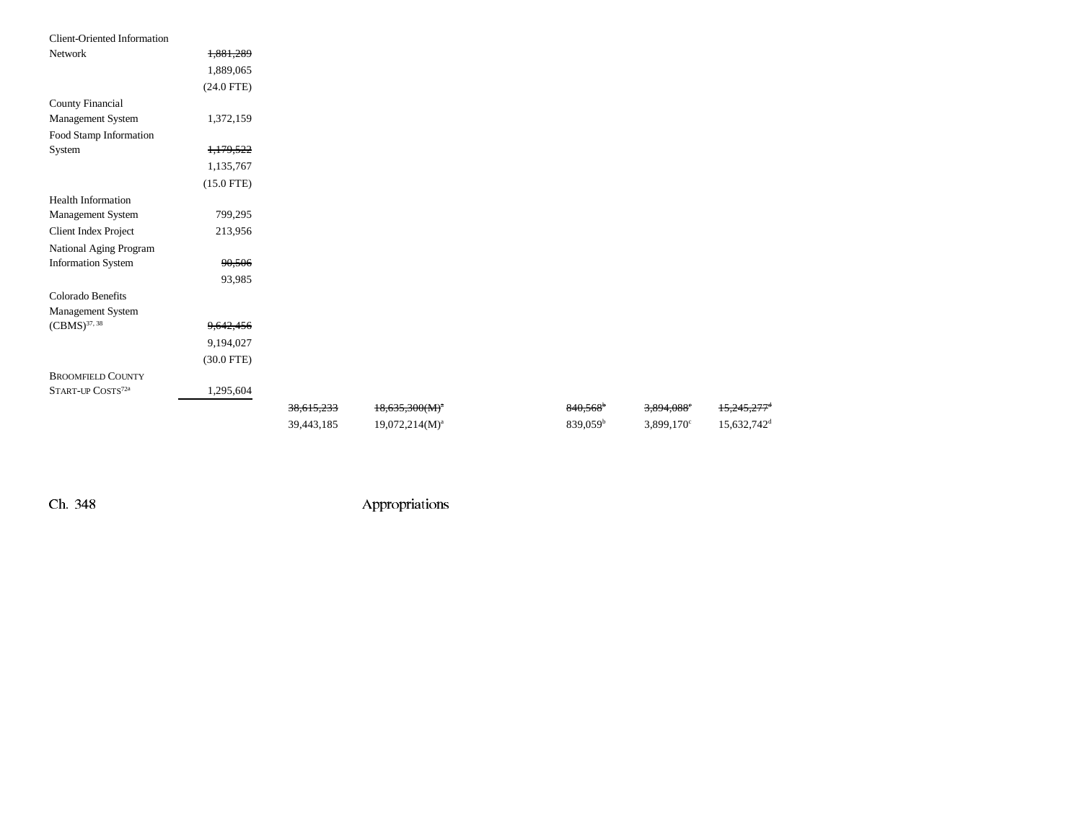| <b>Client-Oriented Information</b> |              |            |                   |                   |                        |                           |
|------------------------------------|--------------|------------|-------------------|-------------------|------------------------|---------------------------|
| Network                            | 1,881,289    |            |                   |                   |                        |                           |
|                                    | 1,889,065    |            |                   |                   |                        |                           |
|                                    | $(24.0$ FTE) |            |                   |                   |                        |                           |
| County Financial                   |              |            |                   |                   |                        |                           |
| Management System                  | 1,372,159    |            |                   |                   |                        |                           |
| Food Stamp Information             |              |            |                   |                   |                        |                           |
| System                             | 1,179,522    |            |                   |                   |                        |                           |
|                                    | 1,135,767    |            |                   |                   |                        |                           |
|                                    | $(15.0$ FTE) |            |                   |                   |                        |                           |
| <b>Health Information</b>          |              |            |                   |                   |                        |                           |
| Management System                  | 799,295      |            |                   |                   |                        |                           |
| Client Index Project               | 213,956      |            |                   |                   |                        |                           |
| National Aging Program             |              |            |                   |                   |                        |                           |
| <b>Information System</b>          | 90,506       |            |                   |                   |                        |                           |
|                                    | 93,985       |            |                   |                   |                        |                           |
| Colorado Benefits                  |              |            |                   |                   |                        |                           |
| Management System                  |              |            |                   |                   |                        |                           |
| $(CBMS)^{37, 38}$                  | 9,642,456    |            |                   |                   |                        |                           |
|                                    | 9,194,027    |            |                   |                   |                        |                           |
|                                    | $(30.0$ FTE) |            |                   |                   |                        |                           |
| <b>BROOMFIELD COUNTY</b>           |              |            |                   |                   |                        |                           |
| START-UP COSTS72a                  | 1,295,604    |            |                   |                   |                        |                           |
|                                    |              | 38,615,233 | $18,635,300(M)^4$ | 840,568           | 3,894,088 <sup>e</sup> | $15,245,277$ <sup>d</sup> |
|                                    |              | 39,443,185 | $19,072,214(M)^a$ | $839,059^{\rm b}$ | 3,899,170 <sup>c</sup> | 15,632,742 <sup>d</sup>   |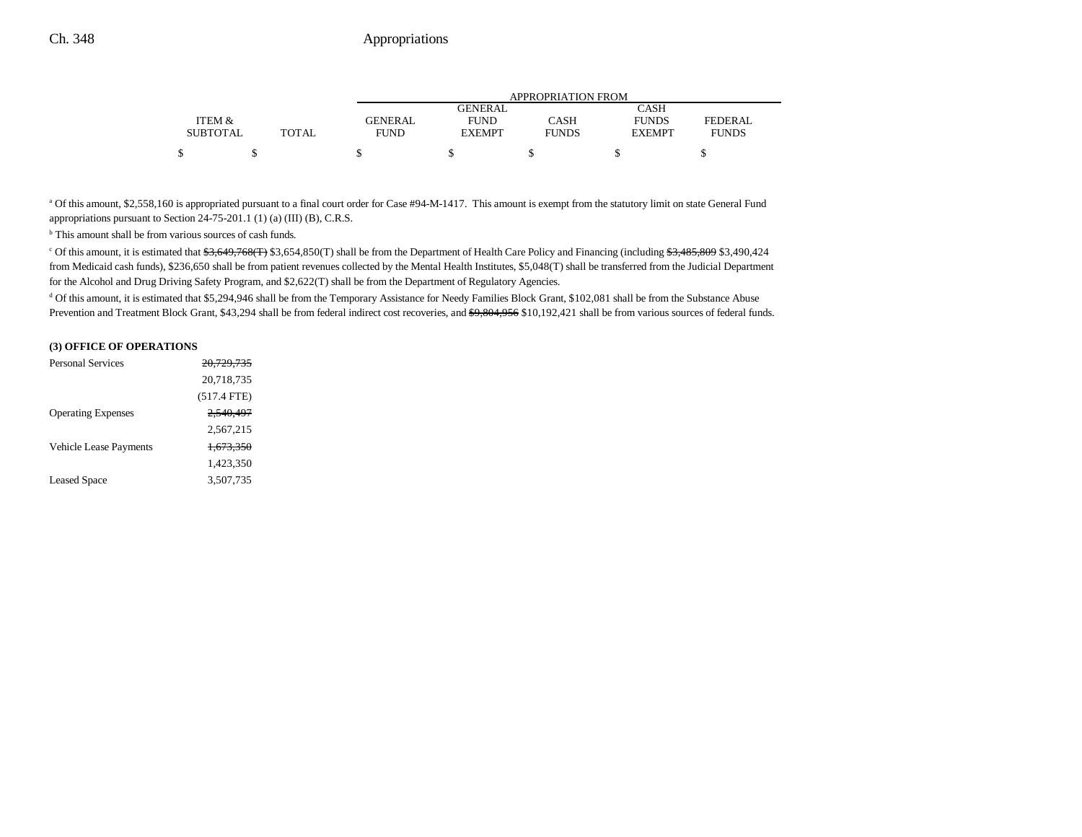|                 |       |                | APPROPRIATION FROM |              |               |              |  |
|-----------------|-------|----------------|--------------------|--------------|---------------|--------------|--|
|                 |       |                | <b>GENERAL</b>     |              | CASH          |              |  |
| ITEM &          |       | <b>GENERAL</b> | <b>FUND</b>        | CASH         | <b>FUNDS</b>  | FEDERAL      |  |
| <b>SUBTOTAL</b> | TOTAL | <b>FUND</b>    | <b>EXEMPT</b>      | <b>FUNDS</b> | <b>EXEMPT</b> | <b>FUNDS</b> |  |
|                 |       |                |                    |              |               |              |  |

<sup>a</sup> Of this amount, \$2,558,160 is appropriated pursuant to a final court order for Case #94-M-1417. This amount is exempt from the statutory limit on state General Fund appropriations pursuant to Section 24-75-201.1 (1) (a) (III) (B), C.R.S.

<sup>b</sup> This amount shall be from various sources of cash funds.

<sup>c</sup> Of this amount, it is estimated that  $\frac{63}{649}$ ,  $\frac{768}{10}$  \$3,654,850(T) shall be from the Department of Health Care Policy and Financing (including  $\frac{63}{63}$ ,  $\frac{485}{609}$  \$3,490,424 from Medicaid cash funds), \$236,650 shall be from patient revenues collected by the Mental Health Institutes, \$5,048(T) shall be transferred from the Judicial Department for the Alcohol and Drug Driving Safety Program, and \$2,622(T) shall be from the Department of Regulatory Agencies.

<sup>d</sup> Of this amount, it is estimated that \$5,294,946 shall be from the Temporary Assistance for Needy Families Block Grant, \$102,081 shall be from the Substance Abuse Prevention and Treatment Block Grant, \$43,294 shall be from federal indirect cost recoveries, and \$9,804,956 \$10,192,421 shall be from various sources of federal funds.

#### **(3) OFFICE OF OPERATIONS**

| <b>Personal Services</b>  | 20,729,735           |  |
|---------------------------|----------------------|--|
|                           | 20,718,735           |  |
|                           | $(517.4$ FTE)        |  |
| <b>Operating Expenses</b> | 2.540.497            |  |
|                           | 2,567,215            |  |
| Vehicle Lease Payments    | <del>1.673.350</del> |  |
|                           | 1,423,350            |  |
| <b>Leased Space</b>       | 3,507,735            |  |
|                           |                      |  |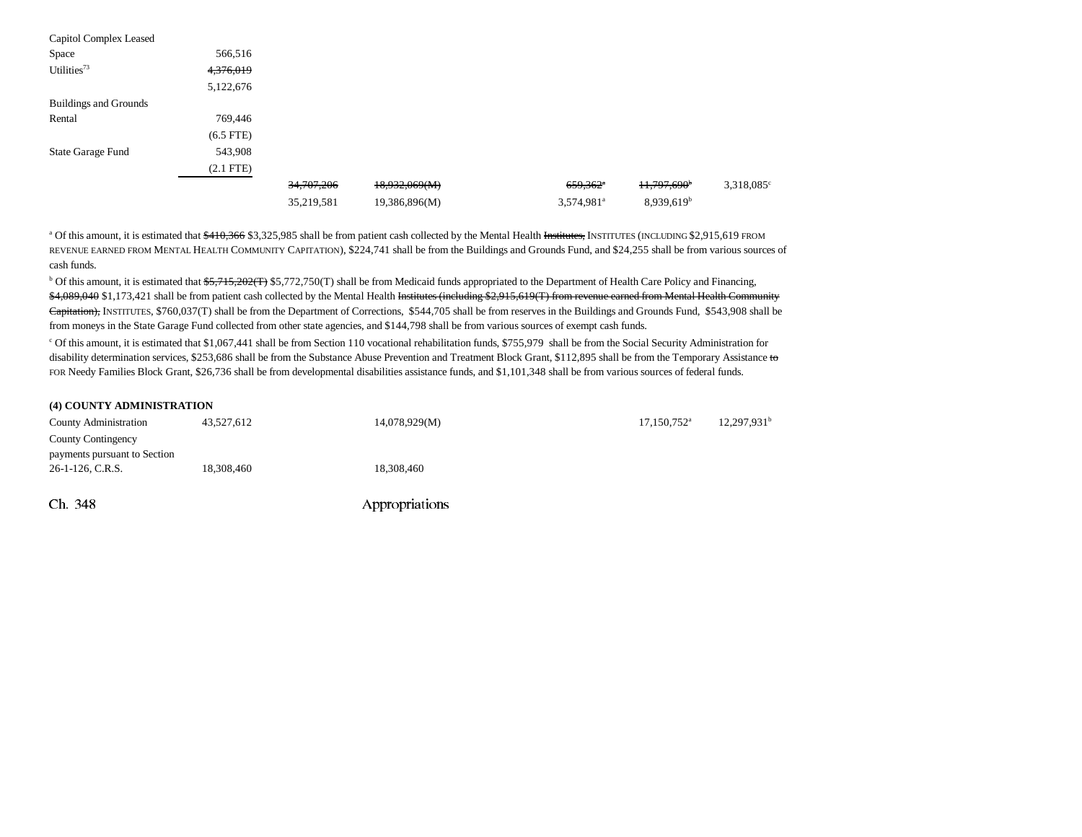| Capitol Complex Leased       |             |              |               |                        |                         |                     |
|------------------------------|-------------|--------------|---------------|------------------------|-------------------------|---------------------|
| Space                        | 566,516     |              |               |                        |                         |                     |
| Utilities <sup>73</sup>      | 4,376,019   |              |               |                        |                         |                     |
|                              | 5,122,676   |              |               |                        |                         |                     |
| <b>Buildings and Grounds</b> |             |              |               |                        |                         |                     |
| Rental                       | 769,446     |              |               |                        |                         |                     |
|                              | $(6.5$ FTE) |              |               |                        |                         |                     |
| State Garage Fund            | 543,908     |              |               |                        |                         |                     |
|                              | $(2.1$ FTE) |              |               |                        |                         |                     |
|                              |             | 34, 707, 206 | 18,932,069(M) | $659,362$ <sup>a</sup> | 11,797,690 <sup>b</sup> | $3,318,085^{\circ}$ |
|                              |             | 35,219,581   | 19,386,896(M) | 3,574,981 <sup>a</sup> | 8,939,619 <sup>b</sup>  |                     |

<sup>a</sup> Of this amount, it is estimated that  $\frac{6410,366}{83,325,985}$  shall be from patient cash collected by the Mental Health Institutes, INSTITUTES (INCLUDING \$2,915,619 FROM REVENUE EARNED FROM MENTAL HEALTH COMMUNITY CAPITATION), \$224,741 shall be from the Buildings and Grounds Fund, and \$24,255 shall be from various sources of cash funds.

<sup>b</sup> Of this amount, it is estimated that \$5,715,202(T) \$5,772,750(T) shall be from Medicaid funds appropriated to the Department of Health Care Policy and Financing, \$4,089,040 \$1,173,421 shall be from patient cash collected by the Mental Health Institutes (including \$2,915,619(T) from revenue earned from Mental Health Community Capitation), INSTITUTES, \$760,037(T) shall be from the Department of Corrections, \$544,705 shall be from reserves in the Buildings and Grounds Fund, \$543,908 shall be from moneys in the State Garage Fund collected from other state agencies, and \$144,798 shall be from various sources of exempt cash funds.

<sup>c</sup> Of this amount, it is estimated that \$1,067,441 shall be from Section 110 vocational rehabilitation funds, \$755,979 shall be from the Social Security Administration for disability determination services, \$253,686 shall be from the Substance Abuse Prevention and Treatment Block Grant, \$112,895 shall be from the Temporary Assistance to FOR Needy Families Block Grant, \$26,736 shall be from developmental disabilities assistance funds, and \$1,101,348 shall be from various sources of federal funds.

#### **(4) COUNTY ADMINISTRATION**

| <b>County Administration</b>                       | 43,527,612 | 14,078,929(M)  | $17,150,752$ <sup>a</sup> | 12,297,931 <sup>t</sup> |
|----------------------------------------------------|------------|----------------|---------------------------|-------------------------|
| County Contingency<br>payments pursuant to Section |            |                |                           |                         |
| 26-1-126, C.R.S.                                   | 18,308,460 | 18,308,460     |                           |                         |
| Ch. 348                                            |            | Appropriations |                           |                         |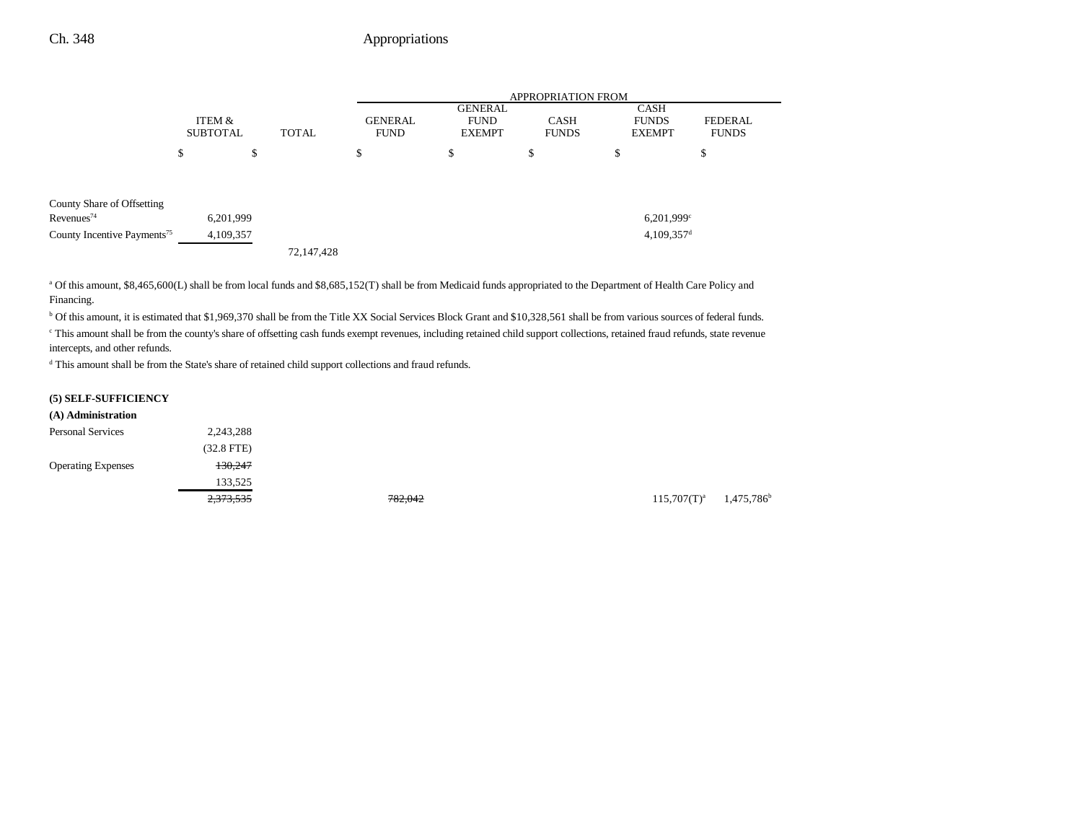|                                                      |                           |    |            |    |                                               | <b>APPROPRIATION FROM</b> |                                                                        |                          |                                       |  |                         |
|------------------------------------------------------|---------------------------|----|------------|----|-----------------------------------------------|---------------------------|------------------------------------------------------------------------|--------------------------|---------------------------------------|--|-------------------------|
|                                                      | ITEM &<br><b>SUBTOTAL</b> |    |            |    | <b>GENERAL</b><br><b>TOTAL</b><br><b>FUND</b> |                           | GENERAL<br><b>CASH</b><br><b>FUND</b><br><b>EXEMPT</b><br><b>FUNDS</b> |                          | CASH<br><b>FUNDS</b><br><b>EXEMPT</b> |  | FEDERAL<br><b>FUNDS</b> |
|                                                      | \$                        | \$ |            | \$ | \$                                            | \$                        | \$                                                                     |                          | \$                                    |  |                         |
| County Share of Offsetting<br>Revenues <sup>74</sup> | 6,201,999                 |    |            |    |                                               |                           |                                                                        | $6,201,999$ <sup>c</sup> |                                       |  |                         |
| County Incentive Payments <sup>75</sup>              | 4,109,357                 |    |            |    |                                               |                           |                                                                        | $4,109,357$ <sup>d</sup> |                                       |  |                         |
|                                                      |                           |    | 72,147,428 |    |                                               |                           |                                                                        |                          |                                       |  |                         |

a Of this amount, \$8,465,600(L) shall be from local funds and \$8,685,152(T) shall be from Medicaid funds appropriated to the Department of Health Care Policy and Financing.

b Of this amount, it is estimated that \$1,969,370 shall be from the Title XX Social Services Block Grant and \$10,328,561 shall be from various sources of federal funds.

c This amount shall be from the county's share of offsetting cash funds exempt revenues, including retained child support collections, retained fraud refunds, state revenue intercepts, and other refunds.

d This amount shall be from the State's share of retained child support collections and fraud refunds.

## **(5) SELF-SUFFICIENCY**

| (A) Administration        |              |
|---------------------------|--------------|
| <b>Personal Services</b>  | 2.243.288    |
|                           | $(32.8$ FTE) |
| <b>Operating Expenses</b> | 130.247      |
|                           | 133,525      |
|                           | 273.535      |

2,373,535 782,042 782,042 782,042 115,707(T)<sup>a</sup> 1,475,786<sup>b</sup>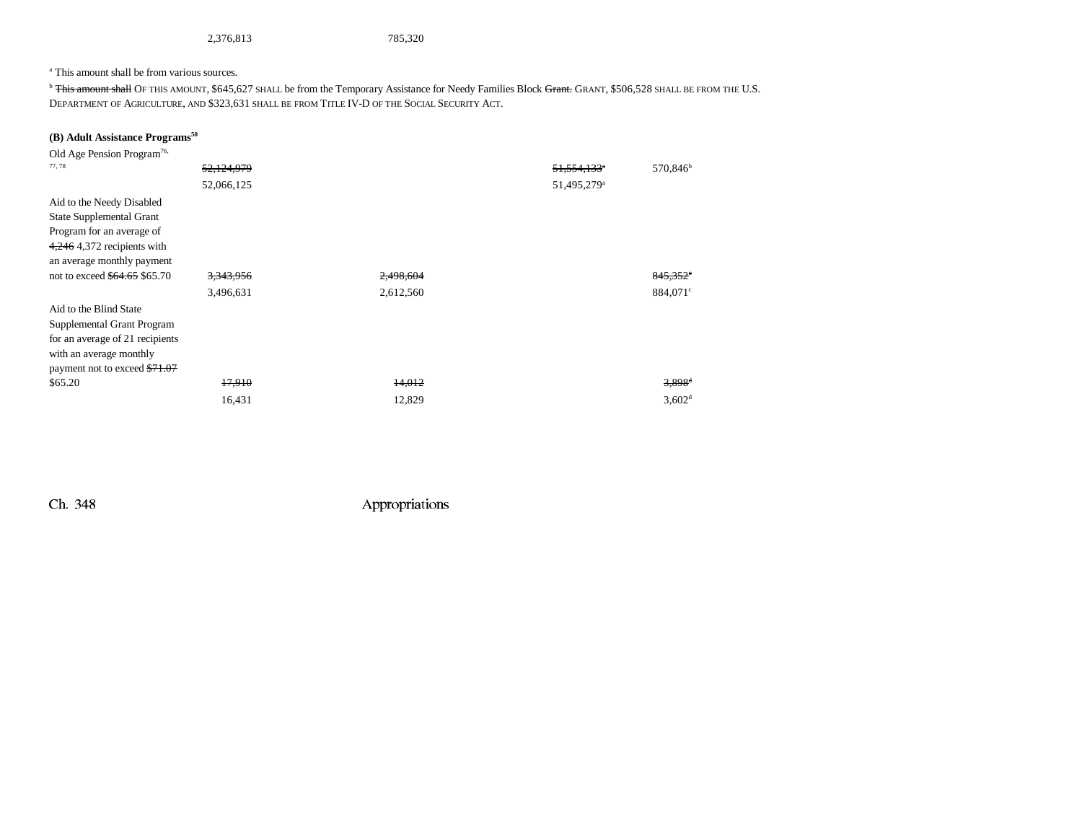2,376,813 785,320

#### a This amount shall be from various sources.

<sup>b</sup> This amount shall OF THIS AMOUNT, \$645,627 SHALL be from the Temporary Assistance for Needy Families Block Grant. GRANT, \$506,528 SHALL BE FROM THE U.S. DEPARTMENT OF AGRICULTURE, AND \$323,631 SHALL BE FROM TITLE IV-D OF THE SOCIAL SECURITY ACT.

## **(B) Adult Assistance Programs50**

| Old Age Pension Program <sup>76,</sup> |                      |           |                         |                      |
|----------------------------------------|----------------------|-----------|-------------------------|----------------------|
| 77,78                                  | 52.124.979           |           | 51,554,133 <sup>a</sup> | 570,846 <sup>b</sup> |
|                                        | 52,066,125           |           | 51,495,279 <sup>a</sup> |                      |
| Aid to the Needy Disabled              |                      |           |                         |                      |
| <b>State Supplemental Grant</b>        |                      |           |                         |                      |
| Program for an average of              |                      |           |                         |                      |
| $4,246$ 4,372 recipients with          |                      |           |                         |                      |
| an average monthly payment             |                      |           |                         |                      |
| not to exceed \$64.65 \$65.70          | <del>3,343,956</del> | 2,498,604 |                         | 845,352°             |
|                                        | 3,496,631            | 2,612,560 |                         | 884,071 <sup>c</sup> |
| Aid to the Blind State                 |                      |           |                         |                      |
| Supplemental Grant Program             |                      |           |                         |                      |
| for an average of 21 recipients        |                      |           |                         |                      |
| with an average monthly                |                      |           |                         |                      |
| payment not to exceed \$71.07          |                      |           |                         |                      |
| \$65.20                                | 17,910               | 14,012    |                         | $3,898$ <sup>d</sup> |
|                                        | 16,431               | 12,829    |                         | 3,602 <sup>d</sup>   |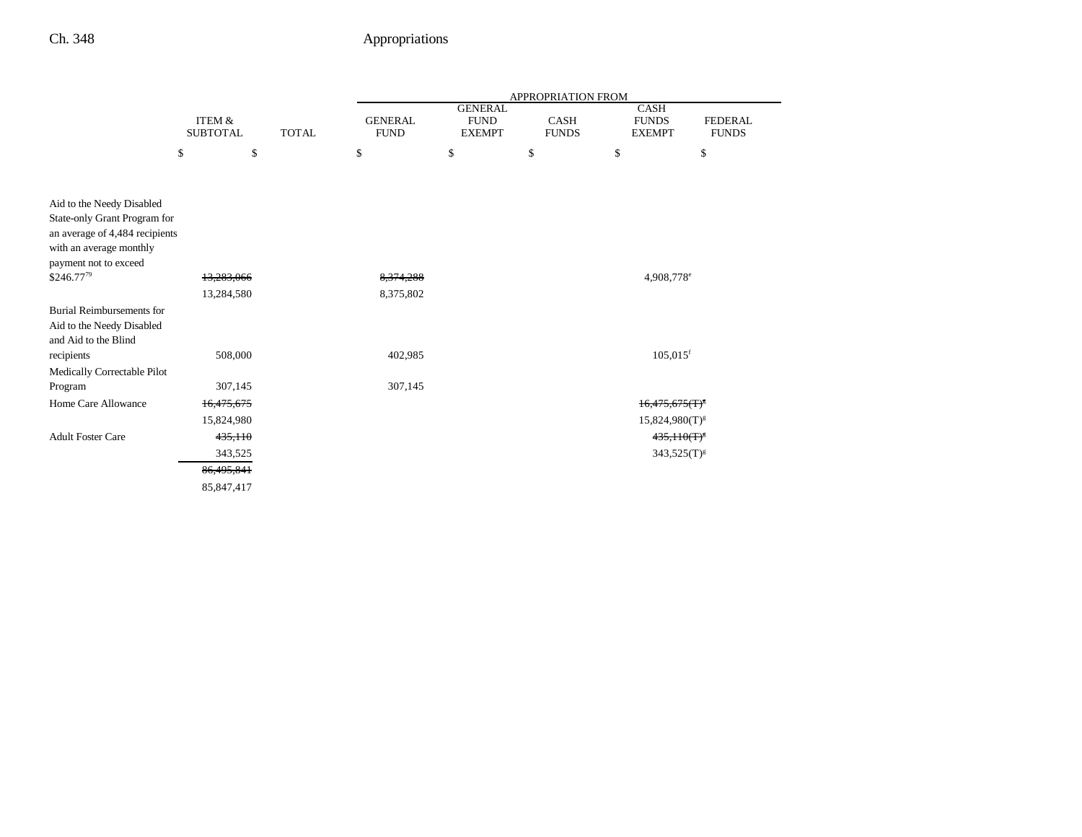|                                                                                                                                                 |                           |              |                               |                                                | APPROPRIATION FROM   |                                       |                                |
|-------------------------------------------------------------------------------------------------------------------------------------------------|---------------------------|--------------|-------------------------------|------------------------------------------------|----------------------|---------------------------------------|--------------------------------|
|                                                                                                                                                 | ITEM &<br><b>SUBTOTAL</b> | <b>TOTAL</b> | <b>GENERAL</b><br><b>FUND</b> | <b>GENERAL</b><br><b>FUND</b><br><b>EXEMPT</b> | CASH<br><b>FUNDS</b> | CASH<br><b>FUNDS</b><br><b>EXEMPT</b> | <b>FEDERAL</b><br><b>FUNDS</b> |
|                                                                                                                                                 | \$<br>\$                  |              | \$                            | \$                                             | \$                   | \$                                    | \$                             |
|                                                                                                                                                 |                           |              |                               |                                                |                      |                                       |                                |
| Aid to the Needy Disabled<br>State-only Grant Program for<br>an average of 4,484 recipients<br>with an average monthly<br>payment not to exceed |                           |              |                               |                                                |                      |                                       |                                |
| \$246.7779                                                                                                                                      | 13,283,066                |              | 8,374,288                     |                                                |                      | 4,908,778 <sup>e</sup>                |                                |
|                                                                                                                                                 | 13,284,580                |              | 8,375,802                     |                                                |                      |                                       |                                |
| <b>Burial Reimbursements for</b><br>Aid to the Needy Disabled<br>and Aid to the Blind<br>recipients                                             | 508,000                   |              | 402,985                       |                                                |                      | $105,015$ <sup>f</sup>                |                                |
| Medically Correctable Pilot                                                                                                                     |                           |              |                               |                                                |                      |                                       |                                |
| Program<br>Home Care Allowance                                                                                                                  | 307,145<br>16,475,675     |              | 307,145                       |                                                |                      | $16,475,675$ (T) <sup>8</sup>         |                                |
|                                                                                                                                                 | 15,824,980                |              |                               |                                                |                      | $15,824,980(T)^{g}$                   |                                |
| <b>Adult Foster Care</b>                                                                                                                        | 435,110                   |              |                               |                                                |                      | $435,110(T)^8$                        |                                |
|                                                                                                                                                 | 343,525                   |              |                               |                                                |                      | $343,525(T)^{g}$                      |                                |
|                                                                                                                                                 | 86,495,841                |              |                               |                                                |                      |                                       |                                |
|                                                                                                                                                 | 85,847,417                |              |                               |                                                |                      |                                       |                                |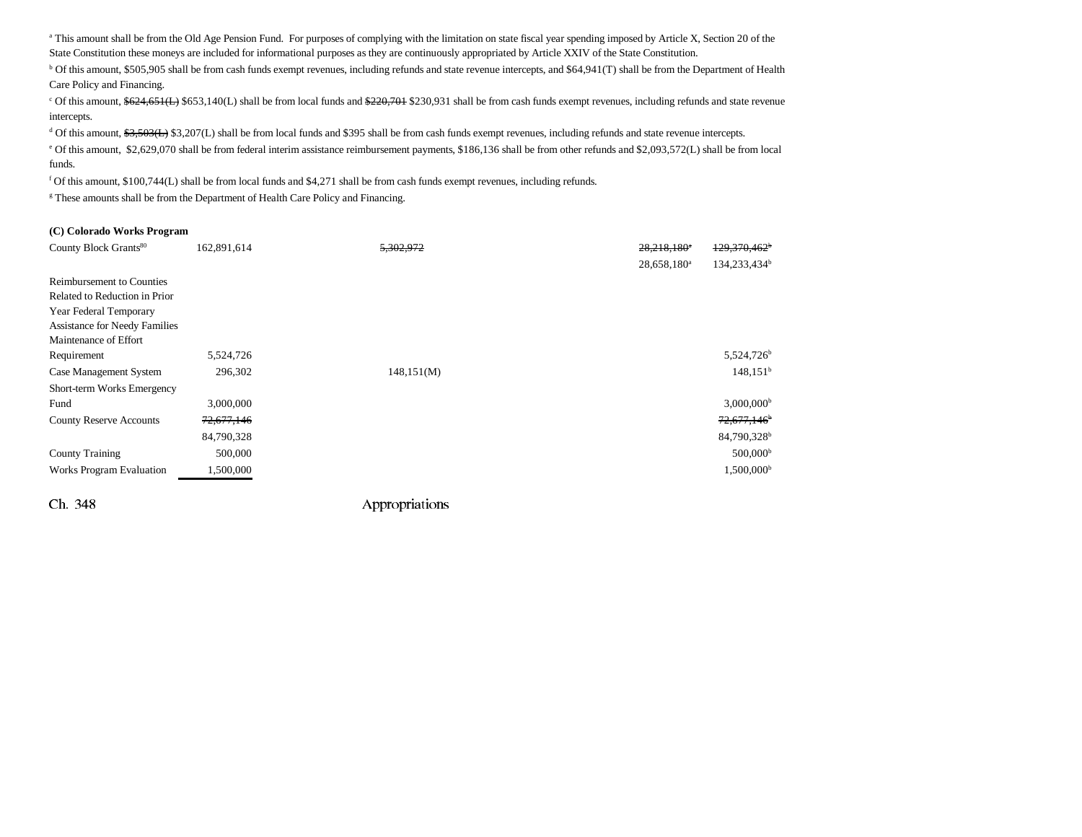<sup>a</sup> This amount shall be from the Old Age Pension Fund. For purposes of complying with the limitation on state fiscal year spending imposed by Article X, Section 20 of the State Constitution these moneys are included for informational purposes as they are continuously appropriated by Article XXIV of the State Constitution.

b Of this amount, \$505,905 shall be from cash funds exempt revenues, including refunds and state revenue intercepts, and \$64,941(T) shall be from the Department of Health Care Policy and Financing.

<sup>c</sup> Of this amount, \$624,651(L) \$653,140(L) shall be from local funds and \$220,701 \$230,931 shall be from cash funds exempt revenues, including refunds and state revenue intercepts.

<sup>d</sup> Of this amount, \$3,503(L) \$3,207(L) shall be from local funds and \$395 shall be from cash funds exempt revenues, including refunds and state revenue intercepts.

e Of this amount, \$2,629,070 shall be from federal interim assistance reimbursement payments, \$186,136 shall be from other refunds and \$2,093,572(L) shall be from local funds.

f Of this amount, \$100,744(L) shall be from local funds and \$4,271 shall be from cash funds exempt revenues, including refunds.

<sup>g</sup> These amounts shall be from the Department of Health Care Policy and Financing.

#### **(C) Colorado Works Program**

| County Block Grants <sup>80</sup>    | 162,891,614 | 5.302.972  | 28,218,180 <sup>e</sup> | $129.370.462^b$          |
|--------------------------------------|-------------|------------|-------------------------|--------------------------|
|                                      |             |            | 28,658,180 <sup>a</sup> | 134,233,434 <sup>b</sup> |
| <b>Reimbursement to Counties</b>     |             |            |                         |                          |
| Related to Reduction in Prior        |             |            |                         |                          |
| Year Federal Temporary               |             |            |                         |                          |
| <b>Assistance for Needy Families</b> |             |            |                         |                          |
| Maintenance of Effort                |             |            |                         |                          |
| Requirement                          | 5,524,726   |            |                         | 5,524,726 <sup>b</sup>   |
| Case Management System               | 296,302     | 148,151(M) |                         | $148,151^{\rm b}$        |
| Short-term Works Emergency           |             |            |                         |                          |
| Fund                                 | 3,000,000   |            |                         | $3,000,000$ <sup>b</sup> |
| <b>County Reserve Accounts</b>       | 72,677,146  |            |                         | 72,677,146 <sup>b</sup>  |
|                                      | 84,790,328  |            |                         | 84,790,328 <sup>b</sup>  |
| <b>County Training</b>               | 500,000     |            |                         | 500,000 <sup>b</sup>     |
| Works Program Evaluation             | 1,500,000   |            |                         | 1,500,000 <sup>b</sup>   |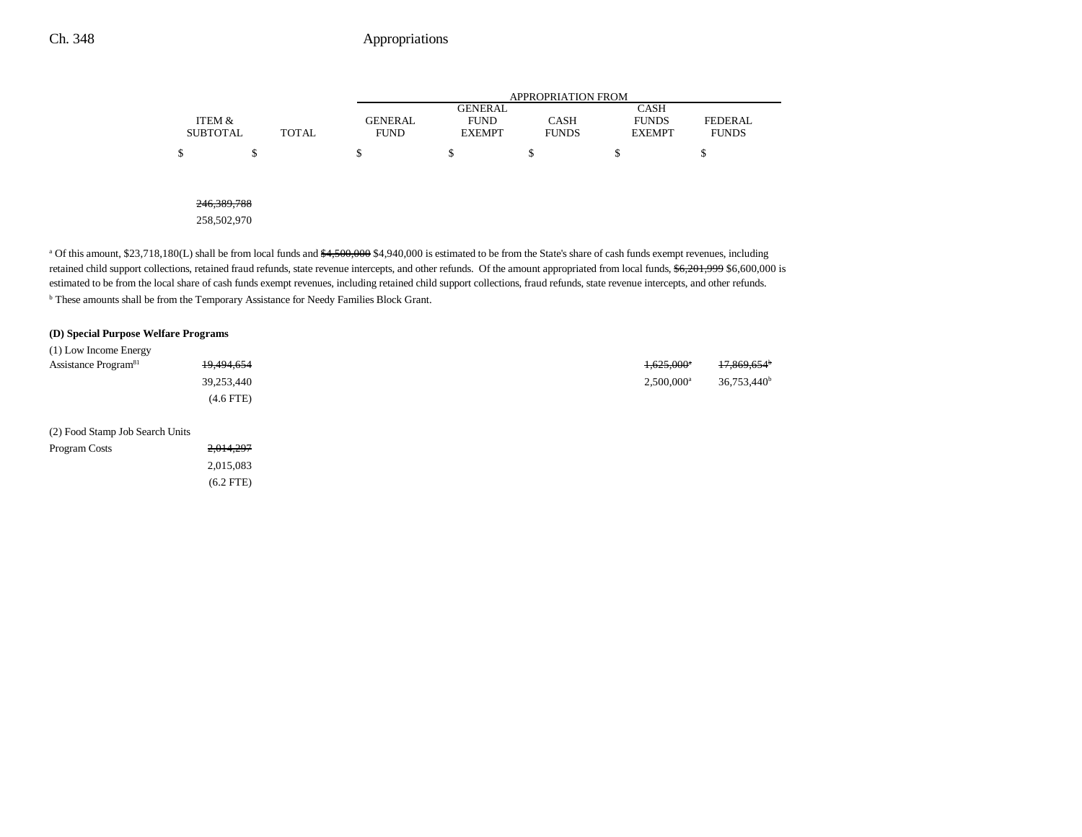|                           |       |                               | <b>APPROPRIATION FROM</b>    |                             |                               |                                |  |  |
|---------------------------|-------|-------------------------------|------------------------------|-----------------------------|-------------------------------|--------------------------------|--|--|
|                           |       |                               | <b>GENERAL</b>               |                             | <b>CASH</b>                   |                                |  |  |
| ITEM &<br><b>SUBTOTAL</b> | TOTAL | <b>GENERAL</b><br><b>FUND</b> | <b>FUND</b><br><b>EXEMPT</b> | <b>CASH</b><br><b>FUNDS</b> | <b>FUNDS</b><br><b>EXEMPT</b> | <b>FEDERAL</b><br><b>FUNDS</b> |  |  |
|                           |       |                               |                              |                             |                               |                                |  |  |
| \$<br>¢<br>Φ              |       | \$                            | \$                           | \$                          | \$                            | \$                             |  |  |
|                           |       |                               |                              |                             |                               |                                |  |  |
|                           |       |                               |                              |                             |                               |                                |  |  |
| 246, 389, 788             |       |                               |                              |                             |                               |                                |  |  |
| 258,502,970               |       |                               |                              |                             |                               |                                |  |  |

<sup>a</sup> Of this amount, \$23,718,180(L) shall be from local funds and \$4,500,000 \$4,940,000 is estimated to be from the State's share of cash funds exempt revenues, including retained child support collections, retained fraud refunds, state revenue intercepts, and other refunds. Of the amount appropriated from local funds, \$6,201,999 \$6,600,000 is estimated to be from the local share of cash funds exempt revenues, including retained child support collections, fraud refunds, state revenue intercepts, and other refunds. b These amounts shall be from the Temporary Assistance for Needy Families Block Grant.

#### **(D) Special Purpose Welfare Programs**

| (1) Low Income Energy            |            |                          |                         |
|----------------------------------|------------|--------------------------|-------------------------|
| Assistance Program <sup>81</sup> | 19,494,654 | $+625.000^*$             | <del>17,869,654</del> * |
|                                  | 39.253.440 | $2.500.000$ <sup>a</sup> | 36.753.440 <sup>b</sup> |
|                                  | (4.6 FTE)  |                          |                         |

(2) Food Stamp Job Search Units

| Program Costs | 2,014,297   |
|---------------|-------------|
|               | 2.015.083   |
|               | $(6.2$ FTE) |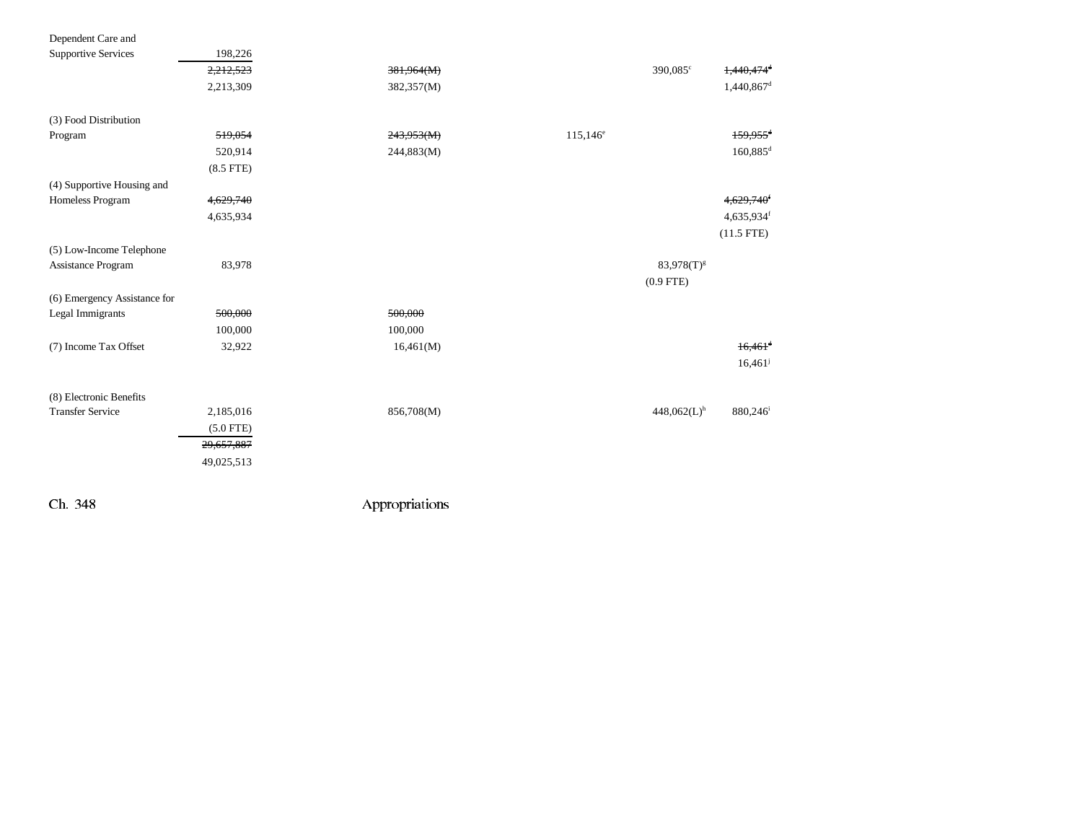| Dependent Care and           |             |            |             |                           |                          |
|------------------------------|-------------|------------|-------------|---------------------------|--------------------------|
| <b>Supportive Services</b>   | 198,226     |            |             |                           |                          |
|                              | 2,212,523   | 381,964(M) |             | 390,085°                  | $1,440,474$ <sup>d</sup> |
|                              | 2,213,309   | 382,357(M) |             |                           | 1,440,867 <sup>d</sup>   |
| (3) Food Distribution        |             |            |             |                           |                          |
| Program                      | 519,054     | 243,953(M) | $115,146^e$ |                           | $159,955$ <sup>d</sup>   |
|                              | 520,914     | 244,883(M) |             |                           | $160,885$ <sup>d</sup>   |
|                              | $(8.5$ FTE) |            |             |                           |                          |
|                              |             |            |             |                           |                          |
| (4) Supportive Housing and   |             |            |             |                           |                          |
| Homeless Program             | 4,629,740   |            |             |                           | 4,629,740 <sup>f</sup>   |
|                              | 4,635,934   |            |             |                           | 4,635,934f               |
|                              |             |            |             |                           | $(11.5$ FTE)             |
| (5) Low-Income Telephone     |             |            |             |                           |                          |
| Assistance Program           | 83,978      |            |             | $83,978(T)^{g}$           |                          |
|                              |             |            |             | $(0.9$ FTE)               |                          |
| (6) Emergency Assistance for |             |            |             |                           |                          |
| Legal Immigrants             | 500,000     | 500,000    |             |                           |                          |
|                              | 100,000     | 100,000    |             |                           |                          |
| (7) Income Tax Offset        | 32,922      | 16,461(M)  |             |                           | $16,461$ <sup>d</sup>    |
|                              |             |            |             |                           | 16,461                   |
|                              |             |            |             |                           |                          |
| (8) Electronic Benefits      |             |            |             |                           |                          |
| <b>Transfer Service</b>      | 2,185,016   | 856,708(M) |             | $448,062(L)$ <sup>h</sup> | 880,246 <sup>i</sup>     |
|                              | $(5.0$ FTE) |            |             |                           |                          |
|                              | 29,657,887  |            |             |                           |                          |
|                              | 49,025,513  |            |             |                           |                          |
|                              |             |            |             |                           |                          |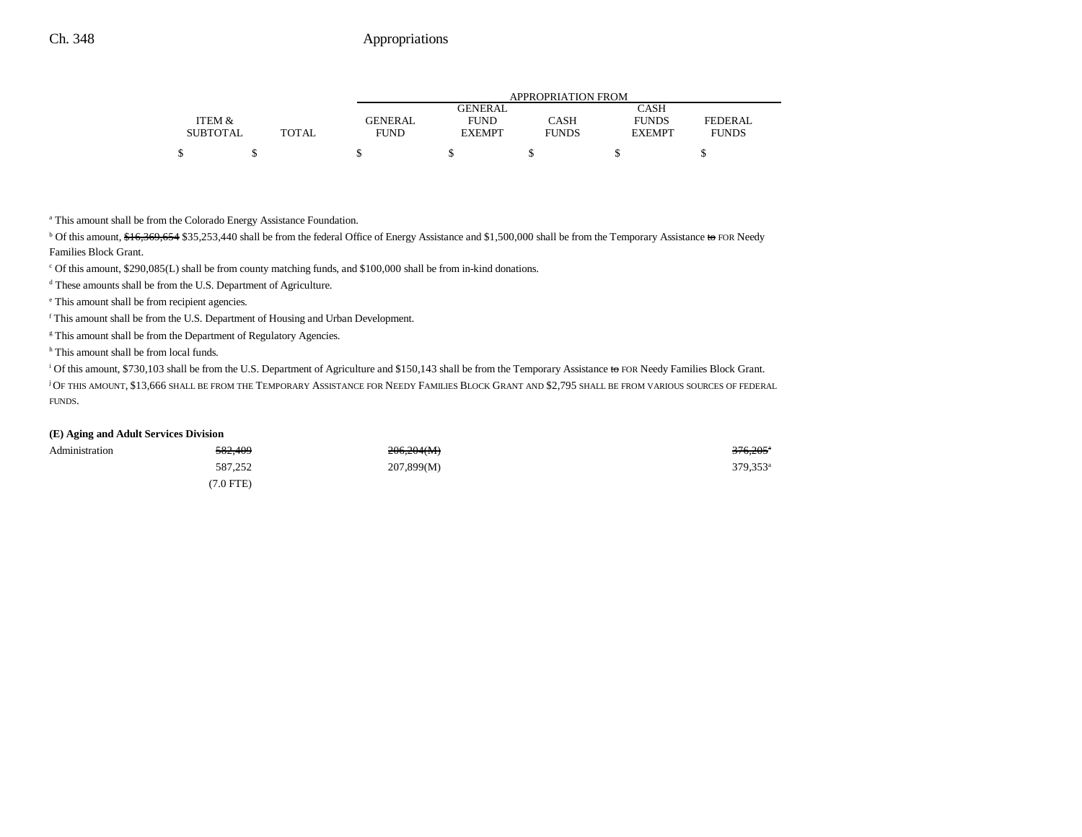|                 |       | APPROPRIATION FROM |               |              |               |                |  |
|-----------------|-------|--------------------|---------------|--------------|---------------|----------------|--|
|                 |       |                    | GENERAL       |              | <b>CASH</b>   |                |  |
| ITEM &          |       | GENERAL            | <b>FUND</b>   | CASH         | <b>FUNDS</b>  | <b>FEDERAL</b> |  |
| <b>SUBTOTAL</b> | TOTAL | <b>FUND</b>        | <b>EXEMPT</b> | <b>FUNDS</b> | <b>EXEMPT</b> | <b>FUNDS</b>   |  |
|                 |       |                    |               |              |               |                |  |
|                 |       |                    |               |              |               |                |  |

a This amount shall be from the Colorado Energy Assistance Foundation.

<sup>b</sup> Of this amount, \$16,369,654 \$35,253,440 shall be from the federal Office of Energy Assistance and \$1,500,000 shall be from the Temporary Assistance to FOR Needy Families Block Grant.

 $\degree$  Of this amount, \$290,085(L) shall be from county matching funds, and \$100,000 shall be from in-kind donations.

d These amounts shall be from the U.S. Department of Agriculture.

e This amount shall be from recipient agencies.

f This amount shall be from the U.S. Department of Housing and Urban Development.

<sup>g</sup> This amount shall be from the Department of Regulatory Agencies.

<sup>h</sup> This amount shall be from local funds.

<sup>i</sup> Of this amount, \$730,103 shall be from the U.S. Department of Agriculture and \$150,143 shall be from the Temporary Assistance to FOR Needy Families Block Grant.

j OF THIS AMOUNT, \$13,666 SHALL BE FROM THE TEMPORARY ASSISTANCE FOR NEEDY FAMILIES BLOCK GRANT AND \$2,795 SHALL BE FROM VARIOUS SOURCES OF FEDERAL FUNDS.

#### **(E) Aging and Adult Services Division**

| Administration | <del>582,409</del> | 206,204(M) | 376,205              |
|----------------|--------------------|------------|----------------------|
|                | 587,252            | 207,899(M) | 379,353 <sup>e</sup> |
|                | $(7.0$ FTE)        |            |                      |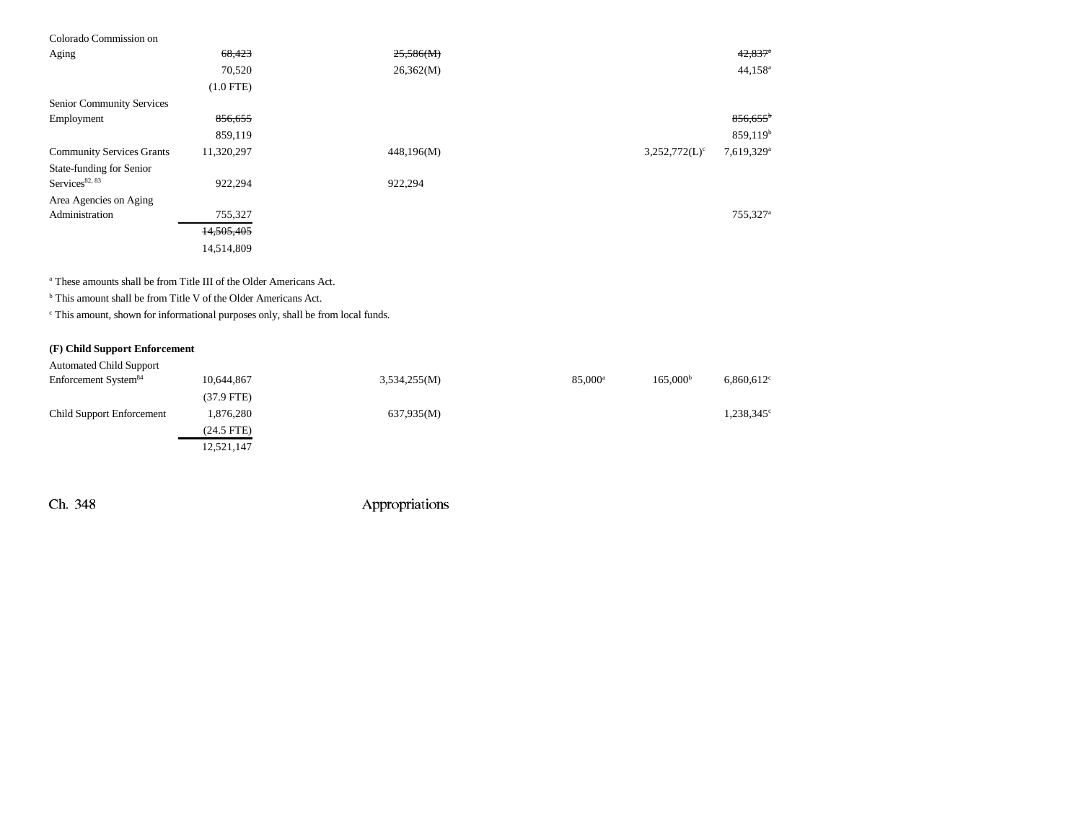## Colorado Commission on

| Aging                            | 68,423      | 25,586(M)  | $42,837$ <sup>a</sup>                                 |
|----------------------------------|-------------|------------|-------------------------------------------------------|
|                                  | 70,520      | 26,362(M)  | $44,158^{\circ}$                                      |
|                                  | $(1.0$ FTE) |            |                                                       |
| Senior Community Services        |             |            |                                                       |
| Employment                       | 856,655     |            | $856,655$ <sup>b</sup>                                |
|                                  | 859,119     |            | 859,119 <sup>b</sup>                                  |
| <b>Community Services Grants</b> | 11,320,297  | 448,196(M) | 7,619,329 <sup>a</sup><br>$3,252,772(L)$ <sup>c</sup> |
| State-funding for Senior         |             |            |                                                       |
| Services <sup>82, 83</sup>       | 922,294     | 922,294    |                                                       |
| Area Agencies on Aging           |             |            |                                                       |
| Administration                   | 755,327     |            | 755,327 <sup>a</sup>                                  |
|                                  | 14,505,405  |            |                                                       |
|                                  | 14,514,809  |            |                                                       |

a These amounts shall be from Title III of the Older Americans Act.

b This amount shall be from Title V of the Older Americans Act.

 $\,^{\mathrm{c}}$  This amount, shown for informational purposes only, shall be from local funds.

#### **(F) Child Support Enforcement** Automated Child Support

| Automated Child Support          |              |              |                  |                      |                     |
|----------------------------------|--------------|--------------|------------------|----------------------|---------------------|
| Enforcement System <sup>84</sup> | 10,644,867   | 3,534,255(M) | $85,000^{\rm a}$ | 165.000 <sup>b</sup> | $6,860,612$ °       |
|                                  | $(37.9$ FTE) |              |                  |                      |                     |
| <b>Child Support Enforcement</b> | 1,876,280    | 637,935(M)   |                  |                      | $1,238,345^{\circ}$ |
|                                  | $(24.5$ FTE) |              |                  |                      |                     |
|                                  | 12,521,147   |              |                  |                      |                     |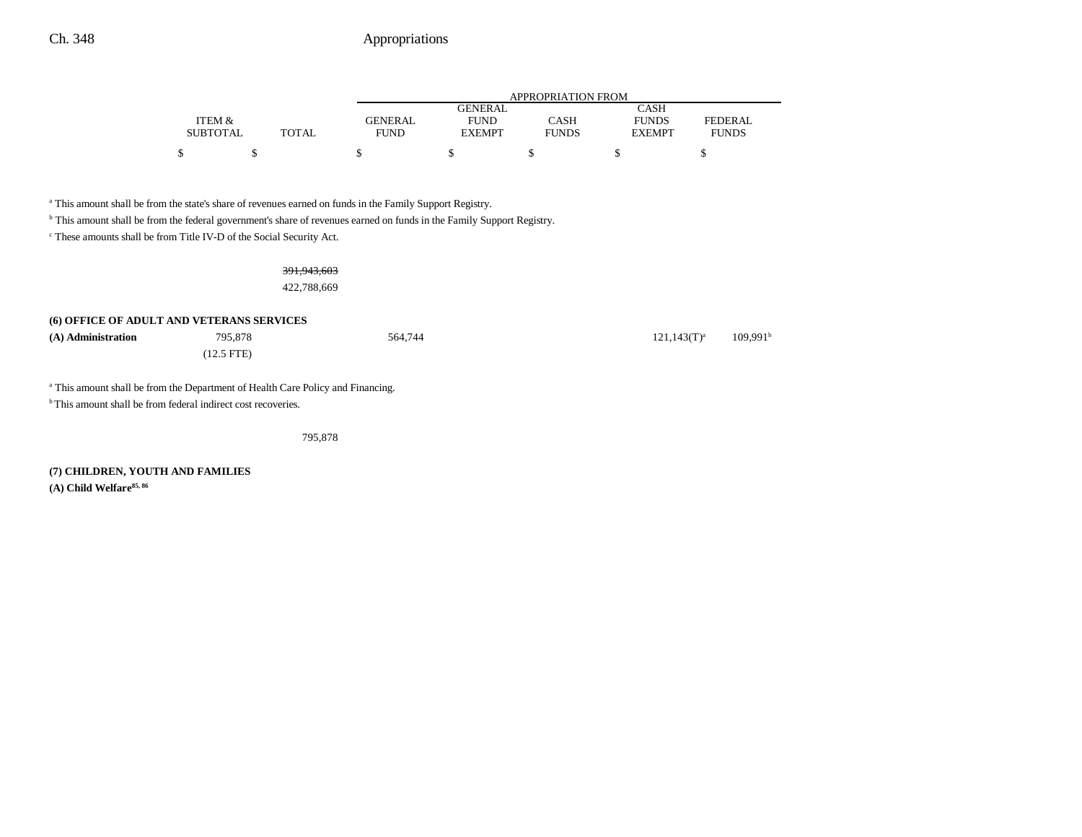|                 |              |                | <b>APPROPRIATION FROM</b> |              |               |              |  |
|-----------------|--------------|----------------|---------------------------|--------------|---------------|--------------|--|
|                 |              |                | GENERAL                   |              | CASH          |              |  |
| ITEM &          |              | <b>GENERAL</b> | <b>FUND</b>               | CASH         | <b>FUNDS</b>  | FEDERAL      |  |
| <b>SUBTOTAL</b> | <b>TOTAL</b> | FUND           | <b>EXEMPT</b>             | <b>FUNDS</b> | <b>EXEMPT</b> | <b>FUNDS</b> |  |
| \$              |              |                |                           |              |               |              |  |
|                 |              |                |                           |              |               |              |  |

<sup>a</sup> This amount shall be from the state's share of revenues earned on funds in the Family Support Registry.

b This amount shall be from the federal government's share of revenues earned on funds in the Family Support Registry.

 $\,^{\mathrm{c}}$  These amounts shall be from Title IV-D of the Social Security Act.

#### 391,943,603

422,788,669

#### **(6) OFFICE OF ADULT AND VETERANS SERVICES**

| (A) Administration | 795.878      | 564,744 | $121,143(T)^{a}$ | 109.991 <sup>b</sup> |
|--------------------|--------------|---------|------------------|----------------------|
|                    | $(12.5$ FTE) |         |                  |                      |

<sup>a</sup> This amount shall be from the Department of Health Care Policy and Financing.

<sup>b</sup> This amount shall be from federal indirect cost recoveries.

795,878

**(7) CHILDREN, YOUTH AND FAMILIES (A) Child Welfare85, 86**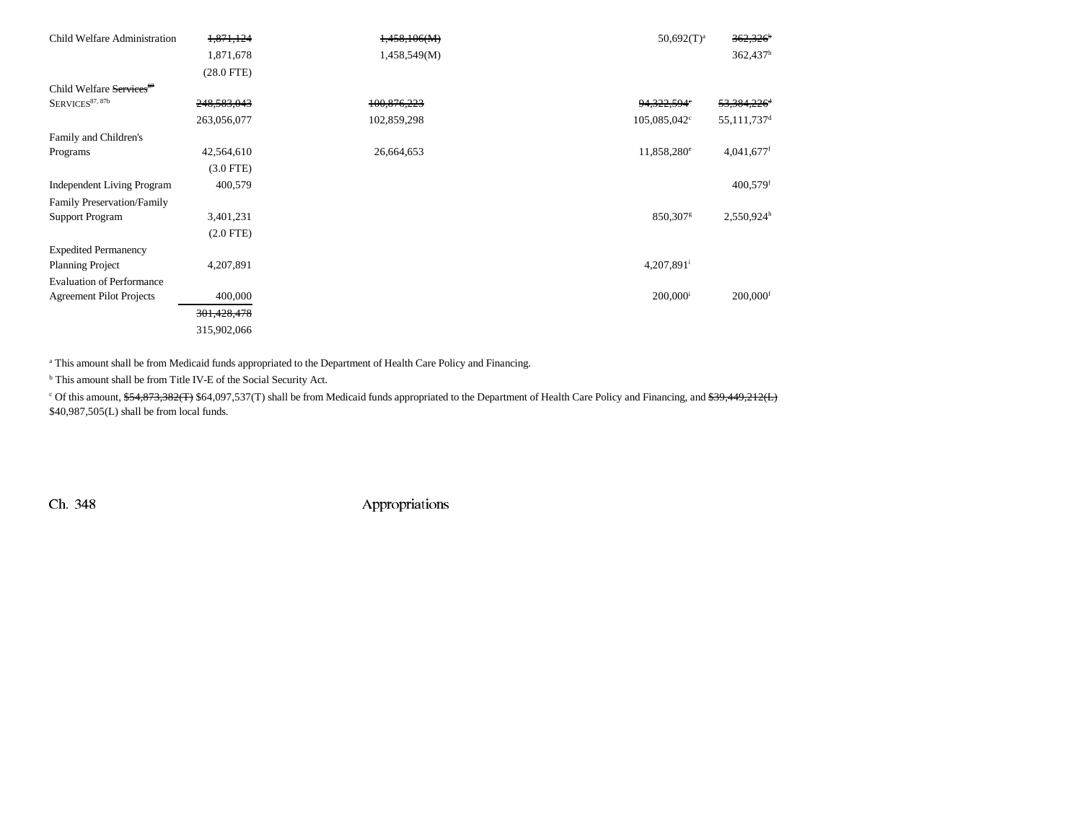| Child Welfare Administration                                          | 1,871,124      | 1,458,106(M) | $50,692(T)^a$            | $362,326$ <sup>b</sup>    |
|-----------------------------------------------------------------------|----------------|--------------|--------------------------|---------------------------|
|                                                                       | 1,871,678      | 1,458,549(M) |                          | $362,437$ <sup>b</sup>    |
|                                                                       | $(28.0$ FTE)   |              |                          |                           |
| Child Welfare Services <sup>87</sup>                                  |                |              |                          |                           |
| ${\rm S}{\rm E}{\rm RV}{\rm I}{\rm C}{\rm E}{\rm S}^{37,\,87{\rm b}}$ | 248,583,043    | 100,876,223  | 94,322,594°              | 53,384,226 <sup>d</sup>   |
|                                                                       | 263,056,077    | 102,859,298  | 105,085,042 <sup>c</sup> | $55,111,737$ <sup>d</sup> |
| Family and Children's                                                 |                |              |                          |                           |
| Programs                                                              | 42,564,610     | 26,664,653   | 11,858,280 <sup>e</sup>  | 4,041,677f                |
|                                                                       | $(3.0$ FTE)    |              |                          |                           |
| <b>Independent Living Program</b>                                     | 400,579        |              |                          | $400,579$ <sup>f</sup>    |
| Family Preservation/Family                                            |                |              |                          |                           |
| <b>Support Program</b>                                                | 3,401,231      |              | 850,307 <sup>g</sup>     | $2,550,924$ <sup>h</sup>  |
|                                                                       | $(2.0$ FTE $)$ |              |                          |                           |
| <b>Expedited Permanency</b>                                           |                |              |                          |                           |
| <b>Planning Project</b>                                               | 4,207,891      |              | $4,207,891$ <sup>i</sup> |                           |
| <b>Evaluation of Performance</b>                                      |                |              |                          |                           |
| <b>Agreement Pilot Projects</b>                                       | 400,000        |              | $200,000$ <sup>i</sup>   | $200,000$ <sup>f</sup>    |
|                                                                       | 301,428,478    |              |                          |                           |
|                                                                       | 315,902,066    |              |                          |                           |

<sup>a</sup> This amount shall be from Medicaid funds appropriated to the Department of Health Care Policy and Financing.

b This amount shall be from Title IV-E of the Social Security Act.

<sup>c</sup> Of this amount, \$54,873,382(T) \$64,097,537(T) shall be from Medicaid funds appropriated to the Department of Health Care Policy and Financing, and \$39,449,212(L) \$40,987,505(L) shall be from local funds.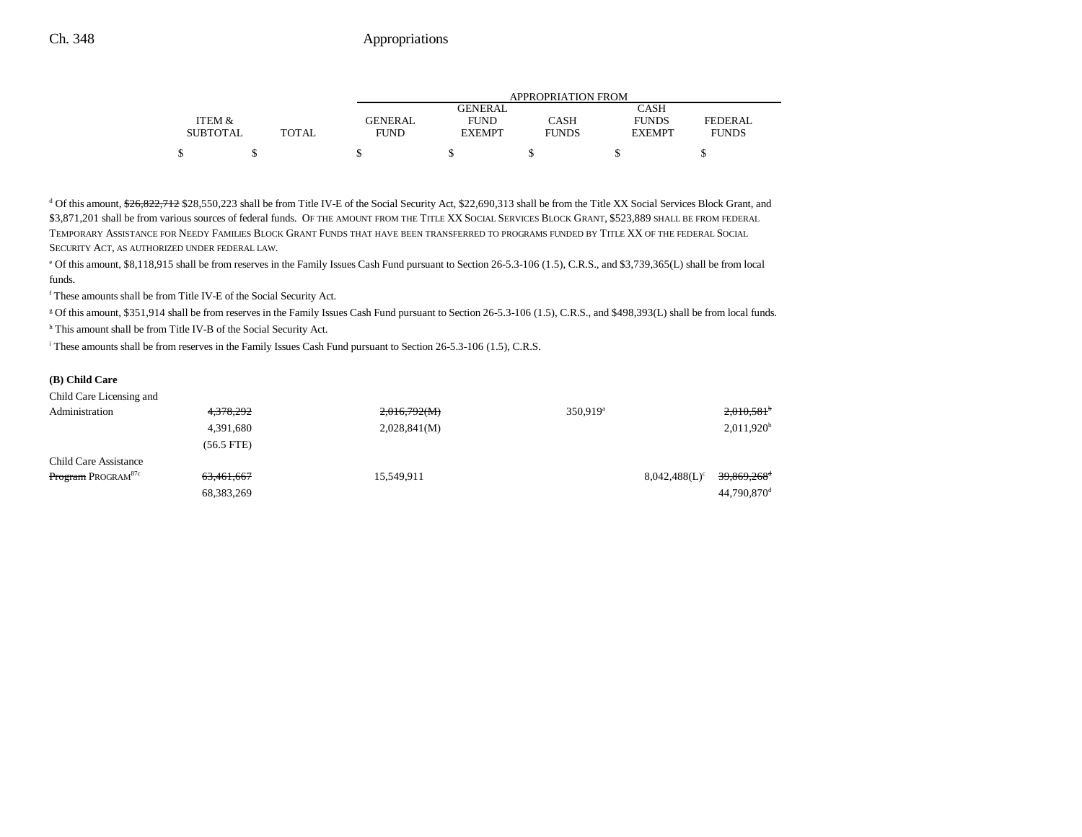|                 |              | APPROPRIATION FROM |                |              |               |              |  |
|-----------------|--------------|--------------------|----------------|--------------|---------------|--------------|--|
|                 |              |                    | <b>GENERAL</b> |              | CASH          |              |  |
| ITEM &          |              | GENERAL            | <b>FUND</b>    | CASH         | <b>FUNDS</b>  | FEDERAL      |  |
| <b>SUBTOTAL</b> | <b>TOTAL</b> | <b>FUND</b>        | <b>EXEMPT</b>  | <b>FUNDS</b> | <b>EXEMPT</b> | <b>FUNDS</b> |  |
| \$              |              |                    |                |              |               |              |  |

<sup>d</sup> Of this amount, \$26,822,712 \$28,550,223 shall be from Title IV-E of the Social Security Act, \$22,690,313 shall be from the Title XX Social Services Block Grant, and \$3,871,201 shall be from various sources of federal funds. OF THE AMOUNT FROM THE TITLE XX SOCIAL SERVICES BLOCK GRANT, \$523,889 SHALL BE FROM FEDERAL TEMPORARY ASSISTANCE FOR NEEDY FAMILIES BLOCK GRANT FUNDS THAT HAVE BEEN TRANSFERRED TO PROGRAMS FUNDED BY TITLE XX OF THE FEDERAL SOCIAL SECURITY ACT, AS AUTHORIZED UNDER FEDERAL LAW.

e Of this amount, \$8,118,915 shall be from reserves in the Family Issues Cash Fund pursuant to Section 26-5.3-106 (1.5), C.R.S., and \$3,739,365(L) shall be from local funds.

f These amounts shall be from Title IV-E of the Social Security Act.

g Of this amount, \$351,914 shall be from reserves in the Family Issues Cash Fund pursuant to Section 26-5.3-106 (1.5), C.R.S., and \$498,393(L) shall be from local funds.

h This amount shall be from Title IV-B of the Social Security Act.

i These amounts shall be from reserves in the Family Issues Cash Fund pursuant to Section 26-5.3-106 (1.5), C.R.S.

## **(B) Child Care**

| Child Care Licensing and              |              |              |                      |                                             |
|---------------------------------------|--------------|--------------|----------------------|---------------------------------------------|
| Administration                        | 4,378,292    | 2,016,792(M) | 350,919 <sup>a</sup> | $2,010,581$ <sup>+</sup>                    |
|                                       | 4,391,680    | 2,028,841(M) |                      | $2,011,920$ <sup>t</sup>                    |
|                                       | $(56.5$ FTE) |              |                      |                                             |
| Child Care Assistance                 |              |              |                      |                                             |
| <b>Program</b> PROGRAM <sup>87c</sup> | 63,461,667   | 15,549,911   |                      | 39,869,268 <sup>e</sup><br>$8,042,488(L)^c$ |
|                                       | 68, 383, 269 |              |                      | $44,790,870$ <sup>c</sup>                   |
|                                       |              |              |                      |                                             |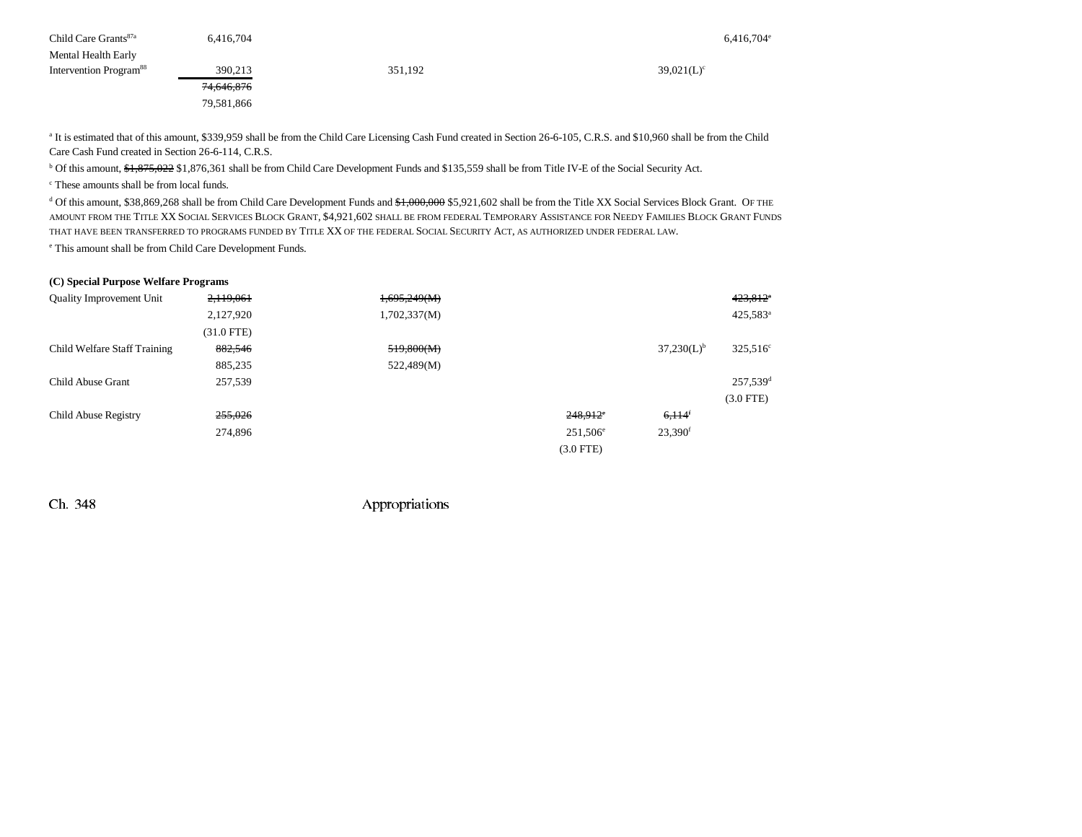| Child Care Grants <sup>87a</sup>   | 6.416.704             |         | 6,416,704     |
|------------------------------------|-----------------------|---------|---------------|
| Mental Health Early                |                       |         |               |
| Intervention Program <sup>88</sup> | 390,213               | 351,192 | $39,021(L)^c$ |
|                                    | <del>74,646,876</del> |         |               |
|                                    | 79,581,866            |         |               |

<sup>a</sup> It is estimated that of this amount, \$339,959 shall be from the Child Care Licensing Cash Fund created in Section 26-6-105, C.R.S. and \$10,960 shall be from the Child Care Cash Fund created in Section 26-6-114, C.R.S.

<sup>b</sup> Of this amount, \$1,875,022 \$1,876,361 shall be from Child Care Development Funds and \$135,559 shall be from Title IV-E of the Social Security Act.

c These amounts shall be from local funds.

<sup>d</sup> Of this amount, \$38,869,268 shall be from Child Care Development Funds and \$1,000,000 \$5,921,602 shall be from the Title XX Social Services Block Grant. OF THE amount from the Title XX Social Services Block Grant, \$4,921,602 shall be from federal Temporary Assistance for Needy Families Block Grant Funds that have been transferred to programs funded by Title XX of the federal Social Security Act, as authorized under federal law.

e This amount shall be from Child Care Development Funds.

## **(C) Special Purpose Welfare Programs**

| <b>Quality Improvement Unit</b> | 2,119,061    | 1,695,249(M) |                        |                       | $423,812$ <sup>*</sup> |
|---------------------------------|--------------|--------------|------------------------|-----------------------|------------------------|
|                                 | 2,127,920    | 1,702,337(M) |                        |                       | 425,583 <sup>a</sup>   |
|                                 | $(31.0$ FTE) |              |                        |                       |                        |
| Child Welfare Staff Training    | 882,546      | 519,800(M)   |                        | $37,230(L)^{b}$       | 325,516 <sup>c</sup>   |
|                                 | 885,235      | 522,489(M)   |                        |                       |                        |
| Child Abuse Grant               | 257,539      |              |                        |                       | $257,539$ <sup>d</sup> |
|                                 |              |              |                        |                       | $(3.0$ FTE)            |
| Child Abuse Registry            | 255,026      |              | $248,912$ <sup>e</sup> | $6,114$ <sup>f</sup>  |                        |
|                                 | 274,896      |              | 251,506 <sup>e</sup>   | $23,390$ <sup>f</sup> |                        |
|                                 |              |              | $(3.0$ FTE)            |                       |                        |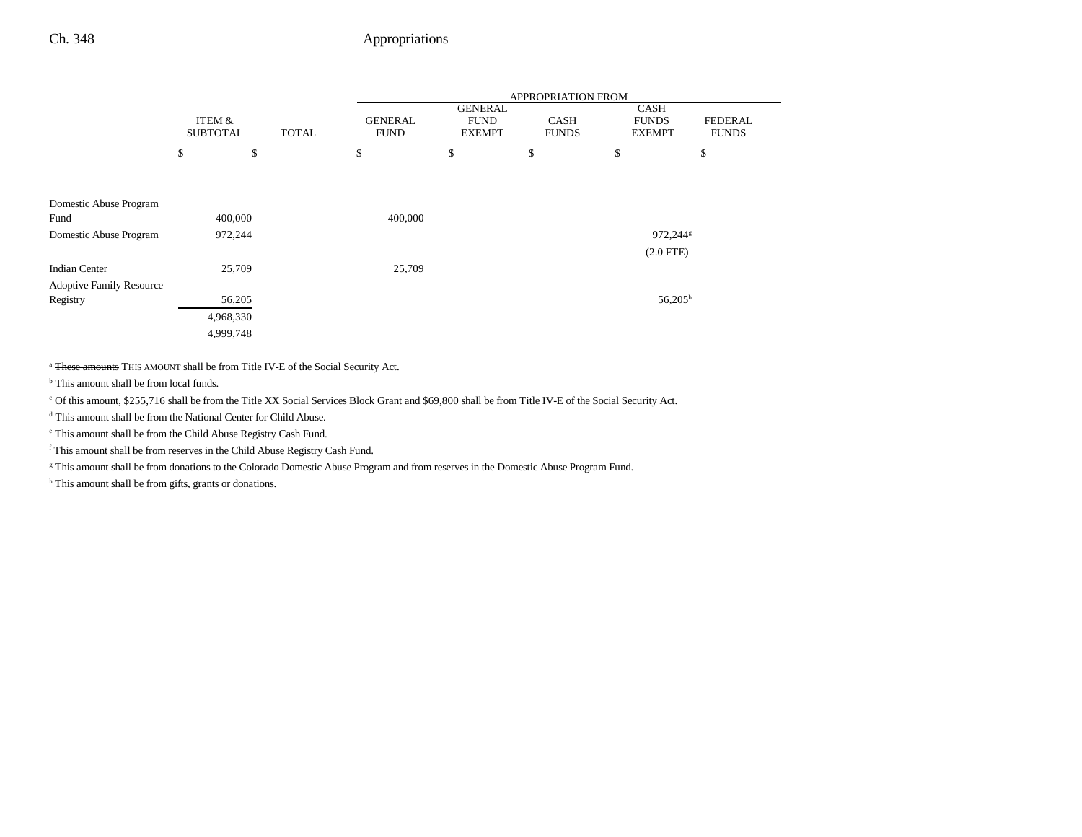|                                 |                           |        |                                |         |                                                | APPROPRIATION FROM          |                                              |                                |
|---------------------------------|---------------------------|--------|--------------------------------|---------|------------------------------------------------|-----------------------------|----------------------------------------------|--------------------------------|
|                                 | ITEM &<br><b>SUBTOTAL</b> |        | <b>GENERAL</b><br><b>TOTAL</b> |         | <b>GENERAL</b><br><b>FUND</b><br><b>EXEMPT</b> | <b>CASH</b><br><b>FUNDS</b> | <b>CASH</b><br><b>FUNDS</b><br><b>EXEMPT</b> | <b>FEDERAL</b><br><b>FUNDS</b> |
|                                 | \$                        | \$     |                                | \$      | \$                                             | \$                          | \$                                           | \$                             |
|                                 |                           |        |                                |         |                                                |                             |                                              |                                |
| Domestic Abuse Program          |                           |        |                                |         |                                                |                             |                                              |                                |
| Fund                            | 400,000                   |        |                                | 400,000 |                                                |                             |                                              |                                |
| Domestic Abuse Program          | 972,244                   |        |                                |         |                                                |                             |                                              | 972,244 <sup>g</sup>           |
|                                 |                           |        |                                |         |                                                |                             |                                              | $(2.0$ FTE $)$                 |
| <b>Indian Center</b>            |                           | 25,709 |                                | 25,709  |                                                |                             |                                              |                                |
| <b>Adoptive Family Resource</b> |                           |        |                                |         |                                                |                             |                                              |                                |
| Registry                        |                           | 56,205 |                                |         |                                                |                             |                                              | $56,205^h$                     |
|                                 | 4,968,330                 |        |                                |         |                                                |                             |                                              |                                |
|                                 | 4,999,748                 |        |                                |         |                                                |                             |                                              |                                |

a These amounts THIS AMOUNT shall be from Title IV-E of the Social Security Act.

<sup>b</sup> This amount shall be from local funds.

c Of this amount, \$255,716 shall be from the Title XX Social Services Block Grant and \$69,800 shall be from Title IV-E of the Social Security Act.

d This amount shall be from the National Center for Child Abuse.

e This amount shall be from the Child Abuse Registry Cash Fund.

f This amount shall be from reserves in the Child Abuse Registry Cash Fund.

g This amount shall be from donations to the Colorado Domestic Abuse Program and from reserves in the Domestic Abuse Program Fund.

h This amount shall be from gifts, grants or donations.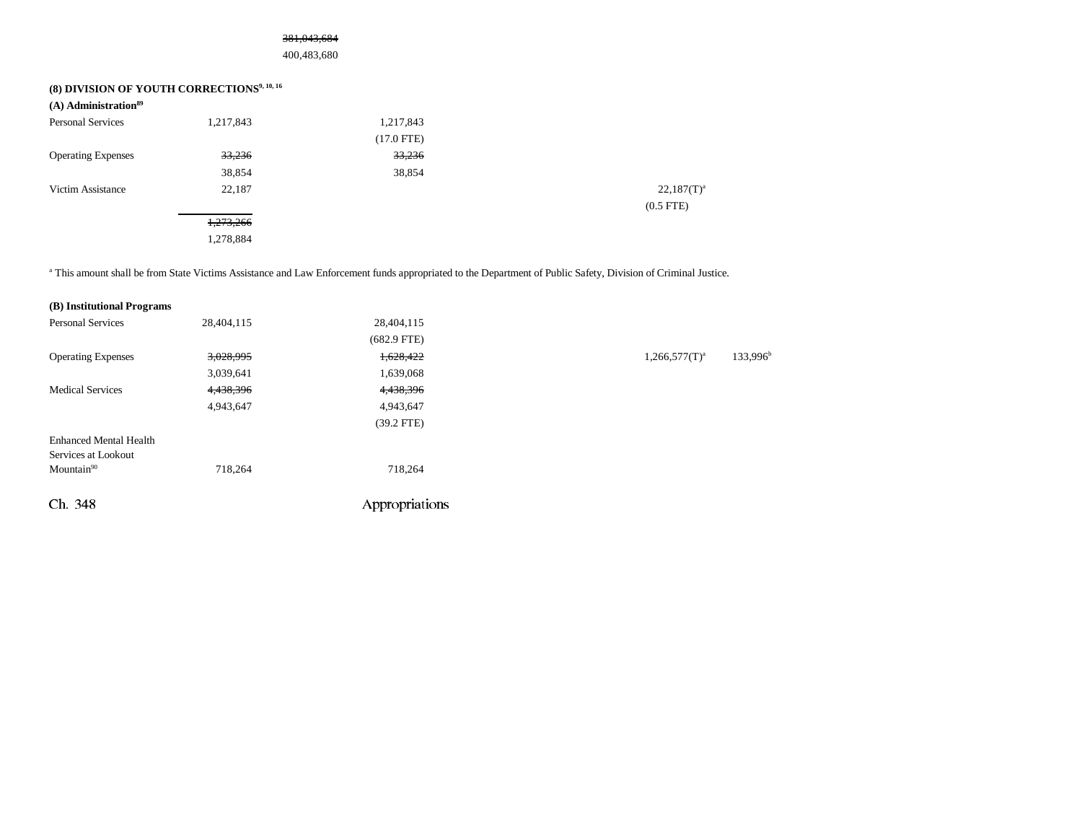## 381,043,684

400,483,680

# **(8) DIVISION OF YOUTH CORRECTIONS9, 10, 16**

| $(A)$ Administration <sup>89</sup> |           |              |               |
|------------------------------------|-----------|--------------|---------------|
| <b>Personal Services</b>           | 1,217,843 | 1,217,843    |               |
|                                    |           | $(17.0$ FTE) |               |
| <b>Operating Expenses</b>          | 33,236    | 33,236       |               |
|                                    | 38,854    | 38,854       |               |
| Victim Assistance                  | 22,187    |              | $22,187(T)^a$ |
|                                    |           |              | $(0.5$ FTE)   |
|                                    | 1,273,266 |              |               |
|                                    | 1,278,884 |              |               |
|                                    |           |              |               |

<sup>a</sup> This amount shall be from State Victims Assistance and Law Enforcement funds appropriated to the Department of Public Safety, Division of Criminal Justice.

| (B) Institutional Programs    |            |                |                    |                      |
|-------------------------------|------------|----------------|--------------------|----------------------|
| <b>Personal Services</b>      | 28,404,115 | 28,404,115     |                    |                      |
|                               |            | $(682.9$ FTE)  |                    |                      |
| <b>Operating Expenses</b>     | 3,028,995  | 1,628,422      | $1,266,577(T)^{a}$ | 133,996 <sup>b</sup> |
|                               | 3,039,641  | 1,639,068      |                    |                      |
| <b>Medical Services</b>       | 4,438,396  | 4,438,396      |                    |                      |
|                               | 4,943,647  | 4,943,647      |                    |                      |
|                               |            | $(39.2$ FTE)   |                    |                      |
| <b>Enhanced Mental Health</b> |            |                |                    |                      |
| Services at Lookout           |            |                |                    |                      |
| $M$ ountain $90$              | 718,264    | 718,264        |                    |                      |
| Ch 348                        |            | Appropriations |                    |                      |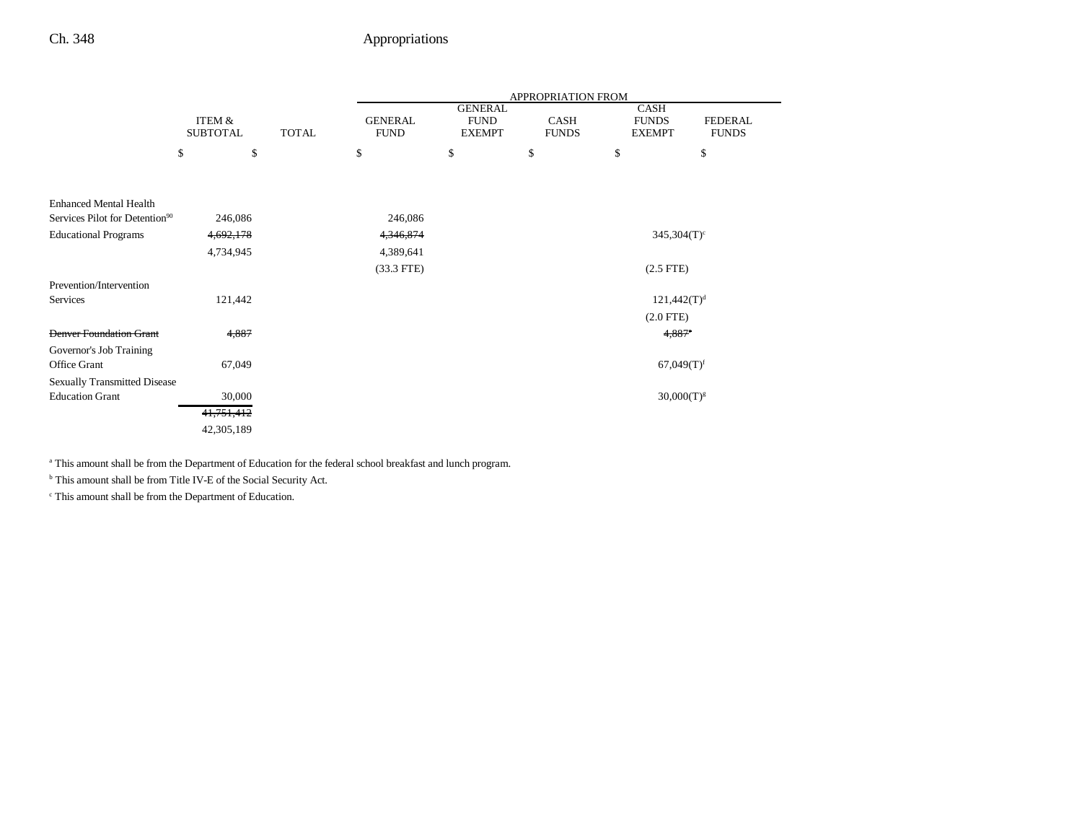|                                            |                 |              |                |                               | APPROPRIATION FROM |                           |                |
|--------------------------------------------|-----------------|--------------|----------------|-------------------------------|--------------------|---------------------------|----------------|
|                                            | ITEM &          |              | <b>GENERAL</b> | <b>GENERAL</b><br><b>FUND</b> | CASH               | CASH<br><b>FUNDS</b>      | <b>FEDERAL</b> |
|                                            | <b>SUBTOTAL</b> | <b>TOTAL</b> | <b>FUND</b>    | <b>EXEMPT</b>                 | <b>FUNDS</b>       | <b>EXEMPT</b>             | <b>FUNDS</b>   |
|                                            | \$<br>\$        |              | \$             | \$                            | \$                 | \$                        | \$             |
|                                            |                 |              |                |                               |                    |                           |                |
| <b>Enhanced Mental Health</b>              |                 |              |                |                               |                    |                           |                |
| Services Pilot for Detention <sup>90</sup> | 246,086         |              | 246,086        |                               |                    |                           |                |
| <b>Educational Programs</b>                | 4,692,178       |              | 4,346,874      |                               |                    | $345,304(T)$ <sup>c</sup> |                |
|                                            | 4,734,945       |              | 4,389,641      |                               |                    |                           |                |
|                                            |                 |              | $(33.3$ FTE)   |                               |                    | $(2.5$ FTE $)$            |                |
| Prevention/Intervention                    |                 |              |                |                               |                    |                           |                |
| Services                                   | 121,442         |              |                |                               |                    | $121,442(T)^{d}$          |                |
|                                            |                 |              |                |                               |                    | $(2.0$ FTE $)$            |                |
| <b>Denver Foundation Grant</b>             | 4,887           |              |                |                               |                    | $4,887$ <sup>e</sup>      |                |
| Governor's Job Training                    |                 |              |                |                               |                    |                           |                |
| Office Grant                               | 67,049          |              |                |                               |                    | $67,049(T)$ <sup>f</sup>  |                |
| <b>Sexually Transmitted Disease</b>        |                 |              |                |                               |                    |                           |                |
| <b>Education Grant</b>                     | 30,000          |              |                |                               |                    | $30,000(T)^{g}$           |                |
|                                            | 41,751,412      |              |                |                               |                    |                           |                |
|                                            | 42,305,189      |              |                |                               |                    |                           |                |

a This amount shall be from the Department of Education for the federal school breakfast and lunch program.

b This amount shall be from Title IV-E of the Social Security Act.

c This amount shall be from the Department of Education.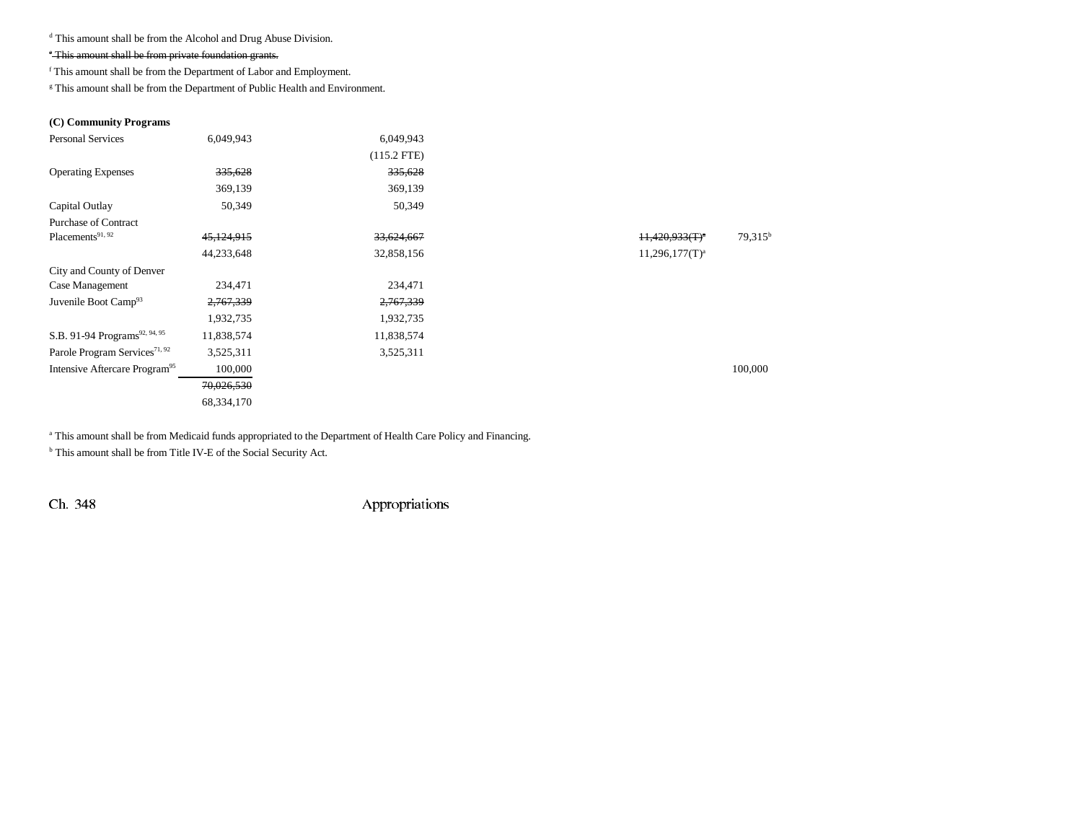d This amount shall be from the Alcohol and Drug Abuse Division.

## e This amount shall be from private foundation grants.

f This amount shall be from the Department of Labor and Employment.

 $^\mathrm{g}$  This amount shall be from the Department of Public Health and Environment.

## **(C) Community Programs**

| <b>Personal Services</b>                  | 6,049,943  | 6,049,943     |                   |                  |
|-------------------------------------------|------------|---------------|-------------------|------------------|
|                                           |            | $(115.2$ FTE) |                   |                  |
| <b>Operating Expenses</b>                 | 335,628    | 335,628       |                   |                  |
|                                           | 369,139    | 369,139       |                   |                  |
| Capital Outlay                            | 50,349     | 50,349        |                   |                  |
| Purchase of Contract                      |            |               |                   |                  |
| Placements <sup>91, 92</sup>              | 45,124,915 | 33,624,667    | $11,420,933(T)^a$ | $79,315^{\rm b}$ |
|                                           | 44,233,648 | 32,858,156    | $11,296,177(T)^a$ |                  |
| City and County of Denver                 |            |               |                   |                  |
| Case Management                           | 234,471    | 234,471       |                   |                  |
| Juvenile Boot Camp <sup>93</sup>          | 2,767,339  | 2,767,339     |                   |                  |
|                                           | 1,932,735  | 1,932,735     |                   |                  |
| S.B. 91-94 Programs <sup>92, 94, 95</sup> | 11,838,574 | 11,838,574    |                   |                  |
| Parole Program Services <sup>71, 92</sup> | 3,525,311  | 3,525,311     |                   |                  |
| Intensive Aftercare Program <sup>95</sup> | 100,000    |               |                   | 100,000          |
|                                           | 70,026,530 |               |                   |                  |
|                                           | 68,334,170 |               |                   |                  |
|                                           |            |               |                   |                  |

<sup>a</sup> This amount shall be from Medicaid funds appropriated to the Department of Health Care Policy and Financing.

b This amount shall be from Title IV-E of the Social Security Act.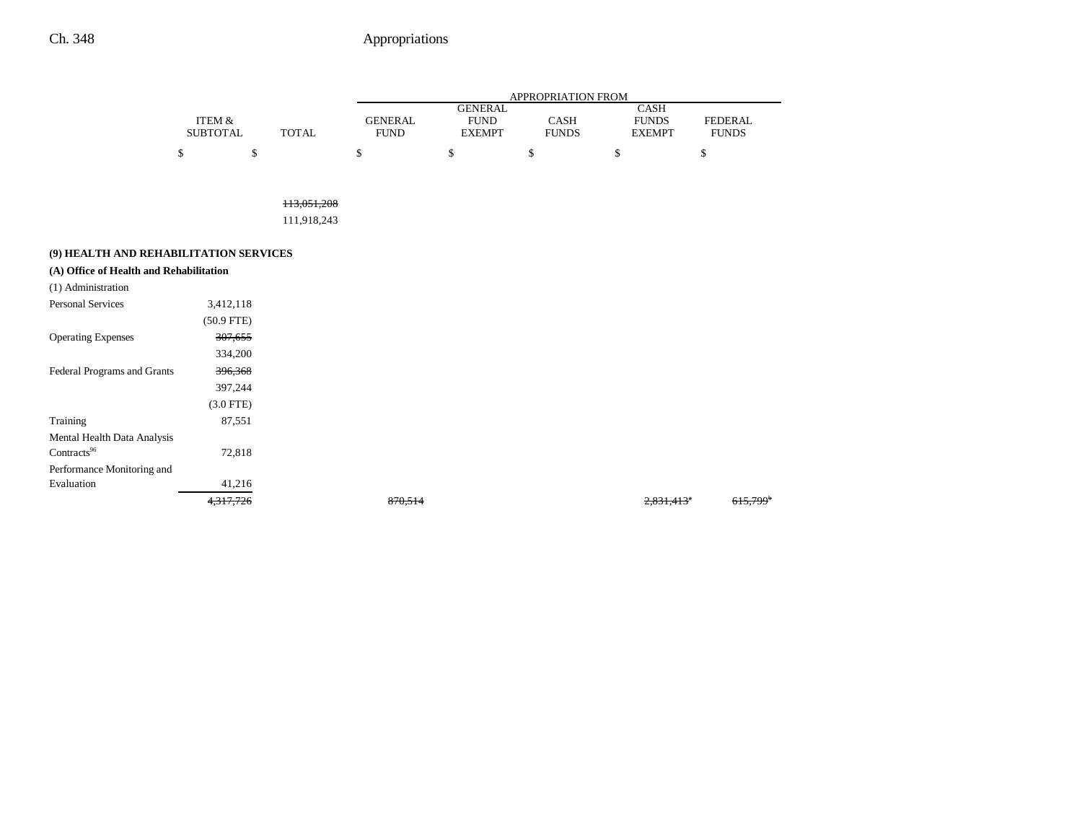|                 |       |             | APPROPRIATION FROM |              |               |                |  |  |
|-----------------|-------|-------------|--------------------|--------------|---------------|----------------|--|--|
|                 |       |             | GENERAL            |              | CASH          |                |  |  |
| ITEM &          |       | GENERAL     | <b>FUND</b>        | CASH         | <b>FUNDS</b>  | <b>FEDERAL</b> |  |  |
| <b>SUBTOTAL</b> | TOTAL | <b>FUND</b> | <b>EXEMPT</b>      | <b>FUNDS</b> | <b>EXEMPT</b> | <b>FUNDS</b>   |  |  |
|                 |       |             |                    |              |               |                |  |  |

113,051,208

111,918,243

## **(9) HEALTH AND REHABILITATION SERVICES**

| (A) Office of Health and Rehabilitation |              |         |                          |                        |
|-----------------------------------------|--------------|---------|--------------------------|------------------------|
| (1) Administration                      |              |         |                          |                        |
| <b>Personal Services</b>                | 3,412,118    |         |                          |                        |
|                                         | $(50.9$ FTE) |         |                          |                        |
| <b>Operating Expenses</b>               | 307,655      |         |                          |                        |
|                                         | 334,200      |         |                          |                        |
| Federal Programs and Grants             | 396,368      |         |                          |                        |
|                                         | 397,244      |         |                          |                        |
|                                         | $(3.0$ FTE)  |         |                          |                        |
| Training                                | 87,551       |         |                          |                        |
| Mental Health Data Analysis             |              |         |                          |                        |
| Contracts <sup>96</sup>                 | 72,818       |         |                          |                        |
| Performance Monitoring and              |              |         |                          |                        |
| Evaluation                              | 41,216       |         |                          |                        |
|                                         | 4,317,726    | 870,514 | $2,831,413$ <sup>e</sup> | $615,799$ <sup>b</sup> |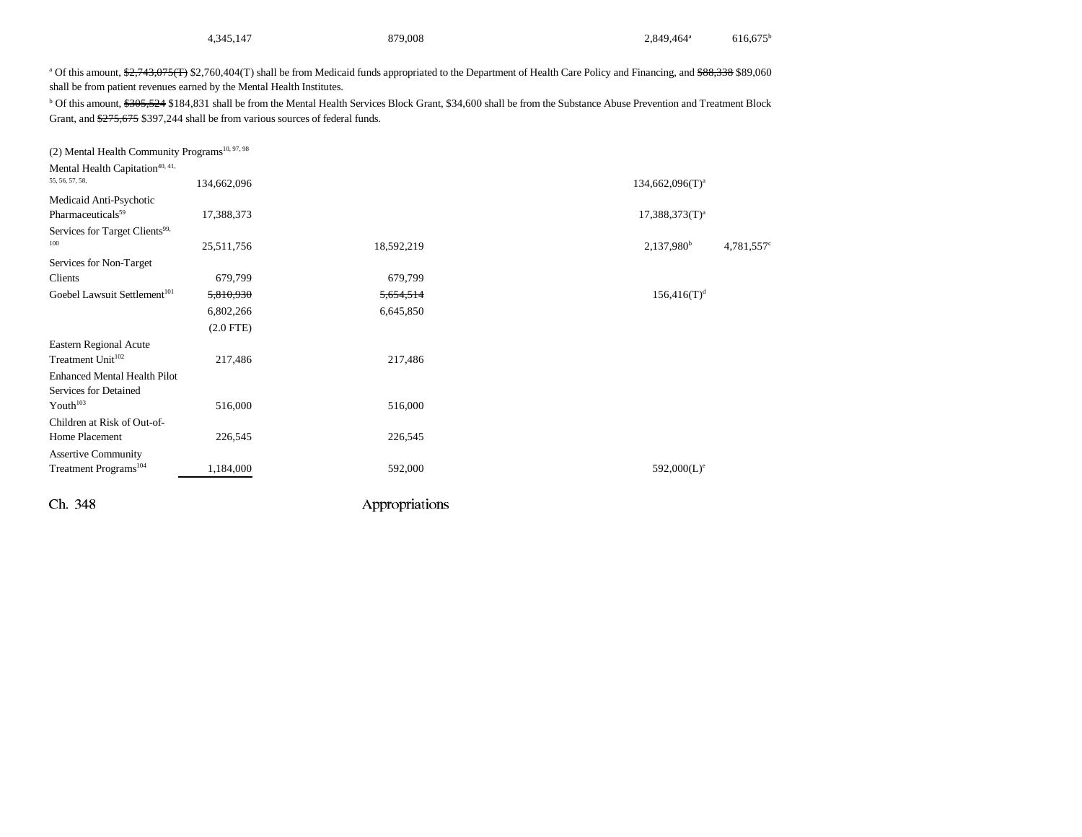| 879,008<br>2,849,464 <sup>a</sup><br>4,345,147 | $616,675^{\rm b}$ |
|------------------------------------------------|-------------------|
|------------------------------------------------|-------------------|

<sup>a</sup> Of this amount, \$2,743,075(T) \$2,760,404(T) shall be from Medicaid funds appropriated to the Department of Health Care Policy and Financing, and \$88,338 \$89,060 shall be from patient revenues earned by the Mental Health Institutes.

<sup>b</sup> Of this amount, \$305,524 \$184,831 shall be from the Mental Health Services Block Grant, \$34,600 shall be from the Substance Abuse Prevention and Treatment Block Grant, and \$275,675 \$397,244 shall be from various sources of federal funds.

| (2) Mental Health Community Programs <sup>10, 97, 98</sup>                                     |                |                |                                |
|------------------------------------------------------------------------------------------------|----------------|----------------|--------------------------------|
| Mental Health Capitation <sup>40, 41,</sup><br>55, 56, 57, 58,                                 | 134,662,096    |                | $134,662,096(T)^a$             |
| Medicaid Anti-Psychotic<br>Pharmaceuticals <sup>59</sup>                                       | 17,388,373     |                | $17,388,373(T)^{a}$            |
| Services for Target Clients <sup>99,</sup><br>100                                              | 25,511,756     | 18,592,219     | $2,137,980^b$<br>$4,781,557$ ° |
| Services for Non-Target<br>Clients                                                             | 679,799        | 679,799        |                                |
| Goebel Lawsuit Settlement <sup>101</sup>                                                       | 5,810,930      | 5,654,514      | $156,416(T)^{d}$               |
|                                                                                                | 6,802,266      | 6,645,850      |                                |
|                                                                                                | $(2.0$ FTE $)$ |                |                                |
| Eastern Regional Acute<br>Treatment Unit <sup>102</sup><br><b>Enhanced Mental Health Pilot</b> | 217,486        | 217,486        |                                |
| Services for Detained                                                                          |                |                |                                |
| Youth <sup>103</sup>                                                                           | 516,000        | 516,000        |                                |
| Children at Risk of Out-of-                                                                    |                |                |                                |
| Home Placement                                                                                 | 226,545        | 226,545        |                                |
| <b>Assertive Community</b><br>Treatment Programs <sup>104</sup>                                | 1,184,000      | 592,000        | $592,000(L)^e$                 |
|                                                                                                |                |                |                                |
| Ch. 348                                                                                        |                | Appropriations |                                |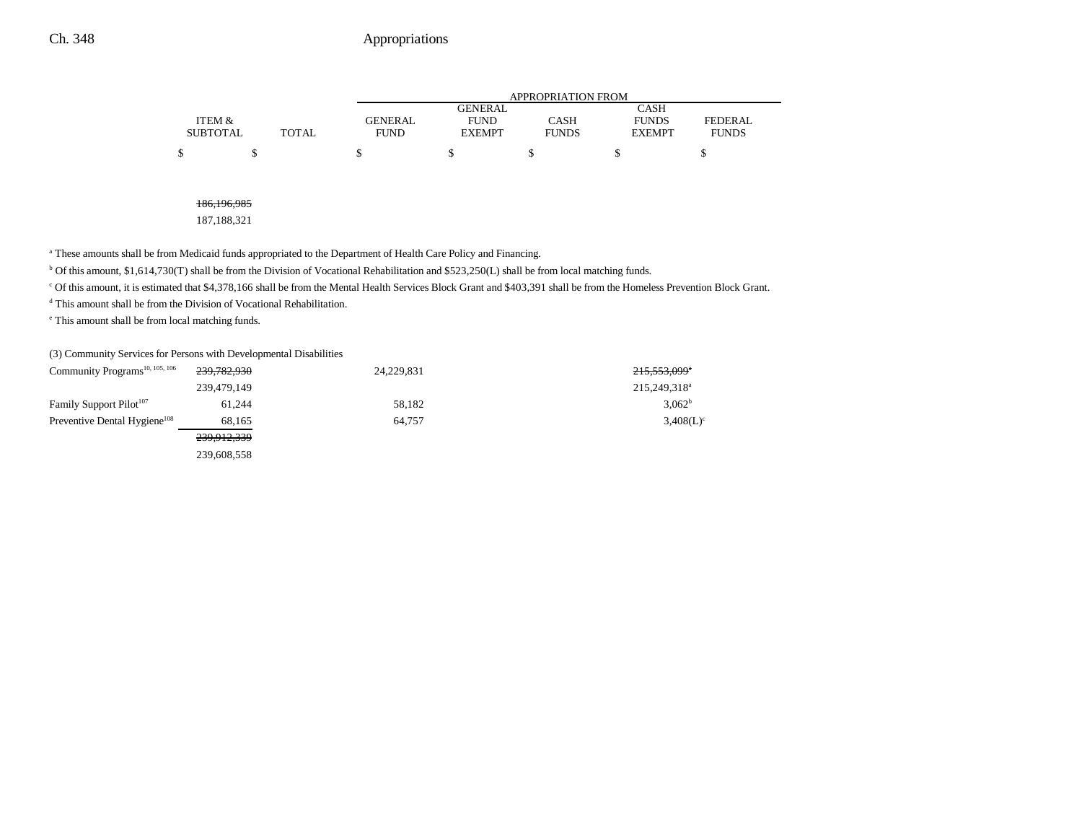|                 |       | APPROPRIATION FROM |               |              |               |              |  |
|-----------------|-------|--------------------|---------------|--------------|---------------|--------------|--|
|                 |       |                    | GENERAL       |              | CASH          |              |  |
| ITEM &          |       | <b>GENERAL</b>     | <b>FUND</b>   | CASH         | <b>FUNDS</b>  | FEDERAL.     |  |
| <b>SUBTOTAL</b> | TOTAL | <b>FUND</b>        | <b>EXEMPT</b> | <b>FUNDS</b> | <b>EXEMPT</b> | <b>FUNDS</b> |  |
| S               |       |                    |               |              |               |              |  |

186,196,985

187,188,321

<sup>a</sup> These amounts shall be from Medicaid funds appropriated to the Department of Health Care Policy and Financing.

b Of this amount, \$1,614,730(T) shall be from the Division of Vocational Rehabilitation and \$523,250(L) shall be from local matching funds.

c Of this amount, it is estimated that \$4,378,166 shall be from the Mental Health Services Block Grant and \$403,391 shall be from the Homeless Prevention Block Grant.

d This amount shall be from the Division of Vocational Rehabilitation.

e This amount shall be from local matching funds.

(3) Community Services for Persons with Developmental Disabilities

| Community Programs <sup>10, 105, 106</sup> | 239,782,930 | 24,229,831 | 215,553,099 <sup>*</sup> |
|--------------------------------------------|-------------|------------|--------------------------|
|                                            | 239,479,149 |            | 215,249,318 <sup>a</sup> |
| Family Support Pilot <sup>107</sup>        | 61.244      | 58,182     | 3.062 <sup>b</sup>       |
| Preventive Dental Hygiene <sup>108</sup>   | 68,165      | 64.757     | $3,408(L)^c$             |
|                                            | 239,912,339 |            |                          |
|                                            | 239,608,558 |            |                          |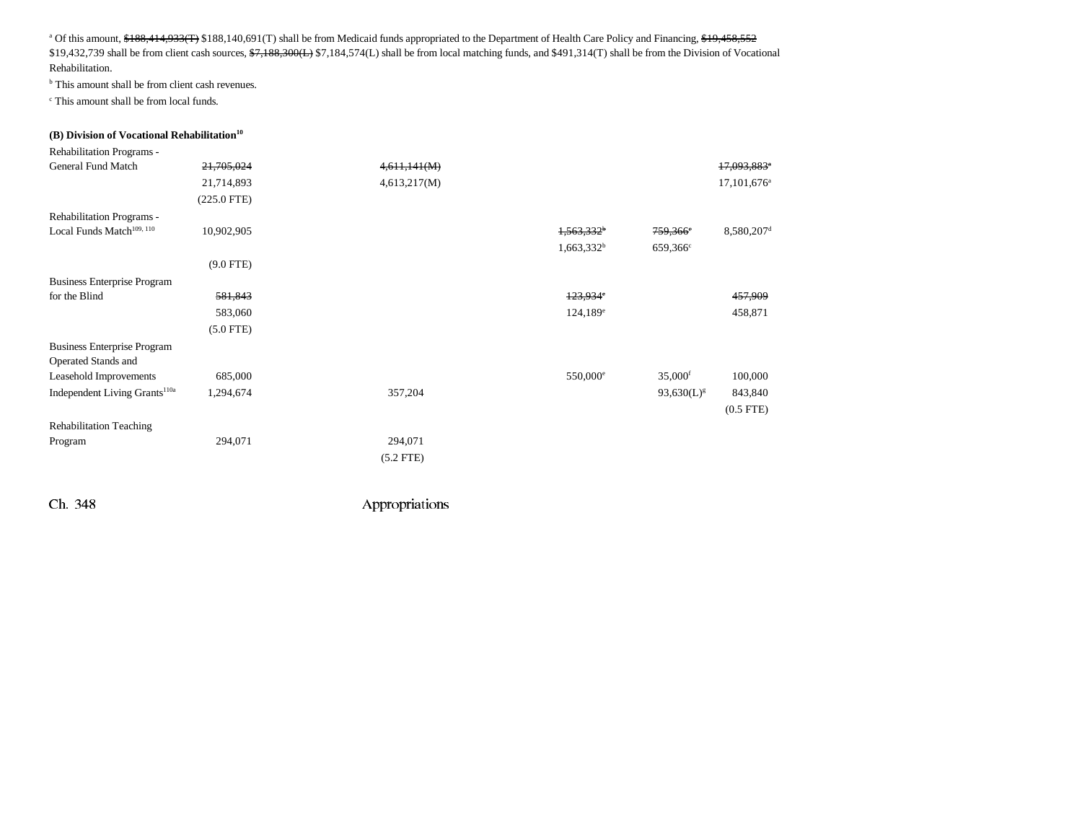<sup>a</sup> Of this amount, \$188,414,933(T) \$188,140,691(T) shall be from Medicaid funds appropriated to the Department of Health Care Policy and Financing, \$19,458,552 \$19,432,739 shall be from client cash sources,  $\frac{1}{2}$ ,  $\frac{1}{2}$ ,  $\frac{1}{2}$ ,  $\frac{1}{2}$ ,  $\frac{1}{2}$ ,  $\frac{1}{2}$ ,  $\frac{1}{2}$ ,  $\frac{1}{2}$ ,  $\frac{1}{2}$ ,  $\frac{1}{2}$ ,  $\frac{1}{2}$ ,  $\frac{1}{2}$ ,  $\frac{1}{2}$ ,  $\frac{1}{2}$ ,  $\frac{1}{2}$ ,  $\frac{1}{2}$ , Rehabilitation.

b This amount shall be from client cash revenues.

c This amount shall be from local funds.

#### **(B) Division of Vocational Rehabilitation**<sup>10</sup>

| Rehabilitation Programs -                 |               |              |                        |                       |                         |
|-------------------------------------------|---------------|--------------|------------------------|-----------------------|-------------------------|
| <b>General Fund Match</b>                 | 21,705,024    | 4,611,141(M) |                        |                       | 17,093,883 <sup>*</sup> |
|                                           | 21,714,893    | 4,613,217(M) |                        |                       | 17,101,676 <sup>a</sup> |
|                                           | $(225.0$ FTE) |              |                        |                       |                         |
| Rehabilitation Programs -                 |               |              |                        |                       |                         |
| Local Funds Match <sup>109, 110</sup>     | 10,902,905    |              | 1,563,332 <sup>b</sup> | 759,366°              | 8,580,207 <sup>d</sup>  |
|                                           |               |              | $1,663,332^b$          | 659,366 <sup>c</sup>  |                         |
|                                           | $(9.0$ FTE)   |              |                        |                       |                         |
| <b>Business Enterprise Program</b>        |               |              |                        |                       |                         |
| for the Blind                             | 581,843       |              | 123,934°               |                       | 457,909                 |
|                                           | 583,060       |              | $124,189^e$            |                       | 458,871                 |
|                                           | $(5.0$ FTE)   |              |                        |                       |                         |
| <b>Business Enterprise Program</b>        |               |              |                        |                       |                         |
| Operated Stands and                       |               |              |                        |                       |                         |
| Leasehold Improvements                    | 685,000       |              | 550,000 <sup>e</sup>   | $35,000$ <sup>f</sup> | 100,000                 |
| Independent Living Grants <sup>110a</sup> | 1,294,674     | 357,204      |                        | $93,630(L)^{g}$       | 843,840                 |
|                                           |               |              |                        |                       | $(0.5$ FTE $)$          |
| <b>Rehabilitation Teaching</b>            |               |              |                        |                       |                         |
| Program                                   | 294,071       | 294,071      |                        |                       |                         |
|                                           |               | $(5.2$ FTE)  |                        |                       |                         |
|                                           |               |              |                        |                       |                         |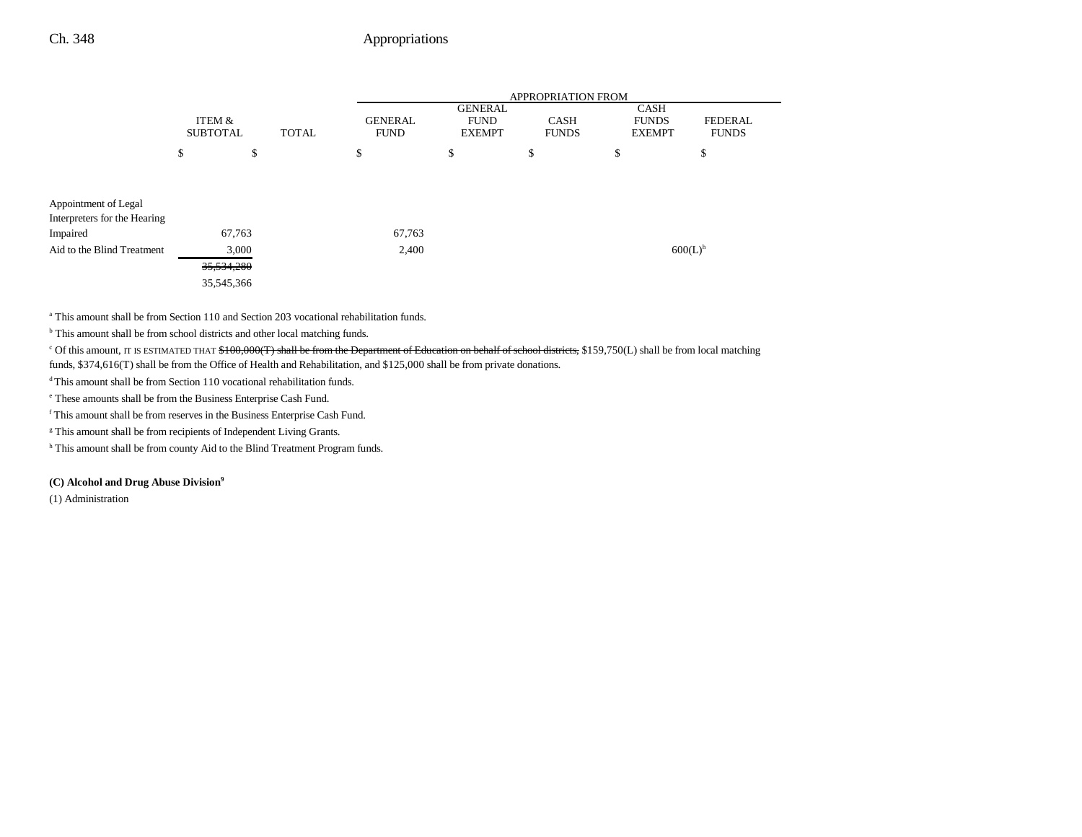|                              |                           |              |                               | <b>APPROPRIATION FROM</b>                      |                             |                                       |                         |  |  |
|------------------------------|---------------------------|--------------|-------------------------------|------------------------------------------------|-----------------------------|---------------------------------------|-------------------------|--|--|
|                              | ITEM &<br><b>SUBTOTAL</b> | <b>TOTAL</b> | <b>GENERAL</b><br><b>FUND</b> | <b>GENERAL</b><br><b>FUND</b><br><b>EXEMPT</b> | <b>CASH</b><br><b>FUNDS</b> | CASH<br><b>FUNDS</b><br><b>EXEMPT</b> | FEDERAL<br><b>FUNDS</b> |  |  |
|                              | \$                        | \$           | \$                            | \$                                             | \$                          | \$                                    | \$                      |  |  |
|                              |                           |              |                               |                                                |                             |                                       |                         |  |  |
| Appointment of Legal         |                           |              |                               |                                                |                             |                                       |                         |  |  |
| Interpreters for the Hearing |                           |              |                               |                                                |                             |                                       |                         |  |  |
| Impaired                     | 67,763                    |              | 67,763                        |                                                |                             |                                       |                         |  |  |
| Aid to the Blind Treatment   | 3,000                     |              | 2,400                         |                                                |                             |                                       | $600(L)$ <sup>h</sup>   |  |  |
|                              | 35,534,280                |              |                               |                                                |                             |                                       |                         |  |  |
|                              | 35,545,366                |              |                               |                                                |                             |                                       |                         |  |  |

a This amount shall be from Section 110 and Section 203 vocational rehabilitation funds.

<sup>b</sup> This amount shall be from school districts and other local matching funds.

<sup>c</sup> Of this amount, IT IS ESTIMATED THAT \$100,000(T) shall be from the Department of Education on behalf of school districts, \$159,750(L) shall be from local matching

funds, \$374,616(T) shall be from the Office of Health and Rehabilitation, and \$125,000 shall be from private donations.

<sup>d</sup> This amount shall be from Section 110 vocational rehabilitation funds.

e These amounts shall be from the Business Enterprise Cash Fund.

f This amount shall be from reserves in the Business Enterprise Cash Fund.

<sup>g</sup> This amount shall be from recipients of Independent Living Grants.

h This amount shall be from county Aid to the Blind Treatment Program funds.

#### **(C) Alcohol and Drug Abuse Division9**

(1) Administration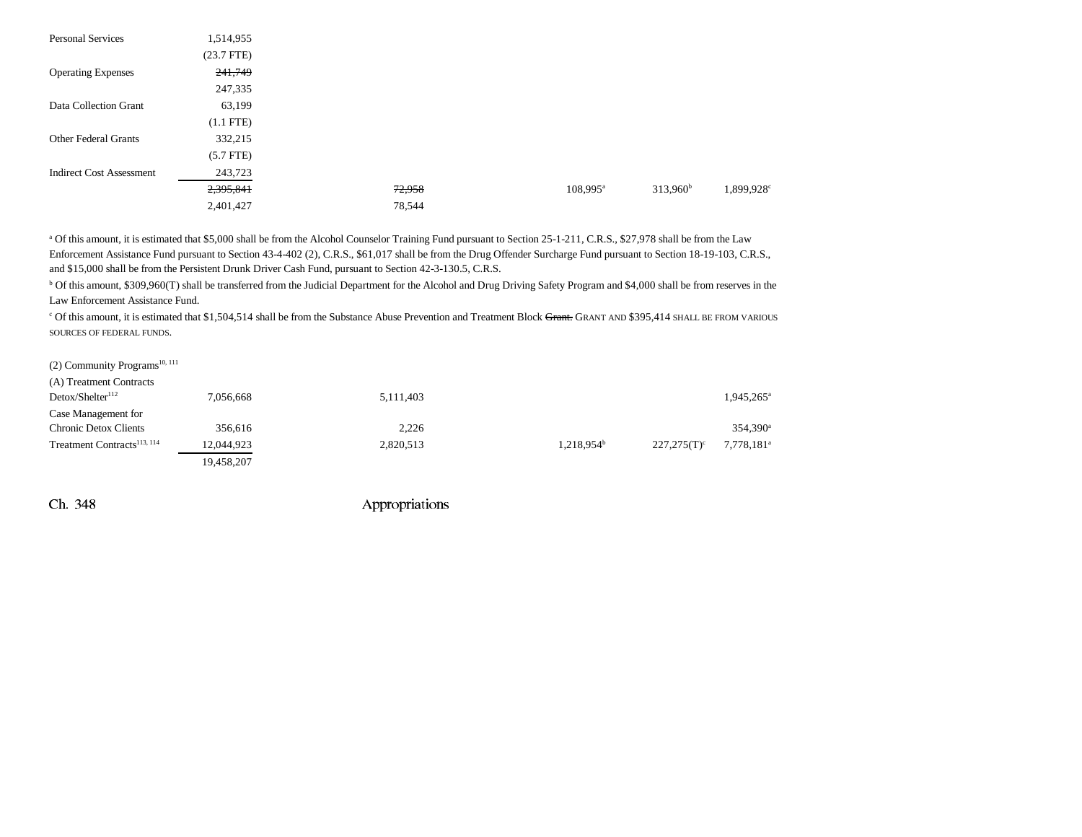| <b>Personal Services</b>        | 1,514,955    |        |                   |                                               |
|---------------------------------|--------------|--------|-------------------|-----------------------------------------------|
|                                 | $(23.7$ FTE) |        |                   |                                               |
| <b>Operating Expenses</b>       | 241,749      |        |                   |                                               |
|                                 | 247,335      |        |                   |                                               |
| Data Collection Grant           | 63,199       |        |                   |                                               |
|                                 | $(1.1$ FTE)  |        |                   |                                               |
| <b>Other Federal Grants</b>     | 332,215      |        |                   |                                               |
|                                 | $(5.7$ FTE)  |        |                   |                                               |
| <b>Indirect Cost Assessment</b> | 243,723      |        |                   |                                               |
|                                 | 2,395,841    | 72,958 | $108,995^{\rm a}$ | $313,960^{\rm b}$<br>$1,899,928$ <sup>c</sup> |
|                                 | 2,401,427    | 78,544 |                   |                                               |

<sup>a</sup> Of this amount, it is estimated that \$5,000 shall be from the Alcohol Counselor Training Fund pursuant to Section 25-1-211, C.R.S., \$27,978 shall be from the Law Enforcement Assistance Fund pursuant to Section 43-4-402 (2), C.R.S., \$61,017 shall be from the Drug Offender Surcharge Fund pursuant to Section 18-19-103, C.R.S., and \$15,000 shall be from the Persistent Drunk Driver Cash Fund, pursuant to Section 42-3-130.5, C.R.S.

<sup>b</sup> Of this amount, \$309,960(T) shall be transferred from the Judicial Department for the Alcohol and Drug Driving Safety Program and \$4,000 shall be from reserves in the Law Enforcement Assistance Fund.

<sup>c</sup> Of this amount, it is estimated that \$1,504,514 shall be from the Substance Abuse Prevention and Treatment Block Grant. GRANT AND \$395,414 SHALL BE FROM VARIOUS SOURCES OF FEDERAL FUNDS.

| $(2)$ Community Programs <sup>10, 111</sup> |  |
|---------------------------------------------|--|
| (A) Treatment Contracts                     |  |

| $(21)$ realisement commutes             |            |           |                          |                |                        |
|-----------------------------------------|------------|-----------|--------------------------|----------------|------------------------|
| Detox/SheIter <sup>112</sup>            | 7,056,668  | 5,111,403 |                          |                | $1,945,265^{\circ}$    |
| Case Management for                     |            |           |                          |                |                        |
| Chronic Detox Clients                   | 356.616    | 2,226     |                          |                | 354.390 <sup>a</sup>   |
| Treatment Contracts <sup>113, 114</sup> | 12,044,923 | 2,820,513 | $1.218.954^{\mathrm{b}}$ | $227.275(T)^c$ | 7,778,181 <sup>a</sup> |
|                                         | 19,458,207 |           |                          |                |                        |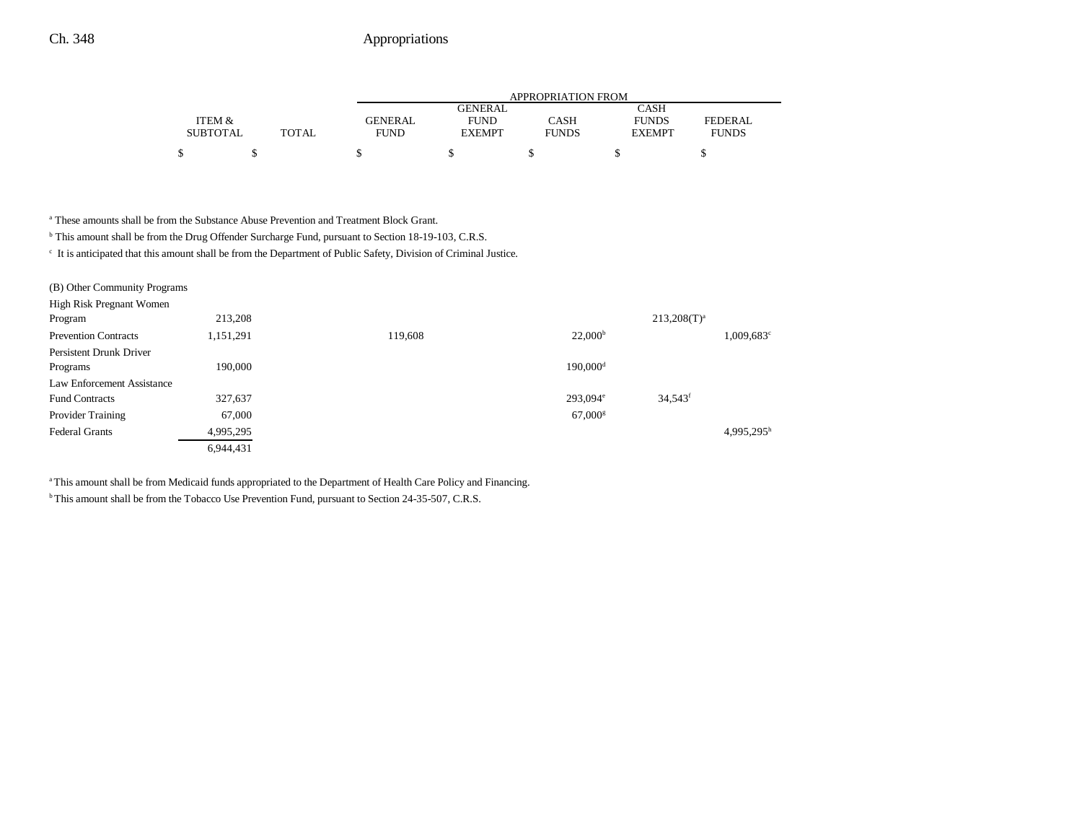|                 |              | APPROPRIATION FROM |               |              |               |                |  |
|-----------------|--------------|--------------------|---------------|--------------|---------------|----------------|--|
|                 |              |                    | GENERAL       |              | CASH          |                |  |
| ITEM &          |              | <b>GENERAL</b>     | <b>FUND</b>   | CASH         | <b>FUNDS</b>  | <b>FEDERAL</b> |  |
| <b>SUBTOTAL</b> | <b>TOTAL</b> | <b>FUND</b>        | <b>EXEMPT</b> | <b>FUNDS</b> | <b>EXEMPT</b> | <b>FUNDS</b>   |  |
| ¢               |              |                    |               |              |               |                |  |

a These amounts shall be from the Substance Abuse Prevention and Treatment Block Grant.

b This amount shall be from the Drug Offender Surcharge Fund, pursuant to Section 18-19-103, C.R.S.

c It is anticipated that this amount shall be from the Department of Public Safety, Division of Criminal Justice.

| (B) Other Community Programs |           |         |                       |                       |               |
|------------------------------|-----------|---------|-----------------------|-----------------------|---------------|
| High Risk Pregnant Women     |           |         |                       |                       |               |
| Program                      | 213,208   |         |                       | $213,208(T)^{a}$      |               |
| <b>Prevention Contracts</b>  | 1,151,291 | 119,608 | 22,000 <sup>b</sup>   |                       | $1,009,683^c$ |
| Persistent Drunk Driver      |           |         |                       |                       |               |
| Programs                     | 190,000   |         | 190,000 <sup>d</sup>  |                       |               |
| Law Enforcement Assistance   |           |         |                       |                       |               |
| <b>Fund Contracts</b>        | 327,637   |         | 293,094 <sup>e</sup>  | $34.543$ <sup>f</sup> |               |
| Provider Training            | 67,000    |         | $67,000$ <sup>g</sup> |                       |               |
| <b>Federal Grants</b>        | 4,995,295 |         |                       |                       | $4,995,295^h$ |
|                              | 6,944,431 |         |                       |                       |               |

<sup>a</sup> This amount shall be from Medicaid funds appropriated to the Department of Health Care Policy and Financing.

<sup>b</sup> This amount shall be from the Tobacco Use Prevention Fund, pursuant to Section 24-35-507, C.R.S.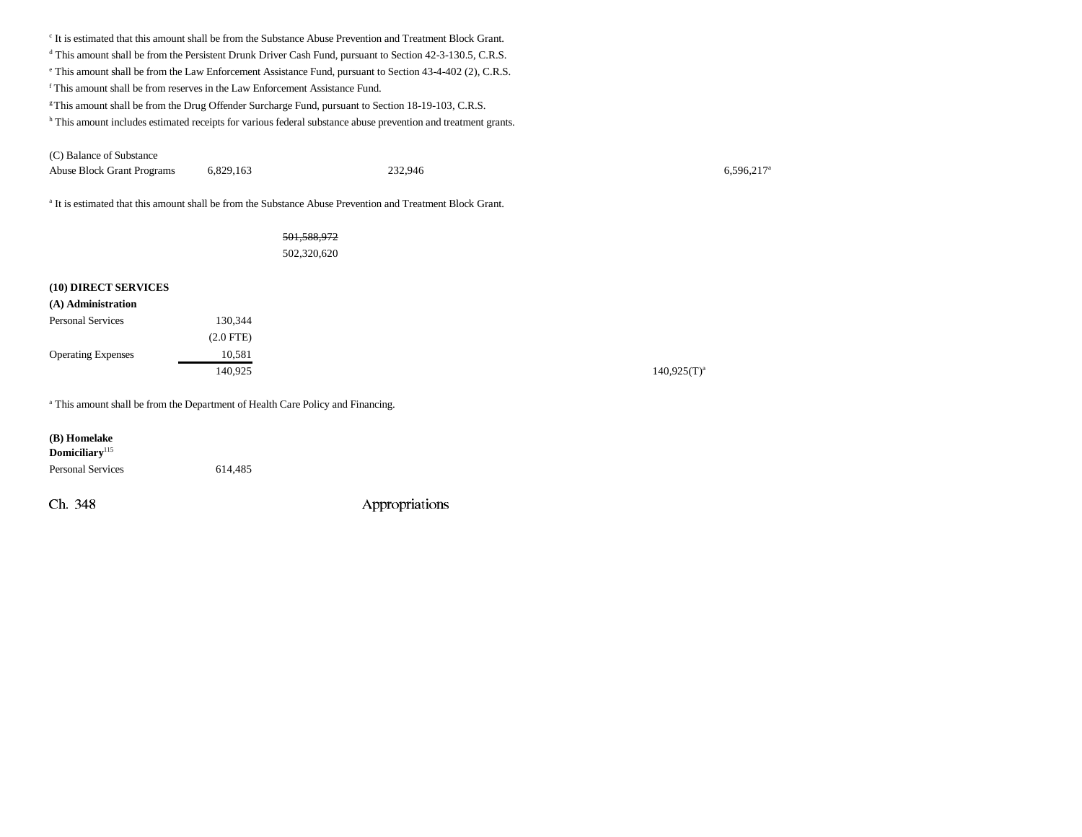c It is estimated that this amount shall be from the Substance Abuse Prevention and Treatment Block Grant. <sup>d</sup> This amount shall be from the Persistent Drunk Driver Cash Fund, pursuant to Section 42-3-130.5, C.R.S. e This amount shall be from the Law Enforcement Assistance Fund, pursuant to Section 43-4-402 (2), C.R.S. f This amount shall be from reserves in the Law Enforcement Assistance Fund. <sup>g</sup> This amount shall be from the Drug Offender Surcharge Fund, pursuant to Section 18-19-103, C.R.S. h This amount includes estimated receipts for various federal substance abuse prevention and treatment grants. (C) Balance of Substance Abuse Block Grant Programs 6,829,163 232,946 6,596,217<sup>a</sup>

a It is estimated that this amount shall be from the Substance Abuse Prevention and Treatment Block Grant.

#### 501,588,972

502,320,620

#### **(10) DIRECT SERVICES**

| (A) Administration        |             |  |
|---------------------------|-------------|--|
| <b>Personal Services</b>  | 130.344     |  |
|                           | $(2.0$ FTE) |  |
| <b>Operating Expenses</b> | 10.581      |  |
|                           | 140,925     |  |

<sup>a</sup> This amount shall be from the Department of Health Care Policy and Financing.

| (B) Homelake<br>Domiciliary <sup>115</sup> |         |
|--------------------------------------------|---------|
| <b>Personal Services</b>                   | 614,485 |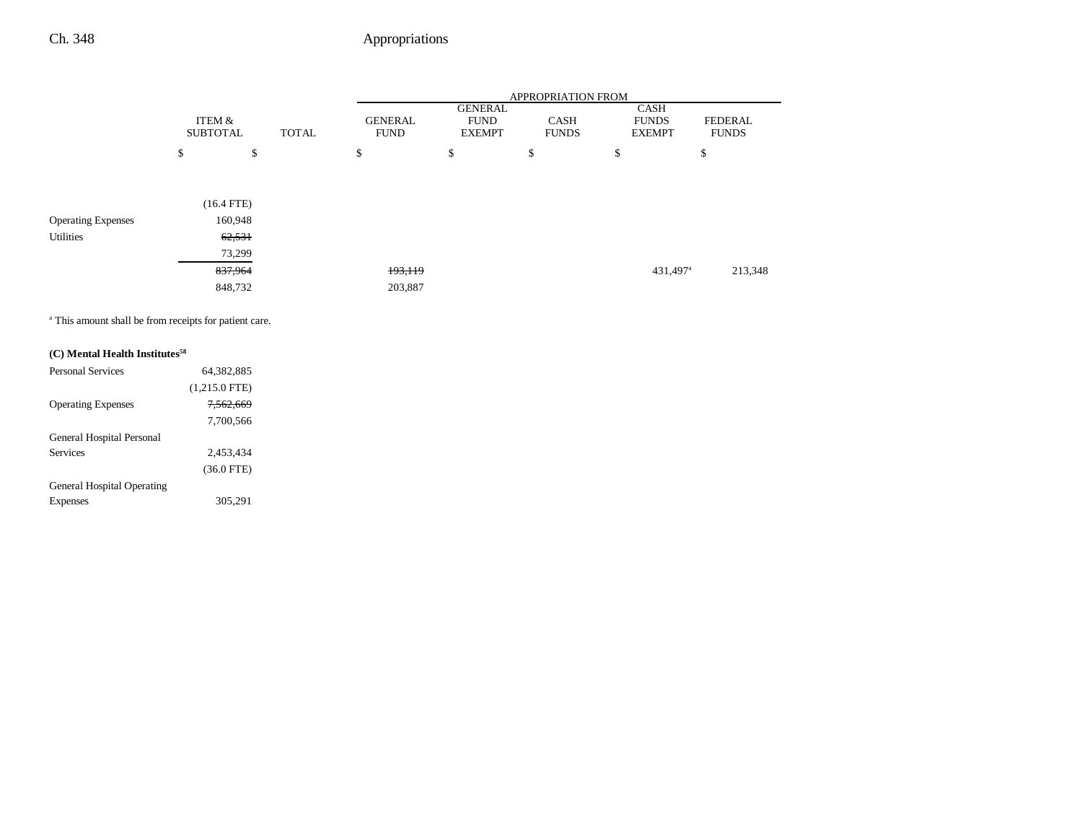|                           |                           |              |              | <b>APPROPRIATION FROM</b>     |                                                |                             |                                       |                                |  |
|---------------------------|---------------------------|--------------|--------------|-------------------------------|------------------------------------------------|-----------------------------|---------------------------------------|--------------------------------|--|
|                           | ITEM &<br><b>SUBTOTAL</b> |              | <b>TOTAL</b> | <b>GENERAL</b><br><b>FUND</b> | <b>GENERAL</b><br><b>FUND</b><br><b>EXEMPT</b> | <b>CASH</b><br><b>FUNDS</b> | CASH<br><b>FUNDS</b><br><b>EXEMPT</b> | <b>FEDERAL</b><br><b>FUNDS</b> |  |
|                           | \$                        | \$           |              | \$                            | \$                                             | \$                          | \$                                    | \$                             |  |
|                           |                           |              |              |                               |                                                |                             |                                       |                                |  |
|                           |                           | $(16.4$ FTE) |              |                               |                                                |                             |                                       |                                |  |
| <b>Operating Expenses</b> |                           | 160,948      |              |                               |                                                |                             |                                       |                                |  |
| <b>Utilities</b>          |                           | 62,531       |              |                               |                                                |                             |                                       |                                |  |
|                           |                           | 73,299       |              |                               |                                                |                             |                                       |                                |  |
|                           |                           | 837,964      |              | 193,119                       |                                                |                             | 431,497 <sup>a</sup>                  | 213,348                        |  |
|                           |                           | 848,732      |              | 203,887                       |                                                |                             |                                       |                                |  |

a This amount shall be from receipts for patient care.

| (C) Mental Health Institutes <sup>58</sup> |                      |
|--------------------------------------------|----------------------|
| <b>Personal Services</b>                   | 64.382.885           |
|                                            | $(1,215.0$ FTE)      |
| <b>Operating Expenses</b>                  | <del>7.562.669</del> |
|                                            | 7.700.566            |
| General Hospital Personal                  |                      |
| Services                                   | 2.453.434            |
|                                            | $(36.0$ FTE)         |
| <b>General Hospital Operating</b>          |                      |
| Expenses                                   | 305.291              |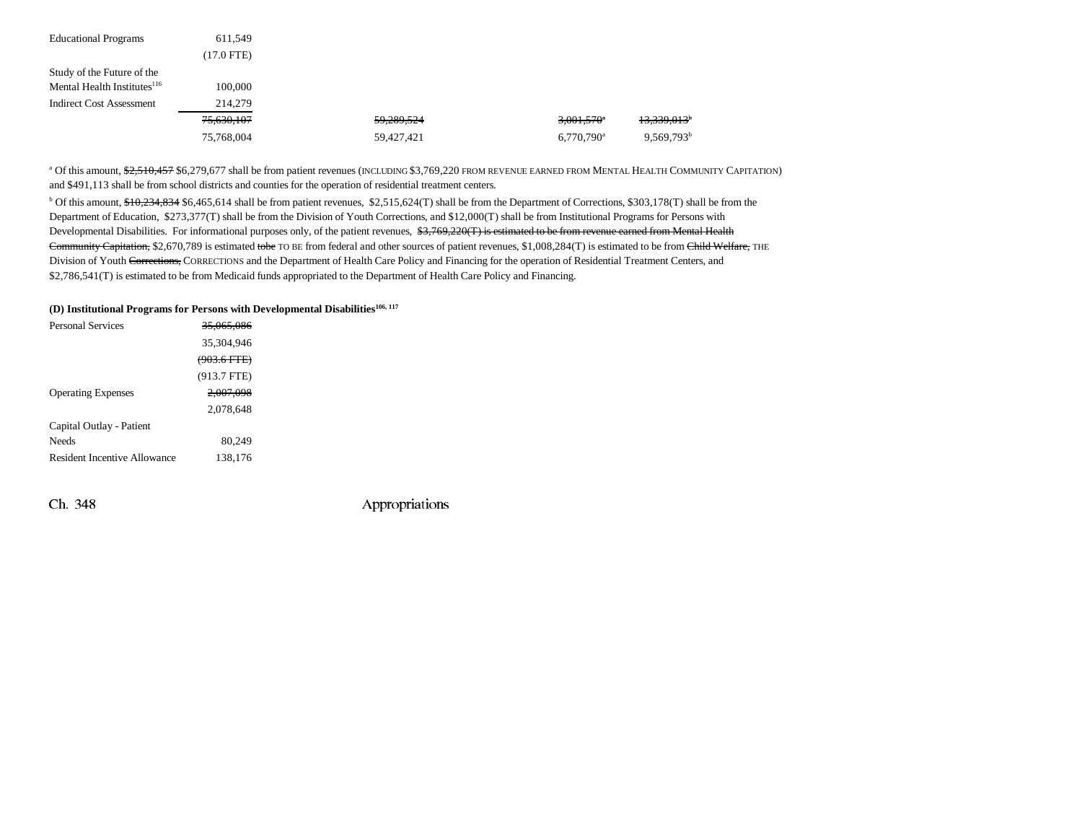| <b>Educational Programs</b>             | 611,549      |            |                          |                         |
|-----------------------------------------|--------------|------------|--------------------------|-------------------------|
|                                         | $(17.0$ FTE) |            |                          |                         |
| Study of the Future of the              |              |            |                          |                         |
| Mental Health Institutes <sup>116</sup> | 100,000      |            |                          |                         |
| <b>Indirect Cost Assessment</b>         | 214,279      |            |                          |                         |
|                                         | 75,630,107   | 59,289,524 | $3,001,570^{\circ}$      | 13,339,013 <sup>b</sup> |
|                                         | 75,768,004   | 59.427.421 | $6,770,790$ <sup>a</sup> | $9.569.793^b$           |

<sup>a</sup> Of this amount, <del>\$2,510,457</del> \$6,279,677 shall be from patient revenues (INCLUDING \$3,769,220 FROM REVENUE EARNED FROM MENTAL HEALTH COMMUNITY CAPITATION) and \$491,113 shall be from school districts and counties for the operation of residential treatment centers.

 $b$  Of this amount,  $\frac{640,234,834}{100,234,834}$  \$6,465,614 shall be from patient revenues, \$2,515,624(T) shall be from the Department of Corrections, \$303,178(T) shall be from the Department of Education, \$273,377(T) shall be from the Division of Youth Corrections, and \$12,000(T) shall be from Institutional Programs for Persons with Developmental Disabilities. For informational purposes only, of the patient revenues, \$3,769,220(T) is estimated to be from revenue earned from Mental Health Community Capitation, \$2,670,789 is estimated tobe TO BE from federal and other sources of patient revenues, \$1,008,284(T) is estimated to be from Child Welfare, THE Division of Youth Corrections, CORRECTIONS and the Department of Health Care Policy and Financing for the operation of Residential Treatment Centers, and \$2,786,541(T) is estimated to be from Medicaid funds appropriated to the Department of Health Care Policy and Financing.

#### **(D) Institutional Programs for Persons with Developmental Disabilities106, 117**

| <b>Personal Services</b>     | <del>35.065.086</del>  |  |
|------------------------------|------------------------|--|
|                              | 35,304,946             |  |
|                              | <del>(903.6 FTE)</del> |  |
|                              | $(913.7$ FTE)          |  |
| <b>Operating Expenses</b>    | 2.007.098              |  |
|                              | 2,078,648              |  |
| Capital Outlay - Patient     |                        |  |
| <b>Needs</b>                 | 80,249                 |  |
| Resident Incentive Allowance | 138,176                |  |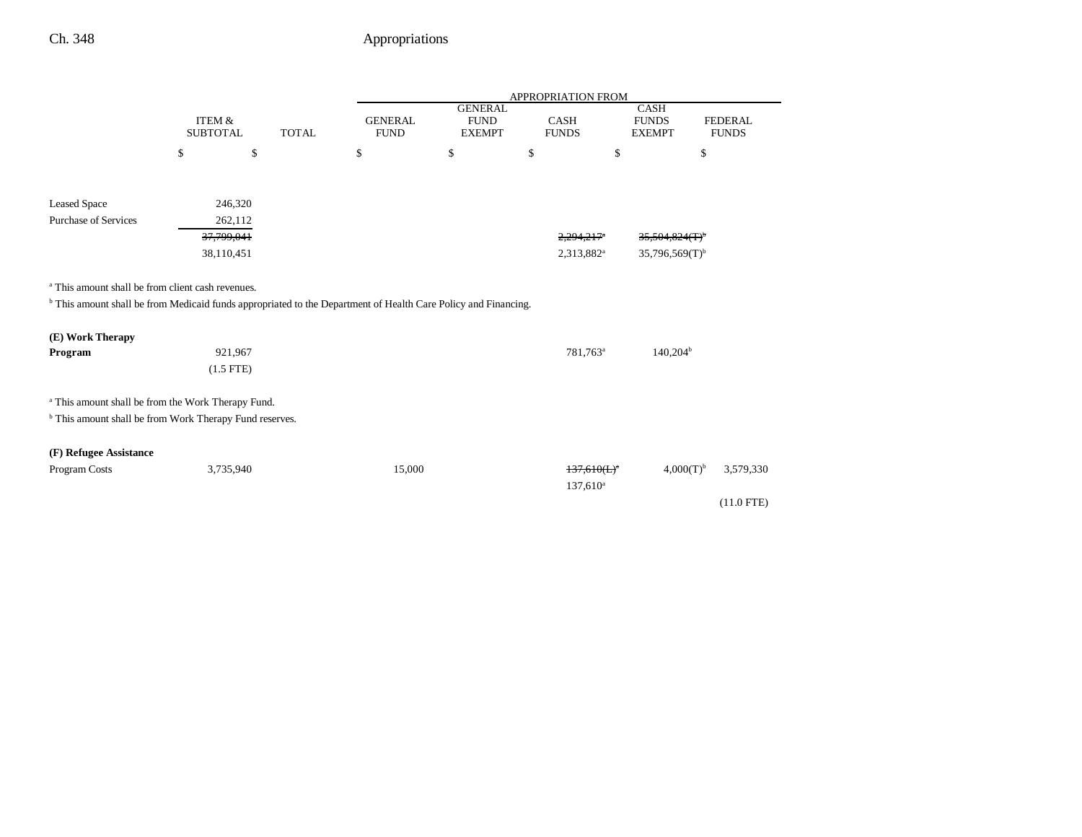|                                                                                                                                                                                                                                                                                           |                                      |              |                               |                                                | APPROPRIATION FROM              |                                       |                                |
|-------------------------------------------------------------------------------------------------------------------------------------------------------------------------------------------------------------------------------------------------------------------------------------------|--------------------------------------|--------------|-------------------------------|------------------------------------------------|---------------------------------|---------------------------------------|--------------------------------|
|                                                                                                                                                                                                                                                                                           | <b>ITEM &amp;</b><br><b>SUBTOTAL</b> | <b>TOTAL</b> | <b>GENERAL</b><br><b>FUND</b> | <b>GENERAL</b><br><b>FUND</b><br><b>EXEMPT</b> | CASH<br><b>FUNDS</b>            | CASH<br><b>FUNDS</b><br><b>EXEMPT</b> | <b>FEDERAL</b><br><b>FUNDS</b> |
|                                                                                                                                                                                                                                                                                           | \$<br>\$                             | \$           |                               | \$                                             | \$                              | \$                                    | \$                             |
|                                                                                                                                                                                                                                                                                           |                                      |              |                               |                                                |                                 |                                       |                                |
| <b>Leased Space</b>                                                                                                                                                                                                                                                                       | 246,320                              |              |                               |                                                |                                 |                                       |                                |
| <b>Purchase of Services</b>                                                                                                                                                                                                                                                               | 262,112                              |              |                               |                                                |                                 |                                       |                                |
|                                                                                                                                                                                                                                                                                           | 37,799,041                           |              |                               |                                                | 2,294,217 <sup>*</sup>          | 35,504,824(T)                         |                                |
|                                                                                                                                                                                                                                                                                           | 38,110,451                           |              |                               |                                                | 2,313,882 <sup>a</sup>          | $35,796,569(T)$ <sup>b</sup>          |                                |
| <sup>a</sup> This amount shall be from client cash revenues.<br><sup>b</sup> This amount shall be from Medicaid funds appropriated to the Department of Health Care Policy and Financing.<br>(E) Work Therapy<br>Program<br><sup>a</sup> This amount shall be from the Work Therapy Fund. | 921,967<br>$(1.5$ FTE)               |              |                               |                                                | 781,763 <sup>a</sup>            | $140,204^{\rm b}$                     |                                |
| <sup>b</sup> This amount shall be from Work Therapy Fund reserves.                                                                                                                                                                                                                        |                                      |              |                               |                                                |                                 |                                       |                                |
| (F) Refugee Assistance<br>Program Costs                                                                                                                                                                                                                                                   | 3,735,940                            |              | 15,000                        |                                                | $137,610(L)^{a}$<br>$137,610^a$ | $4,000(T)^{b}$                        | 3,579,330<br>$(11.0$ FTE)      |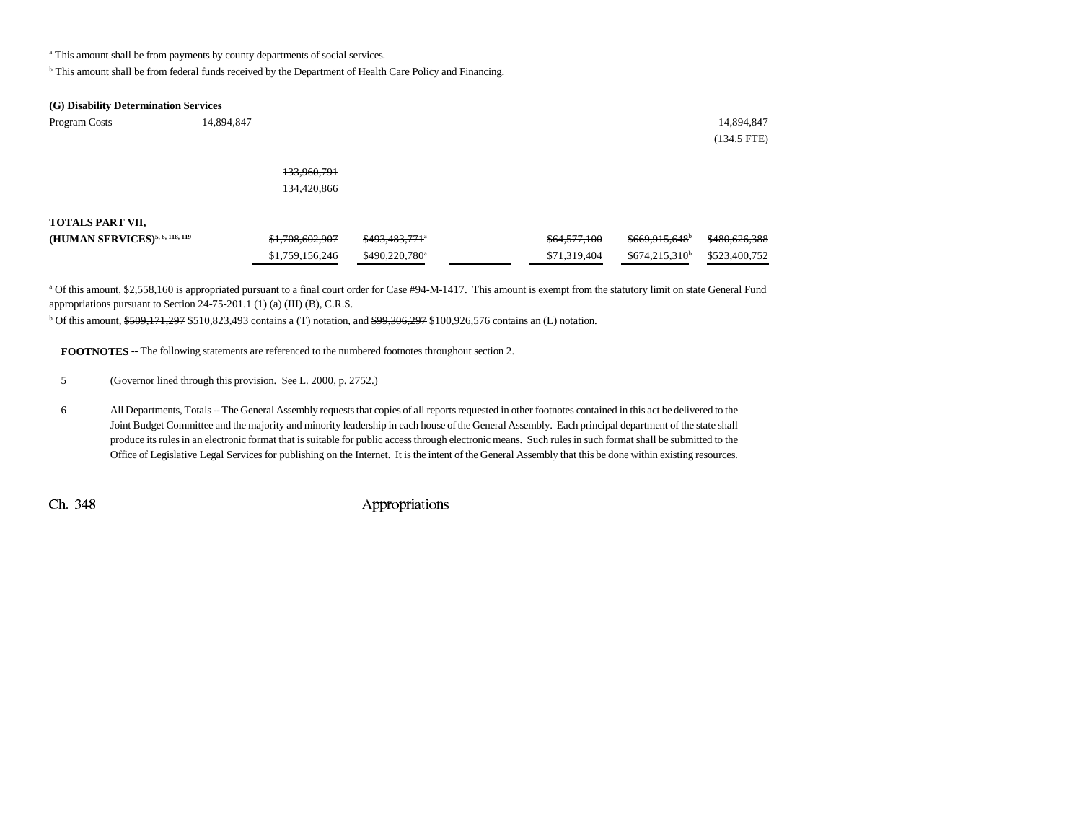<sup>a</sup> This amount shall be from payments by county departments of social services.

b This amount shall be from federal funds received by the Department of Health Care Policy and Financing.

#### **(G) Disability Determination Services**

| Program Costs                              | 14,894,847      |                            |              |                             | 14,894,847    |
|--------------------------------------------|-----------------|----------------------------|--------------|-----------------------------|---------------|
|                                            |                 |                            |              |                             | $(134.5$ FTE) |
|                                            | 133,960,791     |                            |              |                             |               |
|                                            | 134,420,866     |                            |              |                             |               |
| TOTALS PART VII,                           |                 |                            |              |                             |               |
| (HUMAN SERVICES) <sup>5, 6, 118, 119</sup> | \$1,708,602,907 | \$493,483,771 <sup>e</sup> | \$64,577,100 | $$669,915,648$ <sup>b</sup> | \$480,626,388 |
|                                            | \$1,759,156,246 | \$490,220,780 <sup>a</sup> | \$71,319,404 | $$674,215,310^b$            | \$523,400,752 |

a Of this amount, \$2,558,160 is appropriated pursuant to a final court order for Case #94-M-1417. This amount is exempt from the statutory limit on state General Fund appropriations pursuant to Section 24-75-201.1 (1) (a) (III) (B), C.R.S.

 $b$  Of this amount, \$509,171,297 \$510,823,493 contains a (T) notation, and \$99,306,297 \$100,926,576 contains an (L) notation.

**FOOTNOTES** -- The following statements are referenced to the numbered footnotes throughout section 2.

5 (Governor lined through this provision. See L. 2000, p. 2752.)

6 All Departments, Totals -- The General Assembly requests that copies of all reports requested in other footnotes contained in this act be delivered to the Joint Budget Committee and the majority and minority leadership in each house of the General Assembly. Each principal department of the state shall produce its rules in an electronic format that is suitable for public access through electronic means. Such rules in such format shall be submitted to the Office of Legislative Legal Services for publishing on the Internet. It is the intent of the General Assembly that this be done within existing resources.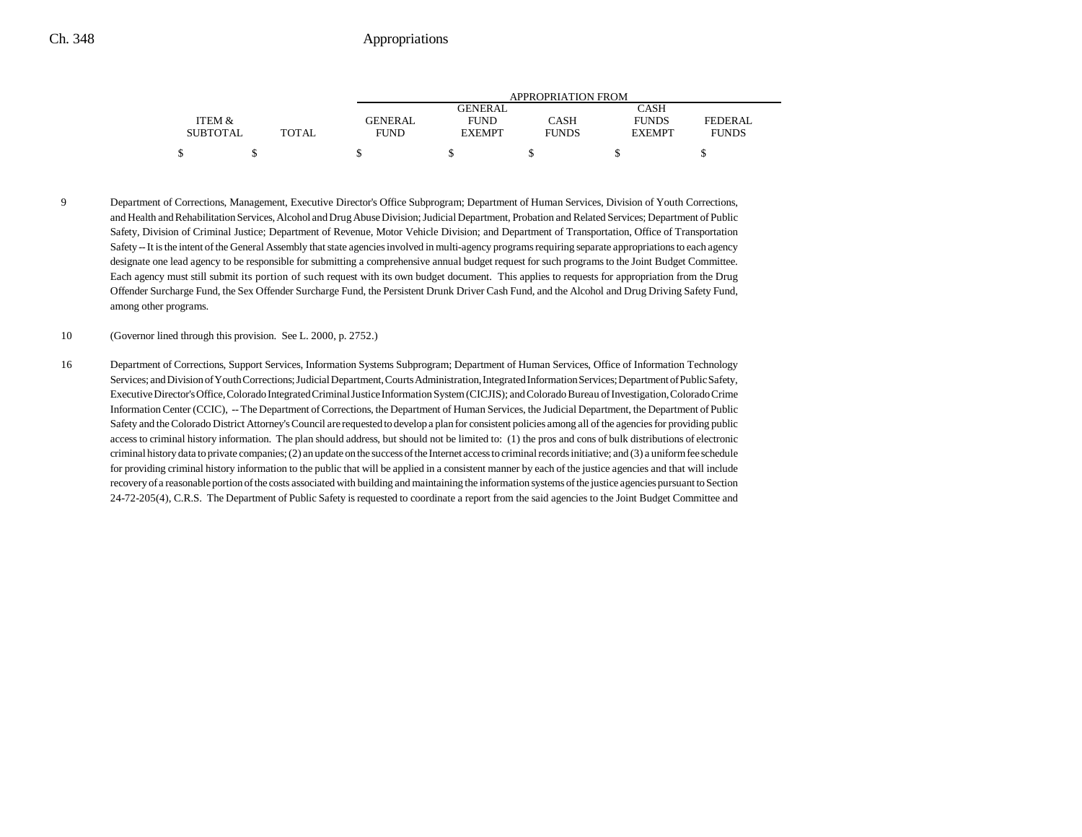|                 |       | APPROPRIATION FROM |                |              |               |                |  |
|-----------------|-------|--------------------|----------------|--------------|---------------|----------------|--|
|                 |       |                    | <b>GENERAL</b> |              | CASH          |                |  |
| ITEM &          |       | GENERAL            | <b>FUND</b>    | CASH         | <b>FUNDS</b>  | <b>FEDERAL</b> |  |
| <b>SUBTOTAL</b> | TOTAL | <b>FUND</b>        | <b>EXEMPT</b>  | <b>FUNDS</b> | <b>EXEMPT</b> | <b>FUNDS</b>   |  |
| \$              |       |                    |                |              |               |                |  |

9 Department of Corrections, Management, Executive Director's Office Subprogram; Department of Human Services, Division of Youth Corrections, and Health and Rehabilitation Services, Alcohol and Drug Abuse Division; Judicial Department, Probation and Related Services; Department of Public Safety, Division of Criminal Justice; Department of Revenue, Motor Vehicle Division; and Department of Transportation, Office of Transportation Safety -- It is the intent of the General Assembly that state agencies involved in multi-agency programs requiring separate appropriations to each agency designate one lead agency to be responsible for submitting a comprehensive annual budget request for such programs to the Joint Budget Committee. Each agency must still submit its portion of such request with its own budget document. This applies to requests for appropriation from the Drug Offender Surcharge Fund, the Sex Offender Surcharge Fund, the Persistent Drunk Driver Cash Fund, and the Alcohol and Drug Driving Safety Fund, among other programs.

10 (Governor lined through this provision. See L. 2000, p. 2752.)

16 Department of Corrections, Support Services, Information Systems Subprogram; Department of Human Services, Office of Information Technology Services; and Division of Youth Corrections; Judicial Department, Courts Administration, Integrated Information Services; Department of Public Safety, Executive Director's Office, Colorado Integrated Criminal Justice Information System (CICJIS); and Colorado Bureau of Investigation, Colorado Crime Information Center (CCIC), -- The Department of Corrections, the Department of Human Services, the Judicial Department, the Department of Public Safety and the Colorado District Attorney's Council are requested to develop a plan for consistent policies among all of the agencies for providing public access to criminal history information. The plan should address, but should not be limited to: (1) the pros and cons of bulk distributions of electronic criminal history data to private companies; (2) an update on the success of the Internet access to criminal records initiative; and (3) a uniform fee schedule for providing criminal history information to the public that will be applied in a consistent manner by each of the justice agencies and that will include recovery of a reasonable portion of the costs associated with building and maintaining the information systems of the justice agencies pursuant to Section 24-72-205(4), C.R.S. The Department of Public Safety is requested to coordinate a report from the said agencies to the Joint Budget Committee and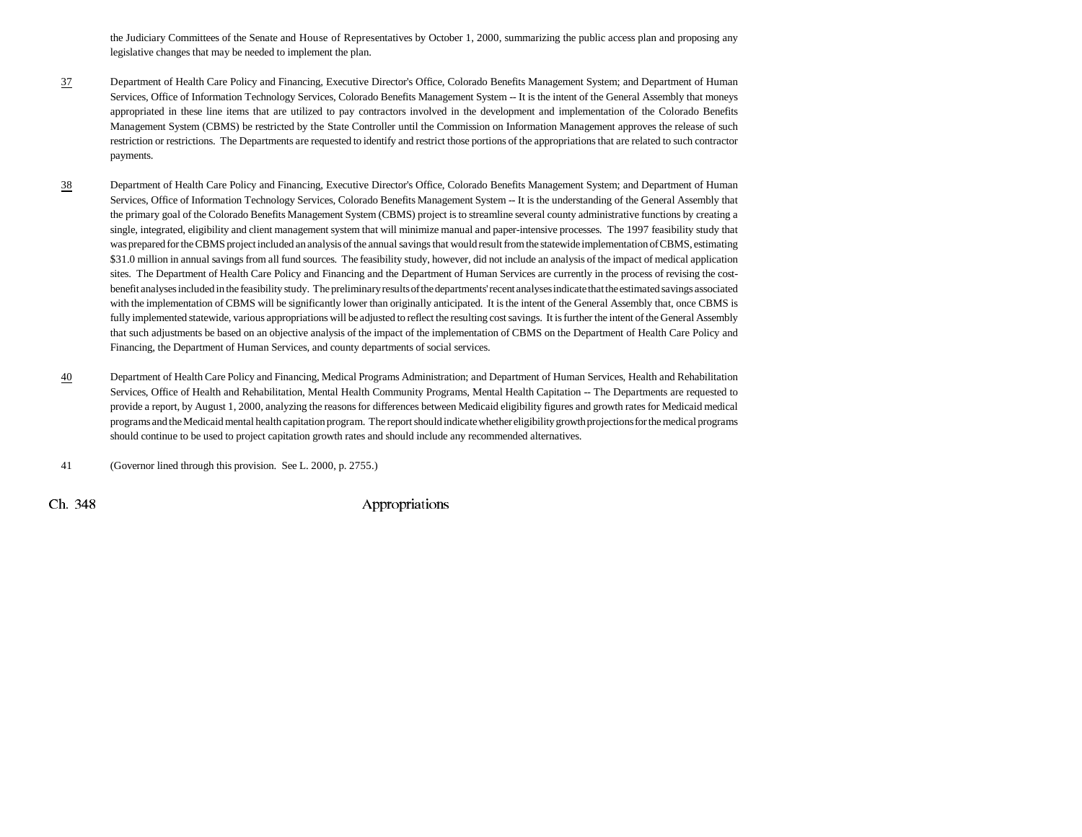the Judiciary Committees of the Senate and House of Representatives by October 1, 2000, summarizing the public access plan and proposing any legislative changes that may be needed to implement the plan.

- 37 Department of Health Care Policy and Financing, Executive Director's Office, Colorado Benefits Management System; and Department of Human Services, Office of Information Technology Services, Colorado Benefits Management System -- It is the intent of the General Assembly that moneys appropriated in these line items that are utilized to pay contractors involved in the development and implementation of the Colorado Benefits Management System (CBMS) be restricted by the State Controller until the Commission on Information Management approves the release of such restriction or restrictions. The Departments are requested to identify and restrict those portions of the appropriations that are related to such contractor payments.
- 38 Department of Health Care Policy and Financing, Executive Director's Office, Colorado Benefits Management System; and Department of Human Services, Office of Information Technology Services, Colorado Benefits Management System -- It is the understanding of the General Assembly that the primary goal of the Colorado Benefits Management System (CBMS) project is to streamline several county administrative functions by creating a single, integrated, eligibility and client management system that will minimize manual and paper-intensive processes. The 1997 feasibility study that was prepared for the CBMS project included an analysis of the annual savings that would result from the statewide implementation of CBMS, estimating \$31.0 million in annual savings from all fund sources. The feasibility study, however, did not include an analysis of the impact of medical application sites. The Department of Health Care Policy and Financing and the Department of Human Services are currently in the process of revising the costbenefit analyses included in the feasibility study. The preliminary results of the departments' recent analyses indicate that the estimated savings associated with the implementation of CBMS will be significantly lower than originally anticipated. It is the intent of the General Assembly that, once CBMS is fully implemented statewide, various appropriations will be adjusted to reflect the resulting cost savings. It is further the intent of the General Assembly that such adjustments be based on an objective analysis of the impact of the implementation of CBMS on the Department of Health Care Policy and Financing, the Department of Human Services, and county departments of social services.
- 40 Department of Health Care Policy and Financing, Medical Programs Administration; and Department of Human Services, Health and Rehabilitation Services, Office of Health and Rehabilitation, Mental Health Community Programs, Mental Health Capitation -- The Departments are requested to provide a report, by August 1, 2000, analyzing the reasons for differences between Medicaid eligibility figures and growth rates for Medicaid medical programs and the Medicaid mental health capitation program. The report should indicate whether eligibility growth projections for the medical programs should continue to be used to project capitation growth rates and should include any recommended alternatives.

41 (Governor lined through this provision. See L. 2000, p. 2755.)

 $\chi$  Ch. 348 Appropriations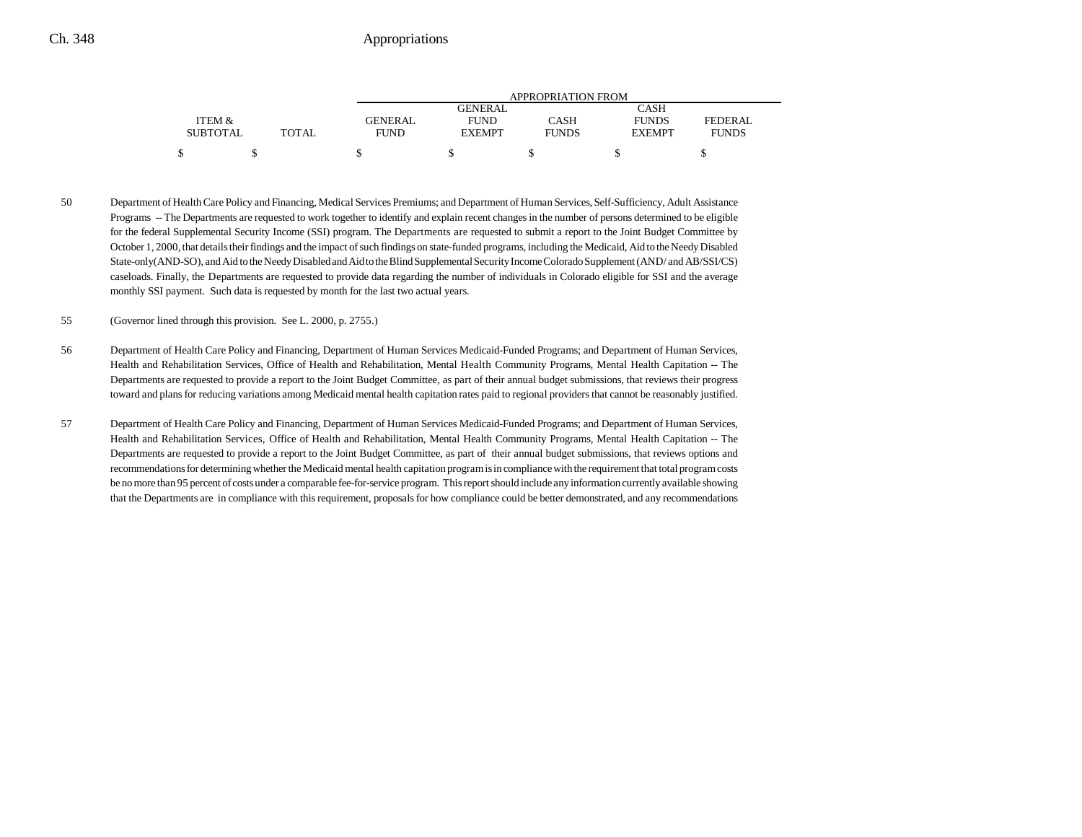|                 |              |             | APPROPRIATION FROM |              |               |                |  |  |
|-----------------|--------------|-------------|--------------------|--------------|---------------|----------------|--|--|
|                 |              |             | GENERAL            |              | CASH          |                |  |  |
| ITEM &          |              | GENERAL     | <b>FUND</b>        | CASH         | <b>FUNDS</b>  | <b>FEDERAL</b> |  |  |
| <b>SUBTOTAL</b> | <b>TOTAL</b> | <b>FUND</b> | <b>EXEMPT</b>      | <b>FUNDS</b> | <b>EXEMPT</b> | <b>FUNDS</b>   |  |  |
|                 |              |             |                    |              |               |                |  |  |

50 Department of Health Care Policy and Financing, Medical Services Premiums; and Department of Human Services, Self-Sufficiency, Adult Assistance Programs -- The Departments are requested to work together to identify and explain recent changes in the number of persons determined to be eligible for the federal Supplemental Security Income (SSI) program. The Departments are requested to submit a report to the Joint Budget Committee by October 1, 2000, that details their findings and the impact of such findings on state-funded programs, including the Medicaid, Aid to the Needy Disabled State-only(AND-SO), and Aid to the Needy Disabled and Aid to the Blind Supplemental Security Income Colorado Supplement (AND/ and AB/SSI/CS) caseloads. Finally, the Departments are requested to provide data regarding the number of individuals in Colorado eligible for SSI and the average monthly SSI payment. Such data is requested by month for the last two actual years.

55 (Governor lined through this provision. See L. 2000, p. 2755.)

- 56 Department of Health Care Policy and Financing, Department of Human Services Medicaid-Funded Programs; and Department of Human Services, Health and Rehabilitation Services, Office of Health and Rehabilitation, Mental Health Community Programs, Mental Health Capitation -- The Departments are requested to provide a report to the Joint Budget Committee, as part of their annual budget submissions, that reviews their progress toward and plans for reducing variations among Medicaid mental health capitation rates paid to regional providers that cannot be reasonably justified.
- 57 Department of Health Care Policy and Financing, Department of Human Services Medicaid-Funded Programs; and Department of Human Services, Health and Rehabilitation Services, Office of Health and Rehabilitation, Mental Health Community Programs, Mental Health Capitation -- The Departments are requested to provide a report to the Joint Budget Committee, as part of their annual budget submissions, that reviews options and recommendations for determining whether the Medicaid mental health capitation program is in compliance with the requirement that total program costs be no more than 95 percent of costs under a comparable fee-for-service program. This report should include any information currently available showing that the Departments are in compliance with this requirement, proposals for how compliance could be better demonstrated, and any recommendations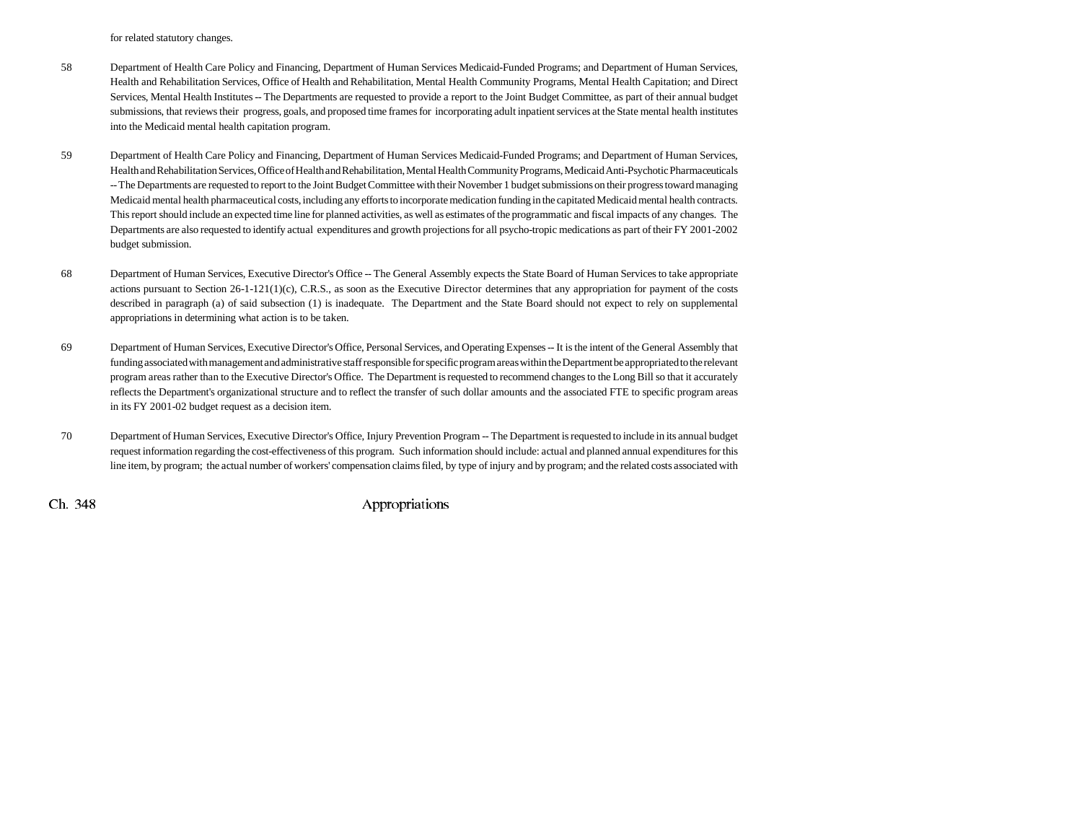for related statutory changes.

- 58 Department of Health Care Policy and Financing, Department of Human Services Medicaid-Funded Programs; and Department of Human Services, Health and Rehabilitation Services, Office of Health and Rehabilitation, Mental Health Community Programs, Mental Health Capitation; and Direct Services, Mental Health Institutes -- The Departments are requested to provide a report to the Joint Budget Committee, as part of their annual budget submissions, that reviews their progress, goals, and proposed time frames for incorporating adult inpatient services at the State mental health institutes into the Medicaid mental health capitation program.
- 59 Department of Health Care Policy and Financing, Department of Human Services Medicaid-Funded Programs; and Department of Human Services, Health and Rehabilitation Services, Office of Health and Rehabilitation, Mental Health Community Programs, Medicaid Anti-Psychotic Pharmaceuticals -- The Departments are requested to report to the Joint Budget Committee with their November 1 budget submissions on their progress toward managing Medicaid mental health pharmaceutical costs, including any efforts to incorporate medication funding in the capitated Medicaid mental health contracts. This report should include an expected time line for planned activities, as well as estimates of the programmatic and fiscal impacts of any changes. The Departments are also requested to identify actual expenditures and growth projections for all psycho-tropic medications as part of their FY 2001-2002 budget submission.
- 68 Department of Human Services, Executive Director's Office -- The General Assembly expects the State Board of Human Services to take appropriate actions pursuant to Section 26-1-121(1)(c), C.R.S., as soon as the Executive Director determines that any appropriation for payment of the costs described in paragraph (a) of said subsection (1) is inadequate. The Department and the State Board should not expect to rely on supplemental appropriations in determining what action is to be taken.
- 69 Department of Human Services, Executive Director's Office, Personal Services, and Operating Expenses -- It is the intent of the General Assembly that funding associated with management and administrative staff responsible for specific program areas within the Department be appropriated to the relevant program areas rather than to the Executive Director's Office. The Department is requested to recommend changes to the Long Bill so that it accurately reflects the Department's organizational structure and to reflect the transfer of such dollar amounts and the associated FTE to specific program areas in its FY 2001-02 budget request as a decision item.
- 70 Department of Human Services, Executive Director's Office, Injury Prevention Program -- The Department is requested to include in its annual budget request information regarding the cost-effectiveness of this program. Such information should include: actual and planned annual expenditures for this line item, by program; the actual number of workers' compensation claims filed, by type of injury and by program; and the related costs associated with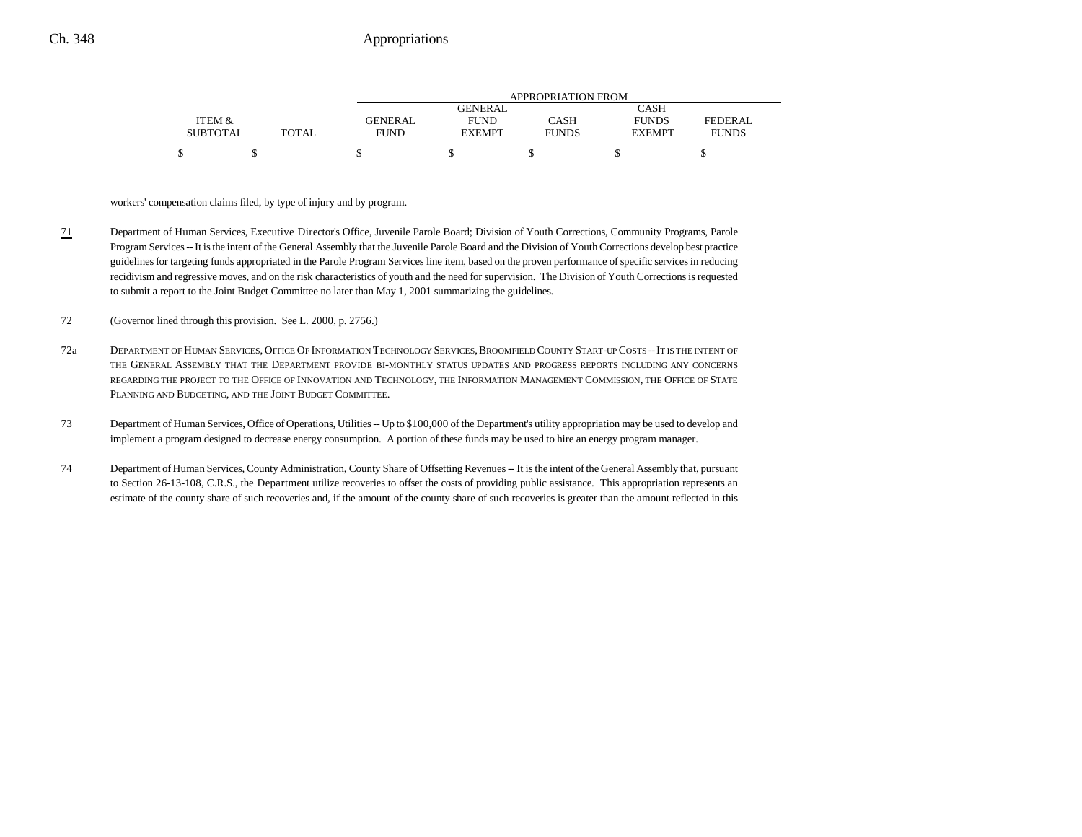|                 |              |         | APPROPRIATION FROM |              |               |              |  |
|-----------------|--------------|---------|--------------------|--------------|---------------|--------------|--|
|                 |              |         | GENERAL.           |              | CASH          |              |  |
| ITEM &          |              | GENERAL | <b>FUND</b>        | CASH         | <b>FUNDS</b>  | FEDERAL      |  |
| <b>SUBTOTAL</b> | <b>TOTAL</b> | FUND    | <b>EXEMPT</b>      | <b>FUNDS</b> | <b>EXEMPT</b> | <b>FUNDS</b> |  |
|                 |              |         |                    |              |               |              |  |

workers' compensation claims filed, by type of injury and by program.

71 Department of Human Services, Executive Director's Office, Juvenile Parole Board; Division of Youth Corrections, Community Programs, Parole Program Services -- It is the intent of the General Assembly that the Juvenile Parole Board and the Division of Youth Corrections develop best practice guidelines for targeting funds appropriated in the Parole Program Services line item, based on the proven performance of specific services in reducing recidivism and regressive moves, and on the risk characteristics of youth and the need for supervision. The Division of Youth Corrections is requested to submit a report to the Joint Budget Committee no later than May 1, 2001 summarizing the guidelines.

72 (Governor lined through this provision. See L. 2000, p. 2756.)

- 72aDEPARTMENT OF HUMAN SERVICES, OFFICE OF INFORMATION TECHNOLOGY SERVICES, BROOMFIELD COUNTY START-UP COSTS -- IT IS THE INTENT OF THE GENERAL ASSEMBLY THAT THE DEPARTMENT PROVIDE BI-MONTHLY STATUS UPDATES AND PROGRESS REPORTS INCLUDING ANY CONCERNS REGARDING THE PROJECT TO THE OFFICE OF INNOVATION AND TECHNOLOGY, THE INFORMATION MANAGEMENT COMMISSION, THE OFFICE OF STATE PLANNING AND BUDGETING, AND THE JOINT BUDGET COMMITTEE.
- 73 Department of Human Services, Office of Operations, Utilities -- Up to \$100,000 of the Department's utility appropriation may be used to develop and implement a program designed to decrease energy consumption. A portion of these funds may be used to hire an energy program manager.
- 74 Department of Human Services, County Administration, County Share of Offsetting Revenues -- It is the intent of the General Assembly that, pursuant to Section 26-13-108, C.R.S., the Department utilize recoveries to offset the costs of providing public assistance. This appropriation represents an estimate of the county share of such recoveries and, if the amount of the county share of such recoveries is greater than the amount reflected in this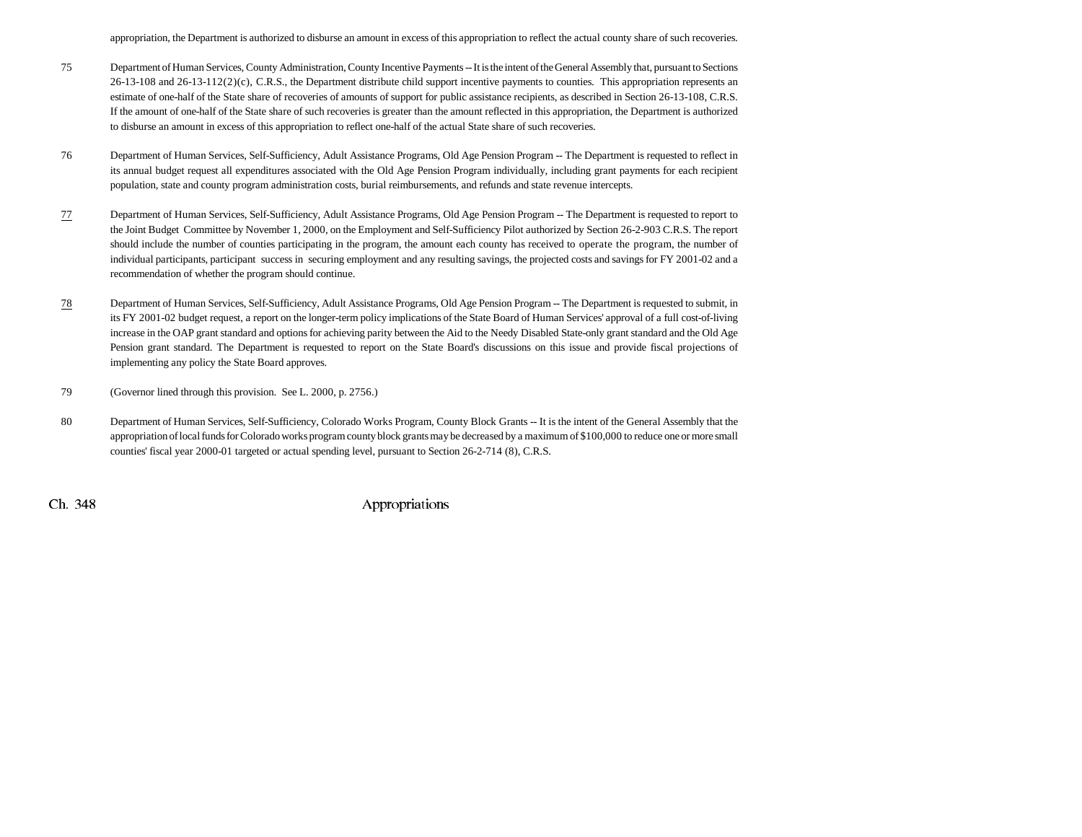appropriation, the Department is authorized to disburse an amount in excess of this appropriation to reflect the actual county share of such recoveries.

- 75 Department of Human Services, County Administration, County Incentive Payments -- It is the intent of the General Assembly that, pursuant to Sections  $26-13-108$  and  $26-13-112(2)(c)$ , C.R.S., the Department distribute child support incentive payments to counties. This appropriation represents an estimate of one-half of the State share of recoveries of amounts of support for public assistance recipients, as described in Section 26-13-108, C.R.S. If the amount of one-half of the State share of such recoveries is greater than the amount reflected in this appropriation, the Department is authorized to disburse an amount in excess of this appropriation to reflect one-half of the actual State share of such recoveries.
- 76 Department of Human Services, Self-Sufficiency, Adult Assistance Programs, Old Age Pension Program -- The Department is requested to reflect in its annual budget request all expenditures associated with the Old Age Pension Program individually, including grant payments for each recipient population, state and county program administration costs, burial reimbursements, and refunds and state revenue intercepts.
- 77 Department of Human Services, Self-Sufficiency, Adult Assistance Programs, Old Age Pension Program -- The Department is requested to report to the Joint Budget Committee by November 1, 2000, on the Employment and Self-Sufficiency Pilot authorized by Section 26-2-903 C.R.S. The report should include the number of counties participating in the program, the amount each county has received to operate the program, the number of individual participants, participant success in securing employment and any resulting savings, the projected costs and savings for FY 2001-02 and a recommendation of whether the program should continue.
- 78 Department of Human Services, Self-Sufficiency, Adult Assistance Programs, Old Age Pension Program -- The Department is requested to submit, in its FY 2001-02 budget request, a report on the longer-term policy implications of the State Board of Human Services' approval of a full cost-of-living increase in the OAP grant standard and options for achieving parity between the Aid to the Needy Disabled State-only grant standard and the Old Age Pension grant standard. The Department is requested to report on the State Board's discussions on this issue and provide fiscal projections of implementing any policy the State Board approves.
- 79 (Governor lined through this provision. See L. 2000, p. 2756.)
- 80 Department of Human Services, Self-Sufficiency, Colorado Works Program, County Block Grants -- It is the intent of the General Assembly that the appropriation of local funds for Colorado works program county block grants may be decreased by a maximum of \$100,000 to reduce one or more small counties' fiscal year 2000-01 targeted or actual spending level, pursuant to Section 26-2-714 (8), C.R.S.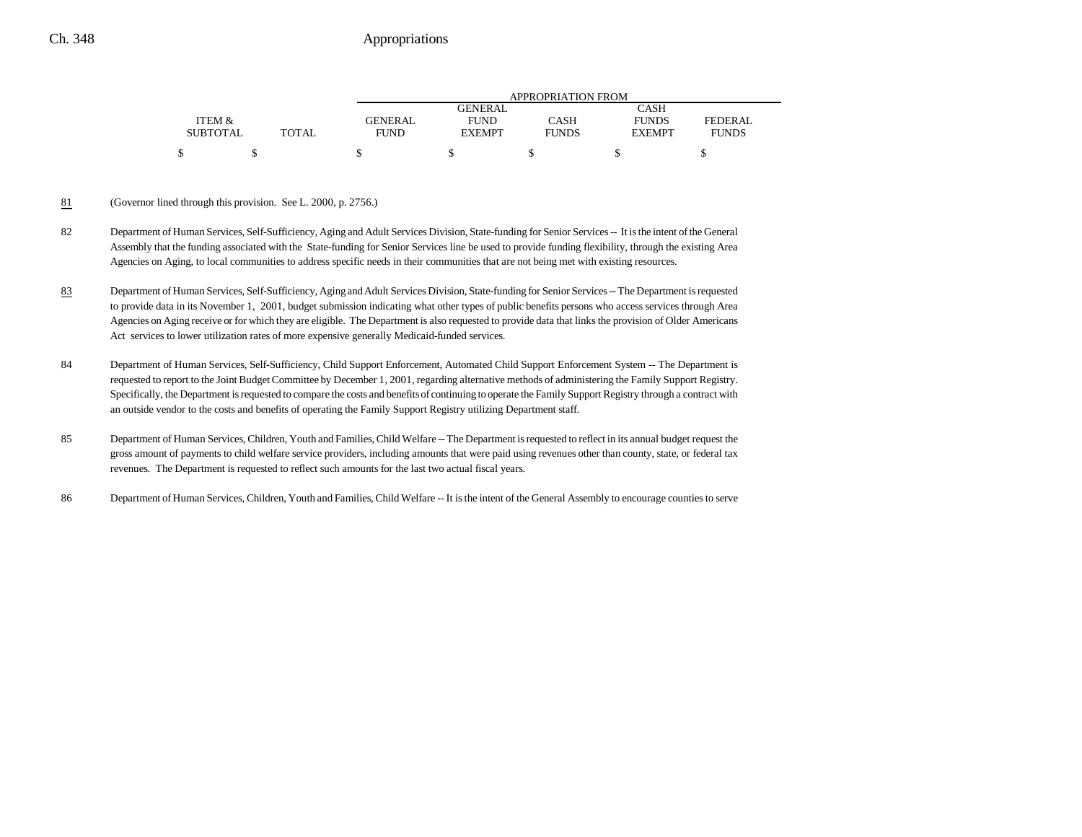|                 |       | APPROPRIATION FROM |                |              |               |              |
|-----------------|-------|--------------------|----------------|--------------|---------------|--------------|
|                 |       |                    | <b>GENERAL</b> |              | CASH          |              |
| ITEM &          |       | <b>GENERAL</b>     | <b>FUND</b>    | CASH         | <b>FUNDS</b>  | FEDERAL      |
| <b>SUBTOTAL</b> | TOTAL | <b>FUND</b>        | <b>EXEMPT</b>  | <b>FUNDS</b> | <b>EXEMPT</b> | <b>FUNDS</b> |
|                 |       |                    |                |              |               |              |

#### 81(Governor lined through this provision. See L. 2000, p. 2756.)

- 82 Department of Human Services, Self-Sufficiency, Aging and Adult Services Division, State-funding for Senior Services -- It is the intent of the General Assembly that the funding associated with the State-funding for Senior Services line be used to provide funding flexibility, through the existing Area Agencies on Aging, to local communities to address specific needs in their communities that are not being met with existing resources.
- 83 Department of Human Services, Self-Sufficiency, Aging and Adult Services Division, State-funding for Senior Services -- The Department is requested to provide data in its November 1, 2001, budget submission indicating what other types of public benefits persons who access services through Area Agencies on Aging receive or for which they are eligible. The Department is also requested to provide data that links the provision of Older Americans Act services to lower utilization rates of more expensive generally Medicaid-funded services.
- 84 Department of Human Services, Self-Sufficiency, Child Support Enforcement, Automated Child Support Enforcement System -- The Department is requested to report to the Joint Budget Committee by December 1, 2001, regarding alternative methods of administering the Family Support Registry. Specifically, the Department is requested to compare the costs and benefits of continuing to operate the Family Support Registry through a contract with an outside vendor to the costs and benefits of operating the Family Support Registry utilizing Department staff.
- 85 Department of Human Services, Children, Youth and Families, Child Welfare -- The Department is requested to reflect in its annual budget request the gross amount of payments to child welfare service providers, including amounts that were paid using revenues other than county, state, or federal tax revenues. The Department is requested to reflect such amounts for the last two actual fiscal years.
- 86 Department of Human Services, Children, Youth and Families, Child Welfare -- It is the intent of the General Assembly to encourage counties to serve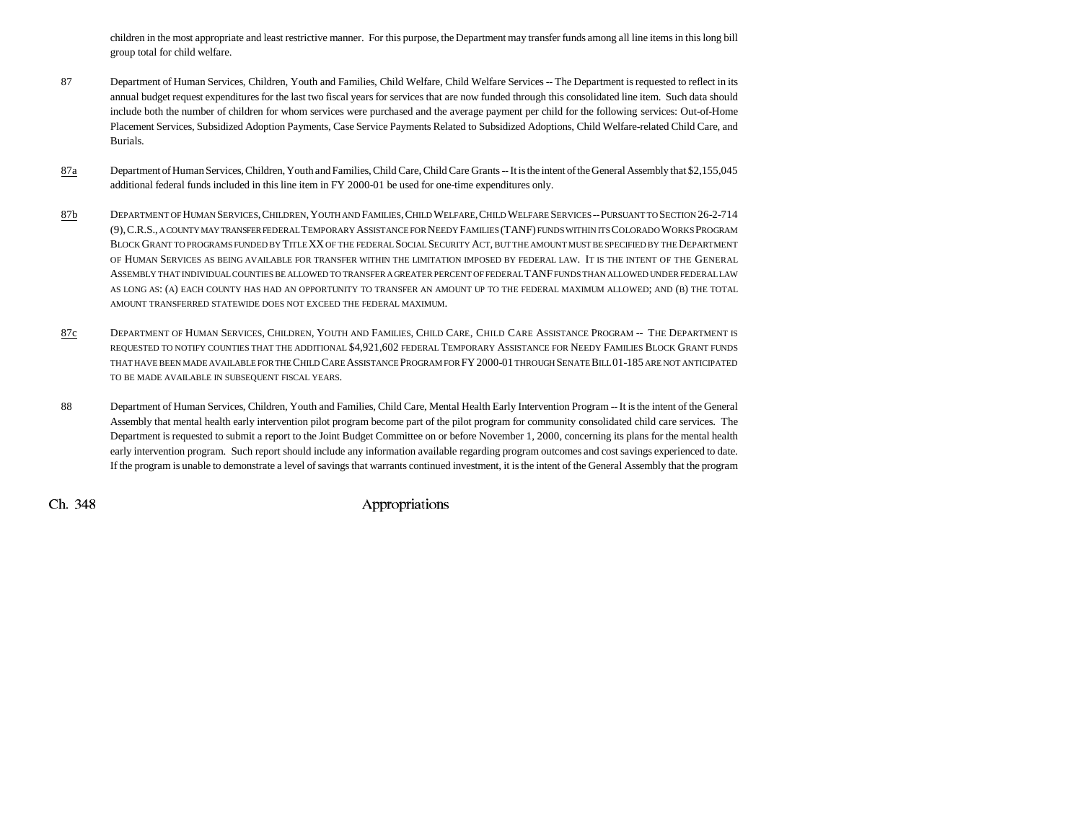children in the most appropriate and least restrictive manner. For this purpose, the Department may transfer funds among all line items in this long bill group total for child welfare.

- 87 Department of Human Services, Children, Youth and Families, Child Welfare, Child Welfare Services -- The Department is requested to reflect in its annual budget request expenditures for the last two fiscal years for services that are now funded through this consolidated line item. Such data should include both the number of children for whom services were purchased and the average payment per child for the following services: Out-of-Home Placement Services, Subsidized Adoption Payments, Case Service Payments Related to Subsidized Adoptions, Child Welfare-related Child Care, and Burials.
- 87a Department of Human Services, Children, Youth and Families, Child Care, Child Care Grants -- It is the intent of the General Assembly that \$2,155,045 additional federal funds included in this line item in FY 2000-01 be used for one-time expenditures only.
- 87b DEPARTMENT OF HUMAN SERVICES, CHILDREN, YOUTH AND FAMILIES, CHILD WELFARE, CHILD WELFARE SERVICES -- PURSUANT TO SECTION 26-2-714 (9), C.R.S., a county may transfer federal Temporary Assistance for Needy Families (TANF) funds within its Colorado Works Program BLOCK GRANT TO PROGRAMS FUNDED BY TITLE XX OF THE FEDERAL SOCIAL SECURITY ACT, BUT THE AMOUNT MUST BE SPECIFIED BY THE DEPARTMENT OF HUMAN SERVICES AS BEING AVAILABLE FOR TRANSFER WITHIN THE LIMITATION IMPOSED BY FEDERAL LAW. IT IS THE INTENT OF THE GENERALASSEMBLY THAT INDIVIDUAL COUNTIES BE ALLOWED TO TRANSFER A GREATER PERCENT OF FEDERAL TANF FUNDS THAN ALLOWED UNDER FEDERAL LAWAS LONG AS: (A) EACH COUNTY HAS HAD AN OPPORTUNITY TO TRANSFER AN AMOUNT UP TO THE FEDERAL MAXIMUM ALLOWED; AND (B) THE TOTAL AMOUNT TRANSFERRED STATEWIDE DOES NOT EXCEED THE FEDERAL MAXIMUM.
- 87c DEPARTMENT OF HUMAN SERVICES, CHILDREN, YOUTH AND FAMILIES, CHILD CARE, CHILD CARE ASSISTANCE PROGRAM -- THE DEPARTMENT IS REQUESTED TO NOTIFY COUNTIES THAT THE ADDITIONAL \$4,921,602 FEDERAL TEMPORARY ASSISTANCE FOR NEEDY FAMILIES BLOCK GRANT FUNDS that have been made available for the Child Care Assistance Program for FY 2000-01 through Senate Bill 01-185 are not anticipated TO BE MADE AVAILABLE IN SUBSEQUENT FISCAL YEARS.
- 88 Department of Human Services, Children, Youth and Families, Child Care, Mental Health Early Intervention Program -- It is the intent of the General Assembly that mental health early intervention pilot program become part of the pilot program for community consolidated child care services. The Department is requested to submit a report to the Joint Budget Committee on or before November 1, 2000, concerning its plans for the mental health early intervention program. Such report should include any information available regarding program outcomes and cost savings experienced to date. If the program is unable to demonstrate a level of savings that warrants continued investment, it is the intent of the General Assembly that the program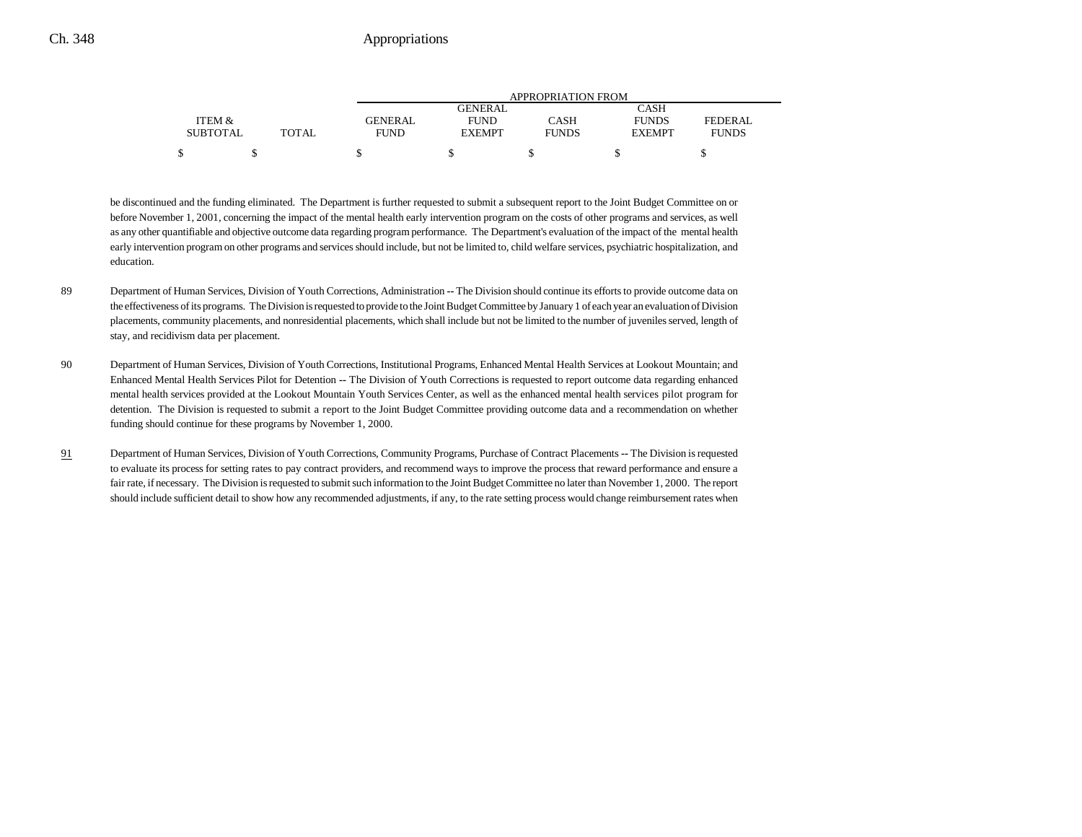|                 |              | APPROPRIATION FROM |               |              |               |              |  |  |
|-----------------|--------------|--------------------|---------------|--------------|---------------|--------------|--|--|
|                 |              |                    | GENERAL       |              | CASH          |              |  |  |
| ITEM &          |              | <b>GENERAL</b>     | <b>FUND</b>   | CASH         | <b>FUNDS</b>  | FEDERAL      |  |  |
| <b>SUBTOTAL</b> | <b>TOTAL</b> | <b>FUND</b>        | <b>EXEMPT</b> | <b>FUNDS</b> | <b>EXEMPT</b> | <b>FUNDS</b> |  |  |
|                 |              |                    |               |              |               |              |  |  |

be discontinued and the funding eliminated. The Department is further requested to submit a subsequent report to the Joint Budget Committee on or before November 1, 2001, concerning the impact of the mental health early intervention program on the costs of other programs and services, as well as any other quantifiable and objective outcome data regarding program performance. The Department's evaluation of the impact of the mental health early intervention program on other programs and services should include, but not be limited to, child welfare services, psychiatric hospitalization, and education.

- 89 Department of Human Services, Division of Youth Corrections, Administration **--** The Division should continue its efforts to provide outcome data on the effectiveness of its programs. The Division is requested to provide to the Joint Budget Committee by January 1 of each year an evaluation of Division placements, community placements, and nonresidential placements, which shall include but not be limited to the number of juveniles served, length of stay, and recidivism data per placement.
- 90 Department of Human Services, Division of Youth Corrections, Institutional Programs, Enhanced Mental Health Services at Lookout Mountain; and Enhanced Mental Health Services Pilot for Detention **--** The Division of Youth Corrections is requested to report outcome data regarding enhanced mental health services provided at the Lookout Mountain Youth Services Center, as well as the enhanced mental health services pilot program for detention. The Division is requested to submit a report to the Joint Budget Committee providing outcome data and a recommendation on whether funding should continue for these programs by November 1, 2000.
- 91 Department of Human Services, Division of Youth Corrections, Community Programs, Purchase of Contract Placements **--** The Division is requested to evaluate its process for setting rates to pay contract providers, and recommend ways to improve the process that reward performance and ensure a fair rate, if necessary. The Division is requested to submit such information to the Joint Budget Committee no later than November 1, 2000. The report should include sufficient detail to show how any recommended adjustments, if any, to the rate setting process would change reimbursement rates when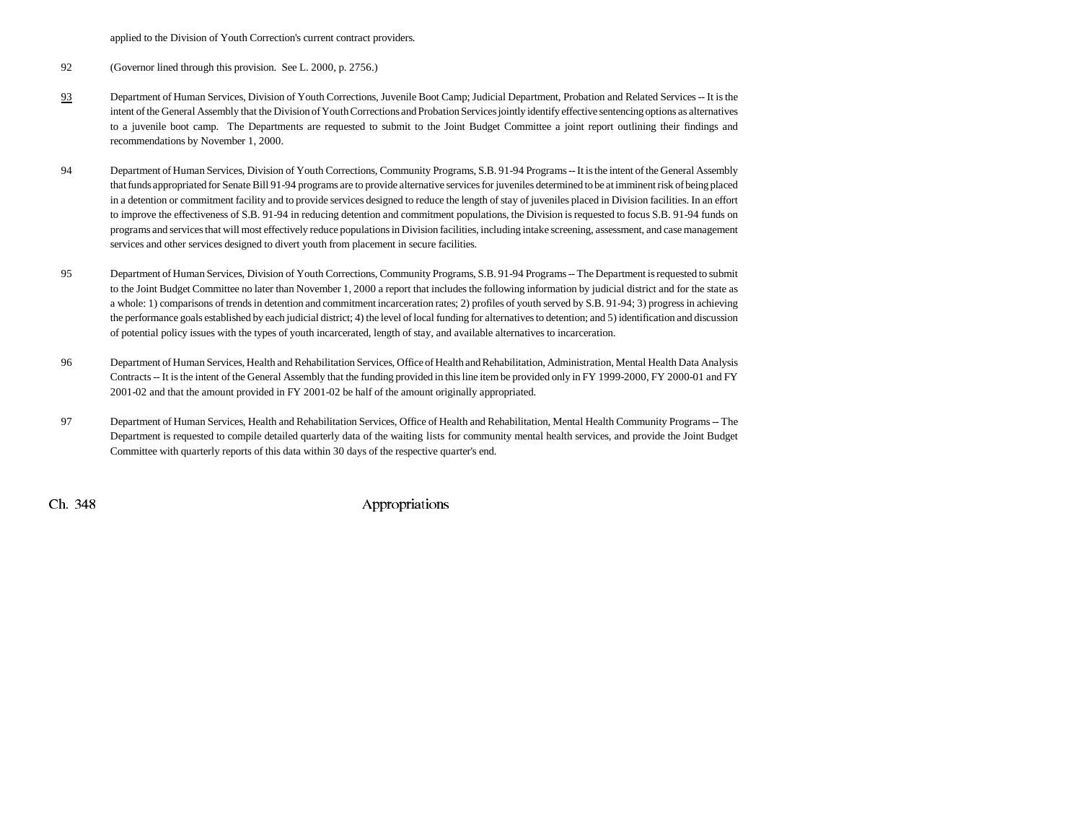applied to the Division of Youth Correction's current contract providers.

- 92 (Governor lined through this provision. See L. 2000, p. 2756.)
- 93 Department of Human Services, Division of Youth Corrections, Juvenile Boot Camp; Judicial Department, Probation and Related Services -- It is the intent of the General Assembly that the Division of Youth Corrections and Probation Services jointly identify effective sentencing options as alternatives to a juvenile boot camp. The Departments are requested to submit to the Joint Budget Committee a joint report outlining their findings and recommendations by November 1, 2000.
- 94 Department of Human Services, Division of Youth Corrections, Community Programs, S.B. 91-94 Programs -- It is the intent of the General Assembly that funds appropriated for Senate Bill 91-94 programs are to provide alternative services for juveniles determined to be at imminent risk of being placed in a detention or commitment facility and to provide services designed to reduce the length of stay of juveniles placed in Division facilities. In an effort to improve the effectiveness of S.B. 91-94 in reducing detention and commitment populations, the Division is requested to focus S.B. 91-94 funds on programs and services that will most effectively reduce populations in Division facilities, including intake screening, assessment, and case management services and other services designed to divert youth from placement in secure facilities.
- 95 Department of Human Services, Division of Youth Corrections, Community Programs, S.B. 91-94 Programs -- The Department is requested to submit to the Joint Budget Committee no later than November 1, 2000 a report that includes the following information by judicial district and for the state as a whole: 1) comparisons of trends in detention and commitment incarceration rates; 2) profiles of youth served by S.B. 91-94; 3) progress in achieving the performance goals established by each judicial district; 4) the level of local funding for alternatives to detention; and 5) identification and discussion of potential policy issues with the types of youth incarcerated, length of stay, and available alternatives to incarceration.
- 96 Department of Human Services, Health and Rehabilitation Services, Office of Health and Rehabilitation, Administration, Mental Health Data Analysis Contracts -- It is the intent of the General Assembly that the funding provided in this line item be provided only in FY 1999-2000, FY 2000-01 and FY 2001-02 and that the amount provided in FY 2001-02 be half of the amount originally appropriated.
- 97 Department of Human Services, Health and Rehabilitation Services, Office of Health and Rehabilitation, Mental Health Community Programs -- The Department is requested to compile detailed quarterly data of the waiting lists for community mental health services, and provide the Joint Budget Committee with quarterly reports of this data within 30 days of the respective quarter's end.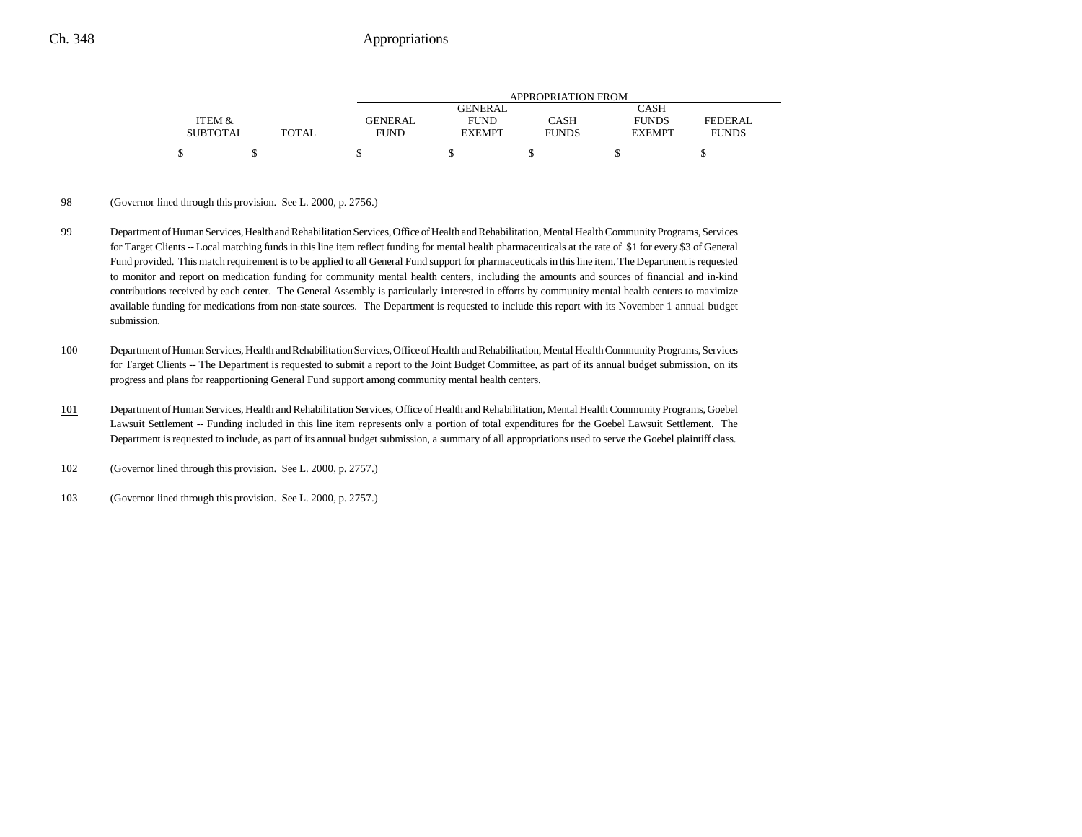|                 |       |                | APPROPRIATION FROM |              |               |                |  |  |  |
|-----------------|-------|----------------|--------------------|--------------|---------------|----------------|--|--|--|
|                 |       |                | <b>GENERAL</b>     |              | CASH          |                |  |  |  |
| ITEM &          |       | <b>GENERAL</b> | <b>FUND</b>        | CASH         | <b>FUNDS</b>  | <b>FEDERAL</b> |  |  |  |
| <b>SUBTOTAL</b> | TOTAL | <b>FUND</b>    | <b>EXEMPT</b>      | <b>FUNDS</b> | <b>EXEMPT</b> | <b>FUNDS</b>   |  |  |  |
|                 |       |                |                    |              |               |                |  |  |  |

#### 98 (Governor lined through this provision. See L. 2000, p. 2756.)

- 99 Department of Human Services, Health and Rehabilitation Services, Office of Health and Rehabilitation, Mental Health Community Programs, Services for Target Clients -- Local matching funds in this line item reflect funding for mental health pharmaceuticals at the rate of \$1 for every \$3 of General Fund provided. This match requirement is to be applied to all General Fund support for pharmaceuticals in this line item. The Department is requested to monitor and report on medication funding for community mental health centers, including the amounts and sources of financial and in-kind contributions received by each center. The General Assembly is particularly interested in efforts by community mental health centers to maximize available funding for medications from non-state sources. The Department is requested to include this report with its November 1 annual budget submission.
- 100 Department of Human Services, Health and Rehabilitation Services, Office of Health and Rehabilitation, Mental Health Community Programs, Services for Target Clients -- The Department is requested to submit a report to the Joint Budget Committee, as part of its annual budget submission, on its progress and plans for reapportioning General Fund support among community mental health centers.
- 101 Department of Human Services, Health and Rehabilitation Services, Office of Health and Rehabilitation, Mental Health Community Programs, Goebel Lawsuit Settlement -- Funding included in this line item represents only a portion of total expenditures for the Goebel Lawsuit Settlement. The Department is requested to include, as part of its annual budget submission, a summary of all appropriations used to serve the Goebel plaintiff class.
- 102 (Governor lined through this provision. See L. 2000, p. 2757.)
- 103 (Governor lined through this provision. See L. 2000, p. 2757.)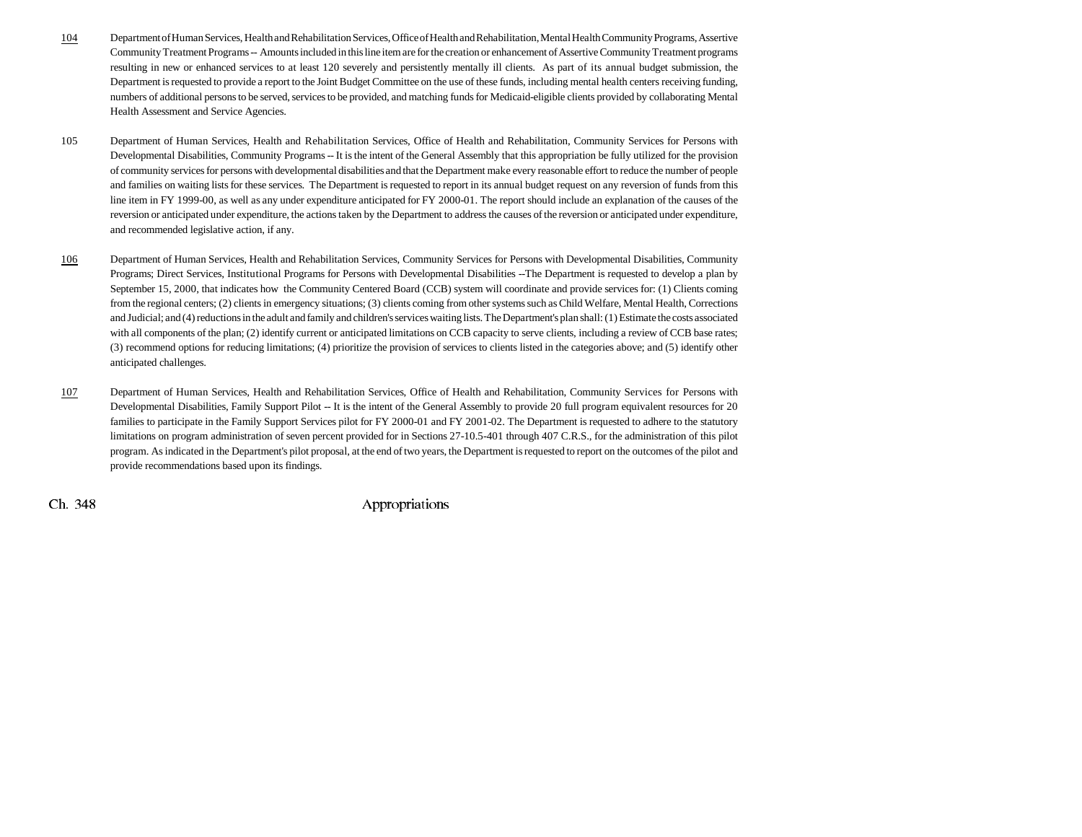- 104 Department of Human Services, Health and Rehabilitation Services, Office of Health and Rehabilitation, Mental Health Community Programs, Assertive Community Treatment Programs -- Amounts included in this line item are for the creation or enhancement of Assertive Community Treatment programs resulting in new or enhanced services to at least 120 severely and persistently mentally ill clients. As part of its annual budget submission, the Department is requested to provide a report to the Joint Budget Committee on the use of these funds, including mental health centers receiving funding, numbers of additional persons to be served, services to be provided, and matching funds for Medicaid-eligible clients provided by collaborating Mental Health Assessment and Service Agencies.
- 105 Department of Human Services, Health and Rehabilitation Services, Office of Health and Rehabilitation, Community Services for Persons with Developmental Disabilities, Community Programs -- It is the intent of the General Assembly that this appropriation be fully utilized for the provision of community services for persons with developmental disabilities and that the Department make every reasonable effort to reduce the number of people and families on waiting lists for these services. The Department is requested to report in its annual budget request on any reversion of funds from this line item in FY 1999-00, as well as any under expenditure anticipated for FY 2000-01. The report should include an explanation of the causes of the reversion or anticipated under expenditure, the actions taken by the Department to address the causes of the reversion or anticipated under expenditure, and recommended legislative action, if any.
- 106 Department of Human Services, Health and Rehabilitation Services, Community Services for Persons with Developmental Disabilities, Community Programs; Direct Services, Institutional Programs for Persons with Developmental Disabilities --The Department is requested to develop a plan by September 15, 2000, that indicates how the Community Centered Board (CCB) system will coordinate and provide services for: (1) Clients coming from the regional centers; (2) clients in emergency situations; (3) clients coming from other systems such as Child Welfare, Mental Health, Corrections and Judicial; and (4) reductions in the adult and family and children's services waiting lists. The Department's plan shall: (1) Estimate the costs associated with all components of the plan; (2) identify current or anticipated limitations on CCB capacity to serve clients, including a review of CCB base rates; (3) recommend options for reducing limitations; (4) prioritize the provision of services to clients listed in the categories above; and (5) identify other anticipated challenges.
- 107 Department of Human Services, Health and Rehabilitation Services, Office of Health and Rehabilitation, Community Services for Persons with Developmental Disabilities, Family Support Pilot -- It is the intent of the General Assembly to provide 20 full program equivalent resources for 20 families to participate in the Family Support Services pilot for FY 2000-01 and FY 2001-02. The Department is requested to adhere to the statutory limitations on program administration of seven percent provided for in Sections 27-10.5-401 through 407 C.R.S., for the administration of this pilot program. As indicated in the Department's pilot proposal, at the end of two years, the Department is requested to report on the outcomes of the pilot and provide recommendations based upon its findings.

 $\chi$  Ch. 348 Appropriations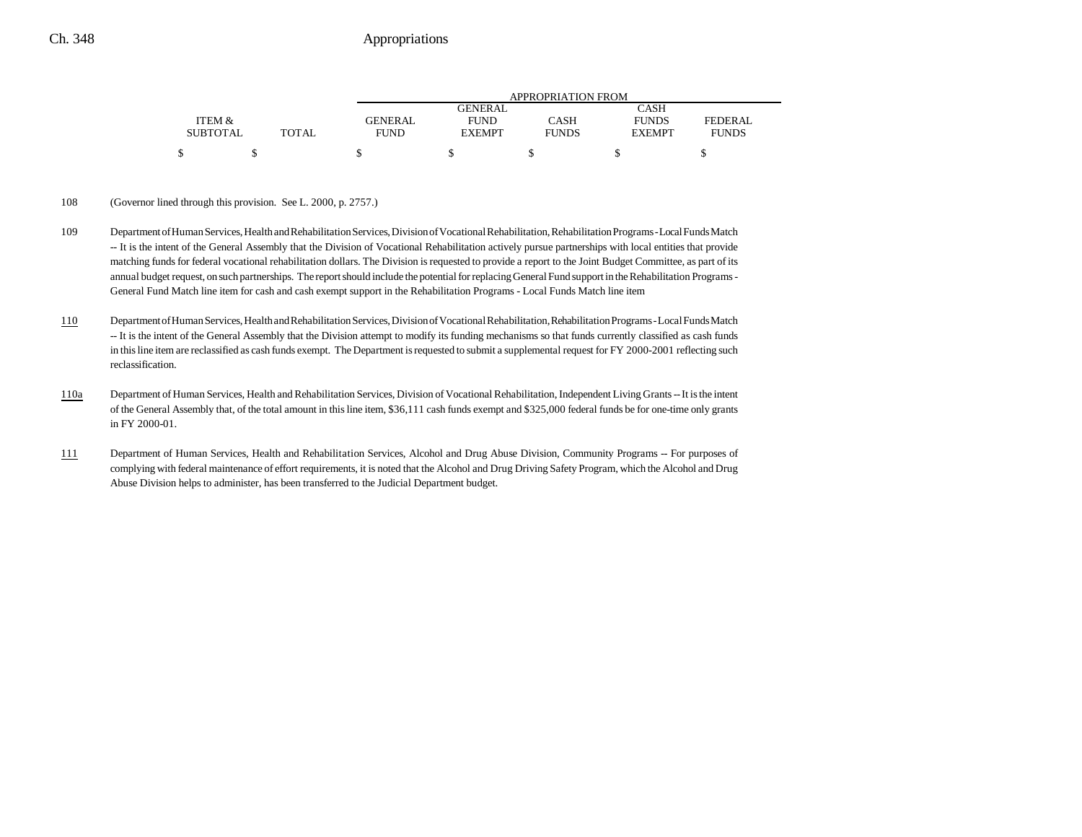|                 |              | APPROPRIATION FROM |               |              |               |              |  |  |
|-----------------|--------------|--------------------|---------------|--------------|---------------|--------------|--|--|
|                 |              |                    | GENERAL.      |              | CASH          |              |  |  |
| ITEM &          |              | GENERAL            | <b>FUND</b>   | CASH         | <b>FUNDS</b>  | FEDERAL      |  |  |
| <b>SUBTOTAL</b> | <b>TOTAL</b> | FUND               | <b>EXEMPT</b> | <b>FUNDS</b> | <b>EXEMPT</b> | <b>FUNDS</b> |  |  |
|                 |              |                    |               |              |               |              |  |  |

#### 108 (Governor lined through this provision. See L. 2000, p. 2757.)

- 109 Department of Human Services, Health and Rehabilitation Services, Division of Vocational Rehabilitation, Rehabilitation Programs Local Funds Match -- It is the intent of the General Assembly that the Division of Vocational Rehabilitation actively pursue partnerships with local entities that provide matching funds for federal vocational rehabilitation dollars. The Division is requested to provide a report to the Joint Budget Committee, as part of its annual budget request, on such partnerships. The report should include the potential for replacing General Fund support in the Rehabilitation Programs - General Fund Match line item for cash and cash exempt support in the Rehabilitation Programs - Local Funds Match line item
- 110 Department of Human Services, Health and Rehabilitation Services, Division of Vocational Rehabilitation, Rehabilitation Programs - Local Funds Match -- It is the intent of the General Assembly that the Division attempt to modify its funding mechanisms so that funds currently classified as cash funds in this line item are reclassified as cash funds exempt. The Department is requested to submit a supplemental request for FY 2000-2001 reflecting such reclassification.
- 110a Department of Human Services, Health and Rehabilitation Services, Division of Vocational Rehabilitation, Independent Living Grants -- It is the intent of the General Assembly that, of the total amount in this line item, \$36,111 cash funds exempt and \$325,000 federal funds be for one-time only grants in FY 2000-01.
- 111 Department of Human Services, Health and Rehabilitation Services, Alcohol and Drug Abuse Division, Community Programs -- For purposes of complying with federal maintenance of effort requirements, it is noted that the Alcohol and Drug Driving Safety Program, which the Alcohol and Drug Abuse Division helps to administer, has been transferred to the Judicial Department budget.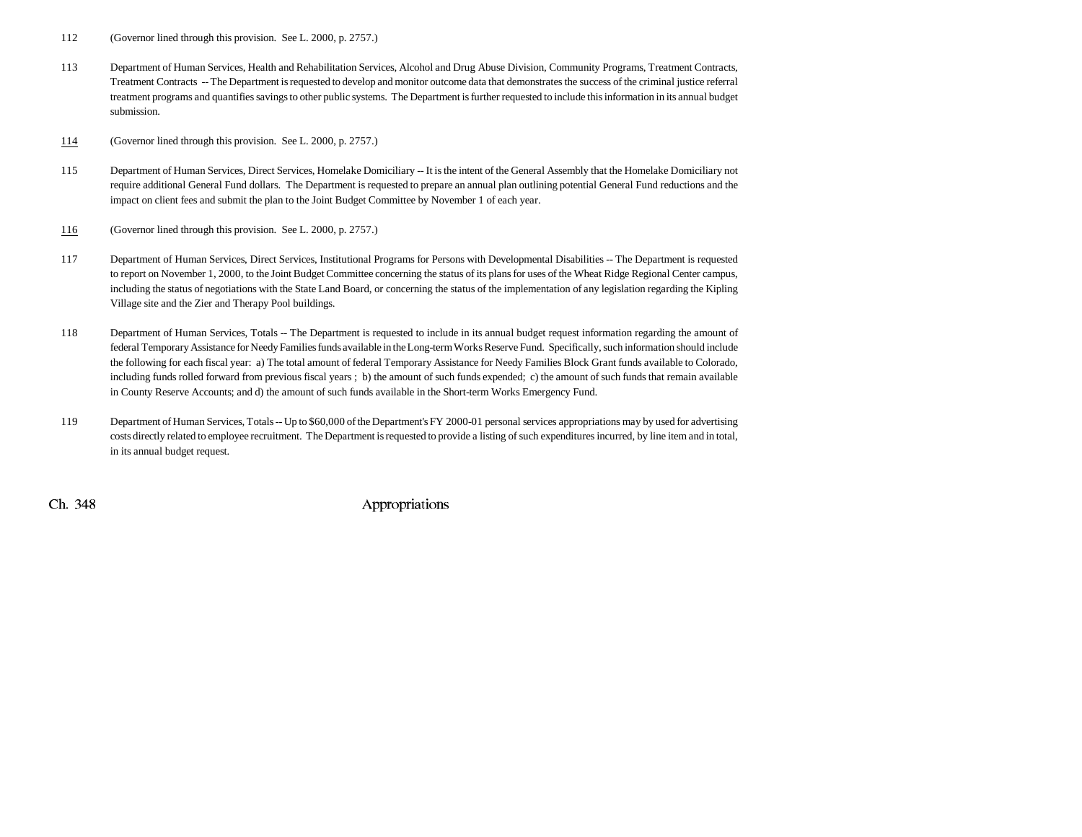- 112 (Governor lined through this provision. See L. 2000, p. 2757.)
- 113 Department of Human Services, Health and Rehabilitation Services, Alcohol and Drug Abuse Division, Community Programs, Treatment Contracts, Treatment Contracts -- The Department is requested to develop and monitor outcome data that demonstrates the success of the criminal justice referral treatment programs and quantifies savings to other public systems. The Department is further requested to include this information in its annual budget submission.

114(Governor lined through this provision. See L. 2000, p. 2757.)

- 115 Department of Human Services, Direct Services, Homelake Domiciliary -- It is the intent of the General Assembly that the Homelake Domiciliary not require additional General Fund dollars. The Department is requested to prepare an annual plan outlining potential General Fund reductions and the impact on client fees and submit the plan to the Joint Budget Committee by November 1 of each year.
- 116(Governor lined through this provision. See L. 2000, p. 2757.)
- 117 Department of Human Services, Direct Services, Institutional Programs for Persons with Developmental Disabilities -- The Department is requested to report on November 1, 2000, to the Joint Budget Committee concerning the status of its plans for uses of the Wheat Ridge Regional Center campus, including the status of negotiations with the State Land Board, or concerning the status of the implementation of any legislation regarding the Kipling Village site and the Zier and Therapy Pool buildings.
- 118 Department of Human Services, Totals -- The Department is requested to include in its annual budget request information regarding the amount of federal Temporary Assistance for Needy Families funds available in the Long-term Works Reserve Fund. Specifically, such information should include the following for each fiscal year: a) The total amount of federal Temporary Assistance for Needy Families Block Grant funds available to Colorado, including funds rolled forward from previous fiscal years ; b) the amount of such funds expended; c) the amount of such funds that remain available in County Reserve Accounts; and d) the amount of such funds available in the Short-term Works Emergency Fund.
- 119 Department of Human Services, Totals -- Up to \$60,000 of the Department's FY 2000-01 personal services appropriations may by used for advertising costs directly related to employee recruitment. The Department is requested to provide a listing of such expenditures incurred, by line item and in total, in its annual budget request.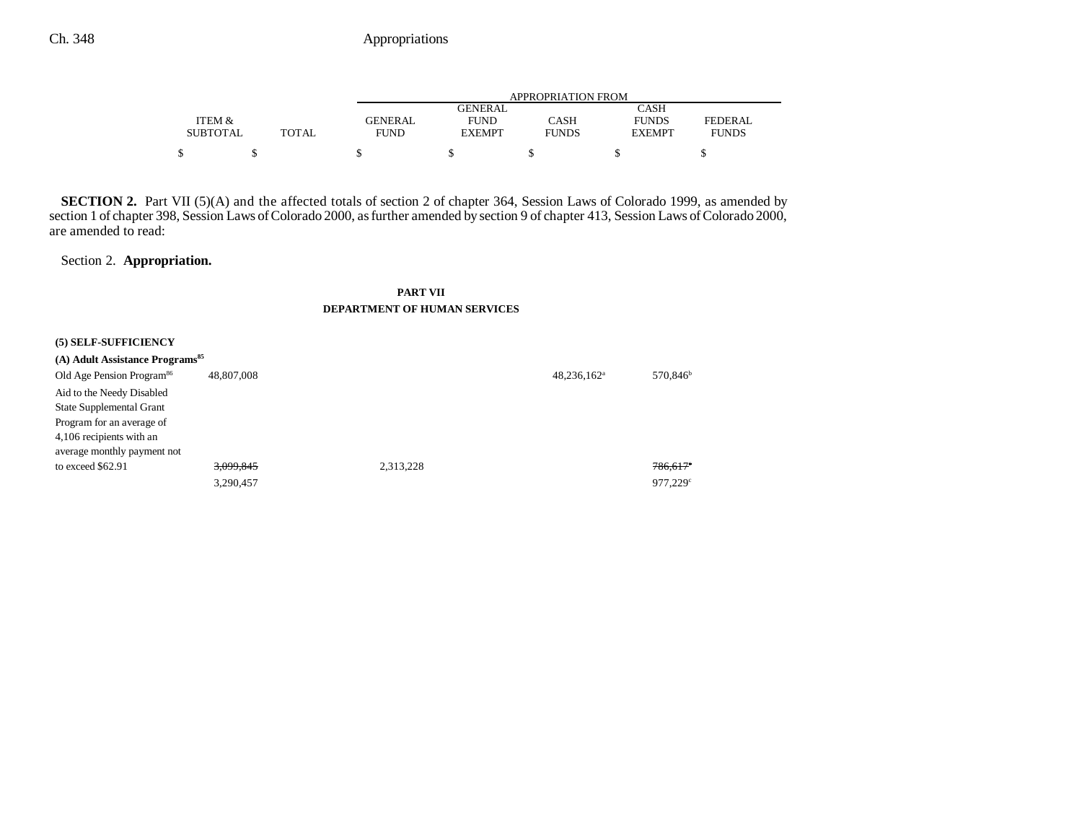|                 |              | APPROPRIATION FROM |               |              |               |                |  |  |
|-----------------|--------------|--------------------|---------------|--------------|---------------|----------------|--|--|
|                 |              |                    | GENERAL       |              | CASH          |                |  |  |
| ITEM &          |              | <b>GENERAL</b>     | <b>FUND</b>   | CASH         | <b>FUNDS</b>  | <b>FEDERAL</b> |  |  |
| <b>SUBTOTAL</b> | <b>TOTAL</b> | FUND               | <b>EXEMPT</b> | <b>FUNDS</b> | <b>EXEMPT</b> | <b>FUNDS</b>   |  |  |
| Φ               |              |                    |               |              |               |                |  |  |

**SECTION 2.** Part VII (5)(A) and the affected totals of section 2 of chapter 364, Session Laws of Colorado 1999, as amended by section 1 of chapter 398, Session Laws of Colorado 2000, as further amended by section 9 of chapter 413, Session Laws of Colorado 2000, are amended to read:

Section 2. **Appropriation.**

## **PART VII DEPARTMENT OF HUMAN SERVICES**

| (5) SELF-SUFFICIENCY                        |            |           |                |                        |
|---------------------------------------------|------------|-----------|----------------|------------------------|
| (A) Adult Assistance Programs <sup>85</sup> |            |           |                |                        |
| Old Age Pension Program <sup>86</sup>       | 48,807,008 |           | $48,236,162^a$ | 570,846 <sup>b</sup>   |
| Aid to the Needy Disabled                   |            |           |                |                        |
| <b>State Supplemental Grant</b>             |            |           |                |                        |
| Program for an average of                   |            |           |                |                        |
| 4,106 recipients with an                    |            |           |                |                        |
| average monthly payment not                 |            |           |                |                        |
| to exceed \$62.91                           | 3,099,845  | 2.313.228 |                | $786,617$ <sup>e</sup> |
|                                             | 3,290,457  |           |                | $977.229$ <sup>c</sup> |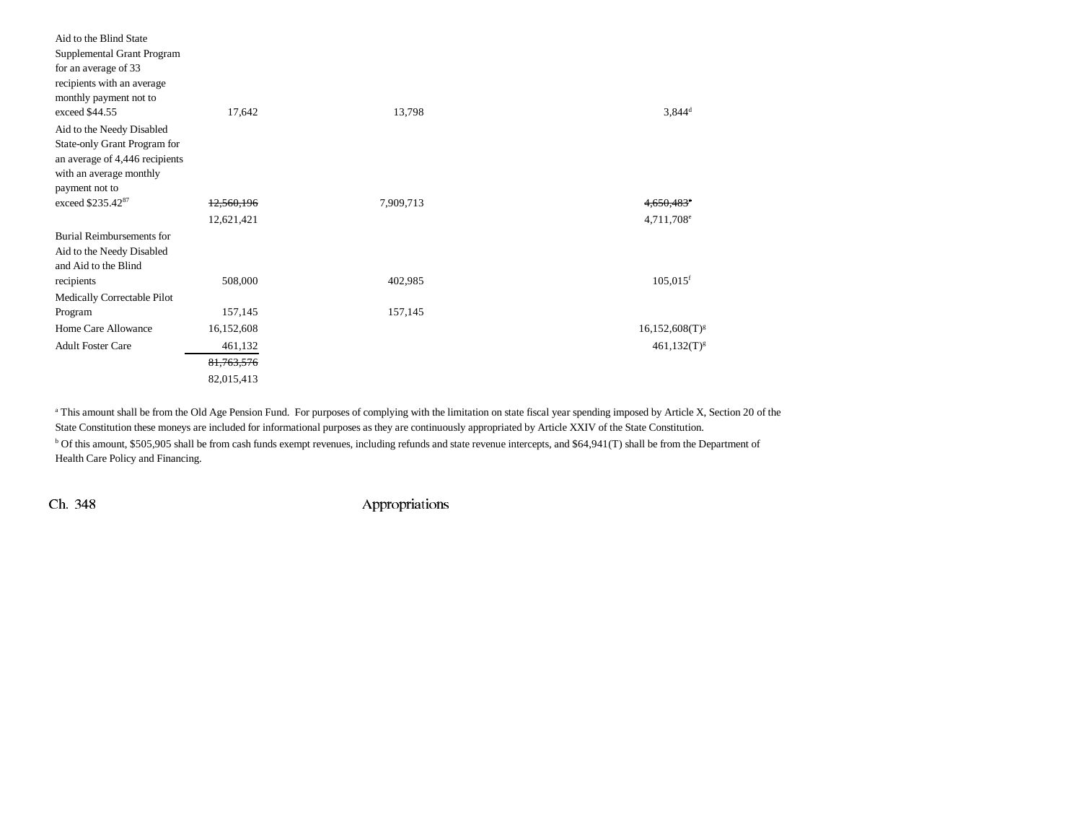| Aid to the Blind State         |            |           |                        |
|--------------------------------|------------|-----------|------------------------|
| Supplemental Grant Program     |            |           |                        |
| for an average of 33           |            |           |                        |
| recipients with an average     |            |           |                        |
| monthly payment not to         |            |           |                        |
| exceed \$44.55                 | 17,642     | 13,798    | $3,844^d$              |
| Aid to the Needy Disabled      |            |           |                        |
| State-only Grant Program for   |            |           |                        |
| an average of 4,446 recipients |            |           |                        |
| with an average monthly        |            |           |                        |
| payment not to                 |            |           |                        |
| exceed \$235.4287              | 12,560,196 | 7,909,713 | <del>4.650.483°</del>  |
|                                | 12,621,421 |           | 4,711,708 <sup>e</sup> |
| Burial Reimbursements for      |            |           |                        |
| Aid to the Needy Disabled      |            |           |                        |
| and Aid to the Blind           |            |           |                        |
| recipients                     | 508,000    | 402,985   | $105,015$ <sup>f</sup> |
| Medically Correctable Pilot    |            |           |                        |
| Program                        | 157,145    | 157,145   |                        |
| Home Care Allowance            | 16,152,608 |           | $16,152,608(T)^{g}$    |
| <b>Adult Foster Care</b>       | 461,132    |           | $461,132(T)^{g}$       |
|                                | 81,763,576 |           |                        |
|                                | 82,015,413 |           |                        |

<sup>a</sup> This amount shall be from the Old Age Pension Fund. For purposes of complying with the limitation on state fiscal year spending imposed by Article X, Section 20 of the State Constitution these moneys are included for informational purposes as they are continuously appropriated by Article XXIV of the State Constitution. b Of this amount, \$505,905 shall be from cash funds exempt revenues, including refunds and state revenue intercepts, and \$64,941(T) shall be from the Department of Health Care Policy and Financing.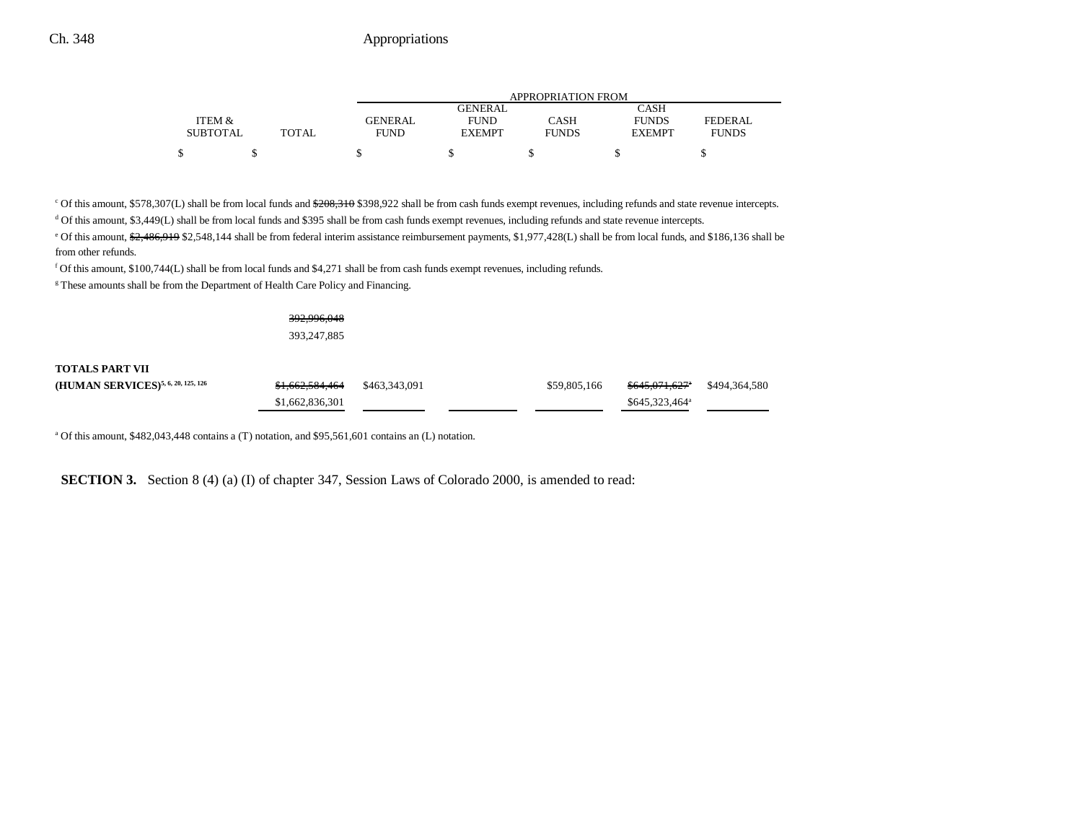|                 |              | APPROPRIATION FROM |                |              |               |                |  |  |
|-----------------|--------------|--------------------|----------------|--------------|---------------|----------------|--|--|
|                 |              |                    | <b>GENERAL</b> |              | CASH          |                |  |  |
| ITEM &          |              | <b>GENERAL</b>     | <b>FUND</b>    | CASH         | <b>FUNDS</b>  | <b>FEDERAL</b> |  |  |
| <b>SUBTOTAL</b> | <b>TOTAL</b> | FUND               | <b>EXEMPT</b>  | <b>FUNDS</b> | <b>EXEMPT</b> | <b>FUNDS</b>   |  |  |
|                 |              |                    |                |              |               |                |  |  |

<sup>c</sup> Of this amount, \$578,307(L) shall be from local funds and <del>\$208,310</del> \$398,922 shall be from cash funds exempt revenues, including refunds and state revenue intercepts.

d Of this amount, \$3,449(L) shall be from local funds and \$395 shall be from cash funds exempt revenues, including refunds and state revenue intercepts.

<sup>e</sup> Of this amount, <del>\$2,486,919</del> \$2,548,144 shall be from federal interim assistance reimbursement payments, \$1,977,428(L) shall be from local funds, and \$186,136 shall be from other refunds.

f Of this amount,  $$100,744(L)$  shall be from local funds and  $$4,271$  shall be from cash funds exempt revenues, including refunds.

<sup>g</sup> These amounts shall be from the Department of Health Care Policy and Financing.

392,996,048 393,247,885

| TOTALS PART VII                                |                                          |              |                            |               |
|------------------------------------------------|------------------------------------------|--------------|----------------------------|---------------|
| (HUMAN SERVICES) <sup>5, 6, 20, 125, 126</sup> | <del>\$1,662,584,464</del> \$463,343,091 | \$59,805,166 | <del>\$645,071,627</del> * | \$494,364,580 |
|                                                | \$1,662,836,301                          |              | \$645,323,464 <sup>a</sup> |               |

<sup>a</sup> Of this amount, \$482,043,448 contains a (T) notation, and \$95,561,601 contains an (L) notation.

**SECTION 3.** Section 8 (4) (a) (I) of chapter 347, Session Laws of Colorado 2000, is amended to read: